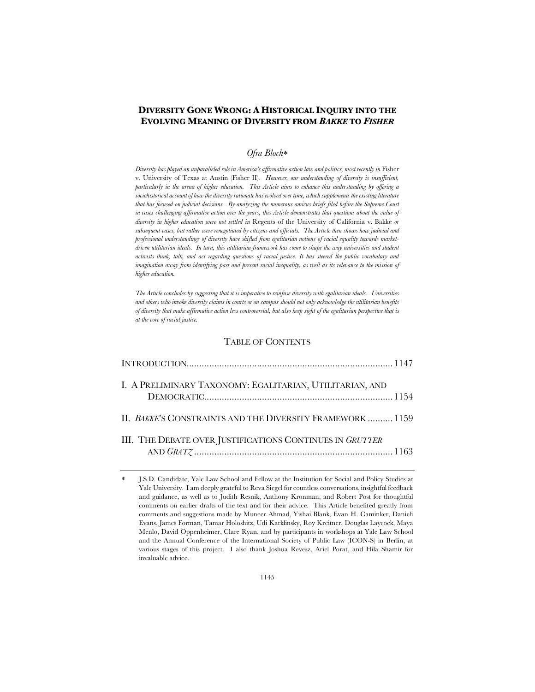# **DIVERSITY GONE WRONG: A HISTORICAL INQUIRY INTO THE EVOLVING MEANING OF DIVERSITY FROM** *BAKKE* **TO** *FISHER*

## *Ofra Bloch*\*

*Diversity has played an unparalleled role in America's affirmative action law and politics, most recently in* Fisher v. University of Texas at Austin (Fisher II)*. However, our understanding of diversity is insufficient, particularly in the arena of higher education. This Article aims to enhance this understanding by offering a sociohistorical account of how the diversity rationale has evolved over time, which supplements the existing literature that has focused on judicial decisions. By analyzing the numerous amicus briefs filed before the Supreme Court in cases challenging affirmative action over the years, this Article demonstrates that questions about the value of diversity in higher education were not settled in* Regents of the University of California v. Bakke *or subsequent cases, but rather were renegotiated by citizens and officials. The Article then shows how judicial and professional understandings of diversity have shifted from egalitarian notions of racial equality towards marketdriven utilitarian ideals. In turn, this utilitarian framework has come to shape the way universities and student activists think, talk, and act regarding questions of racial justice. It has steered the public vocabulary and imagination away from identifying past and present racial inequality, as well as its relevance to the mission of higher education.*

*The Article concludes by suggesting that it is imperative to reinfuse diversity with egalitarian ideals. Universities and others who invoke diversity claims in courts or on campus should not only acknowledge the utilitarian benefits of diversity that make affirmative action less controversial, but also keep sight of the egalitarian perspective that is at the core of racial justice.*

## TABLE OF CONTENTS

| I. A PRELIMINARY TAXONOMY: EGALITARIAN, UTILITARIAN, AND  |  |
|-----------------------------------------------------------|--|
| II. BAKKE'S CONSTRAINTS AND THE DIVERSITY FRAMEWORK  1159 |  |
| III. THE DEBATE OVER JUSTIFICATIONS CONTINUES IN GRUTTER  |  |

J.S.D. Candidate, Yale Law School and Fellow at the Institution for Social and Policy Studies at Yale University. I am deeply grateful to Reva Siegel for countless conversations, insightful feedback and guidance, as well as to Judith Resnik, Anthony Kronman, and Robert Post for thoughtful comments on earlier drafts of the text and for their advice. This Article benefited greatly from comments and suggestions made by Muneer Ahmad, Yishai Blank, Evan H. Caminker, Danieli Evans, James Forman, Tamar Holoshitz, Udi Karklinsky, Roy Kreitner, Douglas Laycock, Maya Menlo, David Oppenheimer, Clare Ryan, and by participants in workshops at Yale Law School and the Annual Conference of the International Society of Public Law (ICON-S) in Berlin, at various stages of this project. I also thank Joshua Revesz, Ariel Porat, and Hila Shamir for invaluable advice.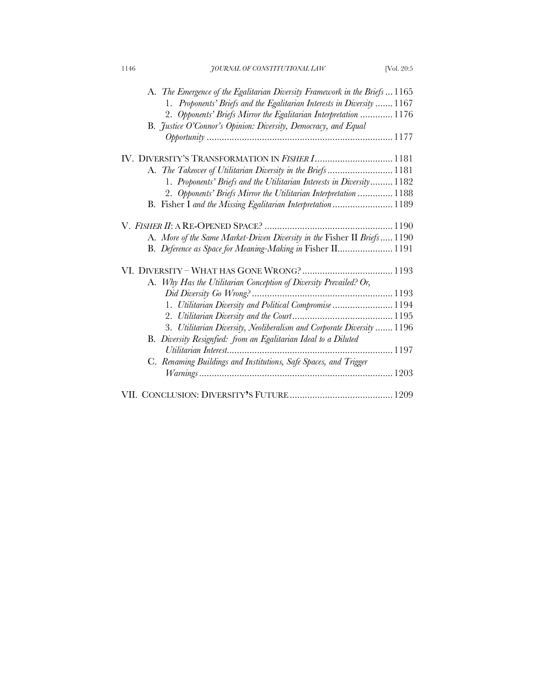| 1146 | JOURNAL OF CONSTITUTIONAL LAW                                             | [Vol. 20:5] |
|------|---------------------------------------------------------------------------|-------------|
|      | A. The Emergence of the Egalitarian Diversity Framework in the Briefs1165 |             |
|      | 1. Proponents' Briefs and the Egalitarian Interests in Diversity  1167    |             |
|      | 2. Opponents' Briefs Mirror the Egalitarian Interpretation  1176          |             |
|      | B. Justice O'Connor's Opinion: Diversity, Democracy, and Equal            |             |
|      |                                                                           |             |
|      | IV. DIVERSITY'S TRANSFORMATION IN FISHER I 1181                           |             |
|      | A. The Takeover of Utilitarian Diversity in the Briefs1181                |             |
|      | 1. Proponents' Briefs and the Utilitarian Interests in Diversity 1182     |             |
|      | 2. Opponents' Briefs Mirror the Utilitarian Interpretation  1188          |             |
|      | B. Fisher I and the Missing Egalitarian Interpretation  1189              |             |
|      |                                                                           |             |
|      | A. More of the Same Market-Driven Diversity in the Fisher II Briefs 1190  |             |
|      | B. Deference as Space for Meaning-Making in Fisher II 1191                |             |
|      |                                                                           |             |
|      | A. Why Has the Utilitarian Conception of Diversity Prevailed? Or,         |             |
|      |                                                                           |             |
|      | 1. Utilitarian Diversity and Political Compromise  1194                   |             |
|      |                                                                           |             |
|      | 3. Utilitarian Diversity, Neoliberalism and Corporate Diversity  1196     |             |
|      | B. Diversity Resignfied: from an Egalitarian Ideal to a Diluted           |             |
|      |                                                                           |             |
|      | C. Renaming Buildings and Institutions, Safe Spaces, and Trigger          |             |
|      |                                                                           |             |
|      |                                                                           |             |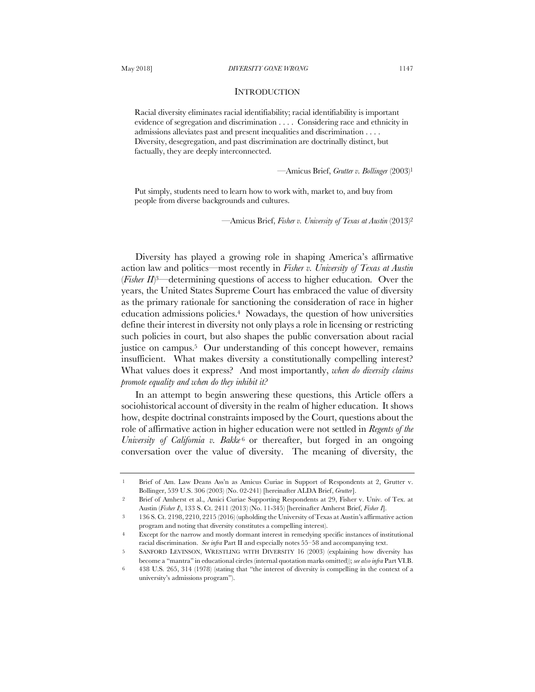### **INTRODUCTION**

Racial diversity eliminates racial identifiability; racial identifiability is important evidence of segregation and discrimination . . . . Considering race and ethnicity in admissions alleviates past and present inequalities and discrimination . . . . Diversity, desegregation, and past discrimination are doctrinally distinct, but factually, they are deeply interconnected.

—Amicus Brief, *Grutter v. Bollinger* (2003)1

Put simply, students need to learn how to work with, market to, and buy from people from diverse backgrounds and cultures.

—Amicus Brief, *Fisher v. University of Texas at Austin* (2013)2

Diversity has played a growing role in shaping America's affirmative action law and politics—most recently in *Fisher v. University of Texas at Austin* (*Fisher II*) 3—determining questions of access to higher education. Over the years, the United States Supreme Court has embraced the value of diversity as the primary rationale for sanctioning the consideration of race in higher education admissions policies.4 Nowadays, the question of how universities define their interest in diversity not only plays a role in licensing or restricting such policies in court, but also shapes the public conversation about racial justice on campus.5 Our understanding of this concept however, remains insufficient. What makes diversity a constitutionally compelling interest? What values does it express? And most importantly, *when do diversity claims promote equality and when do they inhibit it?*

In an attempt to begin answering these questions, this Article offers a sociohistorical account of diversity in the realm of higher education. It shows how, despite doctrinal constraints imposed by the Court, questions about the role of affirmative action in higher education were not settled in *Regents of the University of California v. Bakke*<sup>6</sup> or thereafter, but forged in an ongoing conversation over the value of diversity. The meaning of diversity, the

<sup>1</sup> Brief of Am. Law Deans Ass'n as Amicus Curiae in Support of Respondents at 2, Grutter v. Bollinger, 539 U.S. 306 (2003) (No. 02-241) [hereinafter ALDA Brief, *Grutter*].

<sup>2</sup> Brief of Amherst et al., Amici Curiae Supporting Respondents at 29, Fisher v. Univ. of Tex. at Austin (*Fisher I*), 133 S. Ct. 2411 (2013) (No. 11-345) [hereinafter Amherst Brief, *Fisher I*].

<sup>3</sup> 136 S. Ct. 2198, 2210, 2215 (2016) (upholding the University of Texas at Austin's affirmative action program and noting that diversity constitutes a compelling interest).

<sup>4</sup> Except for the narrow and mostly dormant interest in remedying specific instances of institutional racial discrimination. *See infra* Part II and especially notes 55–58 and accompanying text.

<sup>5</sup> SANFORD LEVINSON, WRESTLING WITH DIVERSITY 16 (2003) (explaining how diversity has become a "mantra" in educational circles (internal quotation marks omitted)); *see also infra* Part VI.B.

<sup>6</sup> 438 U.S. 265, 314 (1978) (stating that "the interest of diversity is compelling in the context of a university's admissions program").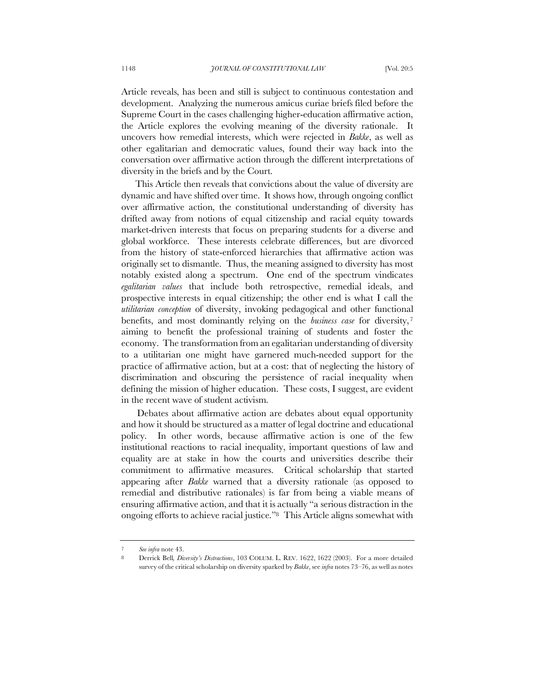Article reveals, has been and still is subject to continuous contestation and development. Analyzing the numerous amicus curiae briefs filed before the Supreme Court in the cases challenging higher-education affirmative action, the Article explores the evolving meaning of the diversity rationale. It uncovers how remedial interests, which were rejected in *Bakke*, as well as other egalitarian and democratic values, found their way back into the conversation over affirmative action through the different interpretations of diversity in the briefs and by the Court.

This Article then reveals that convictions about the value of diversity are dynamic and have shifted over time. It shows how, through ongoing conflict over affirmative action, the constitutional understanding of diversity has drifted away from notions of equal citizenship and racial equity towards market-driven interests that focus on preparing students for a diverse and global workforce. These interests celebrate differences, but are divorced from the history of state-enforced hierarchies that affirmative action was originally set to dismantle. Thus, the meaning assigned to diversity has most notably existed along a spectrum. One end of the spectrum vindicates *egalitarian values* that include both retrospective, remedial ideals, and prospective interests in equal citizenship; the other end is what I call the *utilitarian conception* of diversity, invoking pedagogical and other functional benefits, and most dominantly relying on the *business case* for diversity, <sup>7</sup> aiming to benefit the professional training of students and foster the economy. The transformation from an egalitarian understanding of diversity to a utilitarian one might have garnered much-needed support for the practice of affirmative action, but at a cost: that of neglecting the history of discrimination and obscuring the persistence of racial inequality when defining the mission of higher education. These costs, I suggest, are evident in the recent wave of student activism.

Debates about affirmative action are debates about equal opportunity and how it should be structured as a matter of legal doctrine and educational policy. In other words, because affirmative action is one of the few institutional reactions to racial inequality, important questions of law and equality are at stake in how the courts and universities describe their commitment to affirmative measures. Critical scholarship that started appearing after *Bakke* warned that a diversity rationale (as opposed to remedial and distributive rationales) is far from being a viable means of ensuring affirmative action, and that it is actually "a serious distraction in the ongoing efforts to achieve racial justice."8 This Article aligns somewhat with

<sup>7</sup> *See infra* note 43.

<sup>8</sup> Derrick Bell*, Diversity's Distractions*, 103 COLUM. L. REV. 1622, 1622 (2003). For a more detailed survey of the critical scholarship on diversity sparked by *Bakke*, see *infra* notes 73–76, as well as notes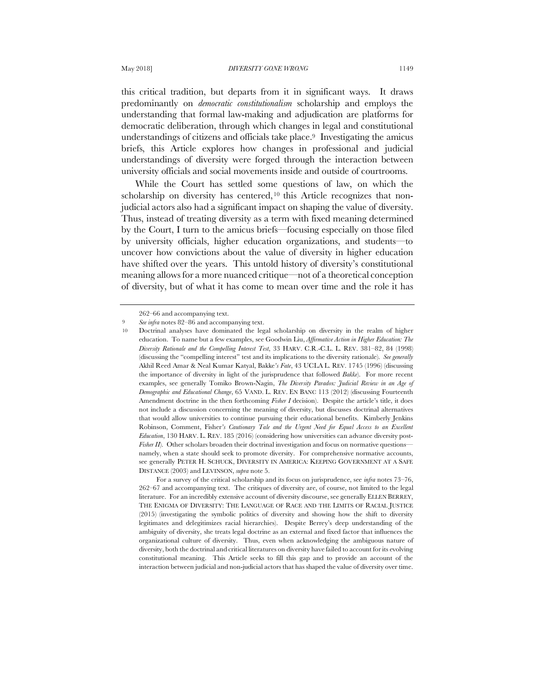this critical tradition, but departs from it in significant ways. It draws predominantly on *democratic constitutionalism* scholarship and employs the understanding that formal law-making and adjudication are platforms for democratic deliberation, through which changes in legal and constitutional understandings of citizens and officials take place.<sup>9</sup> Investigating the amicus briefs, this Article explores how changes in professional and judicial understandings of diversity were forged through the interaction between university officials and social movements inside and outside of courtrooms.

While the Court has settled some questions of law, on which the scholarship on diversity has centered,<sup>10</sup> this Article recognizes that nonjudicial actors also had a significant impact on shaping the value of diversity. Thus, instead of treating diversity as a term with fixed meaning determined by the Court, I turn to the amicus briefs—focusing especially on those filed by university officials, higher education organizations, and students—to uncover how convictions about the value of diversity in higher education have shifted over the years. This untold history of diversity's constitutional meaning allows for a more nuanced critique—not of a theoretical conception of diversity, but of what it has come to mean over time and the role it has

<sup>262–66</sup> and accompanying text.

<sup>9</sup> *See infra* notes 82–86 and accompanying text.

<sup>10</sup> Doctrinal analyses have dominated the legal scholarship on diversity in the realm of higher education. To name but a few examples, see Goodwin Liu, *Affirmative Action in Higher Education: The Diversity Rationale and the Compelling Interest Test*, 33 HARV. C.R.-C.L. L. REV. 381–82, 84 (1998) (discussing the "compelling interest" test and its implications to the diversity rationale). *See generally* Akhil Reed Amar & Neal Kumar Katyal, Bakke*'s Fate*, 43 UCLA L. REV. 1745 (1996) (discussing the importance of diversity in light of the jurisprudence that followed *Bakke*). For more recent examples, see generally Tomiko Brown-Nagin, *The Diversity Paradox: Judicial Review in an Age of Demographic and Educational Change*, 65 VAND. L. REV. EN BANC 113 (2012) (discussing Fourteenth Amendment doctrine in the then forthcoming *Fisher I* decision). Despite the article's title, it does not include a discussion concerning the meaning of diversity, but discusses doctrinal alternatives that would allow universities to continue pursuing their educational benefits. Kimberly Jenkins Robinson, Comment, Fisher*'s Cautionary Tale and the Urgent Need for Equal Access to an Excellent Education*, 130 HARV. L. REV. 185 (2016) (considering how universities can advance diversity post-*Fisher II*). Other scholars broaden their doctrinal investigation and focus on normative questions namely, when a state should seek to promote diversity. For comprehensive normative accounts, see generally PETER H. SCHUCK, DIVERSITY IN AMERICA: KEEPING GOVERNMENT AT A SAFE DISTANCE (2003) and LEVINSON, *supra* note 5.

For a survey of the critical scholarship and its focus on jurisprudence, see *infra* notes 73–76, 262–67 and accompanying text. The critiques of diversity are, of course, not limited to the legal literature. For an incredibly extensive account of diversity discourse, see generally ELLEN BERREY, THE ENIGMA OF DIVERSITY: THE LANGUAGE OF RACE AND THE LIMITS OF RACIAL JUSTICE (2015) (investigating the symbolic politics of diversity and showing how the shift to diversity legitimates and delegitimizes racial hierarchies). Despite Berrey's deep understanding of the ambiguity of diversity, she treats legal doctrine as an external and fixed factor that influences the organizational culture of diversity. Thus, even when acknowledging the ambiguous nature of diversity, both the doctrinal and critical literatures on diversity have failed to account for its evolving constitutional meaning. This Article seeks to fill this gap and to provide an account of the interaction between judicial and non-judicial actors that has shaped the value of diversity over time.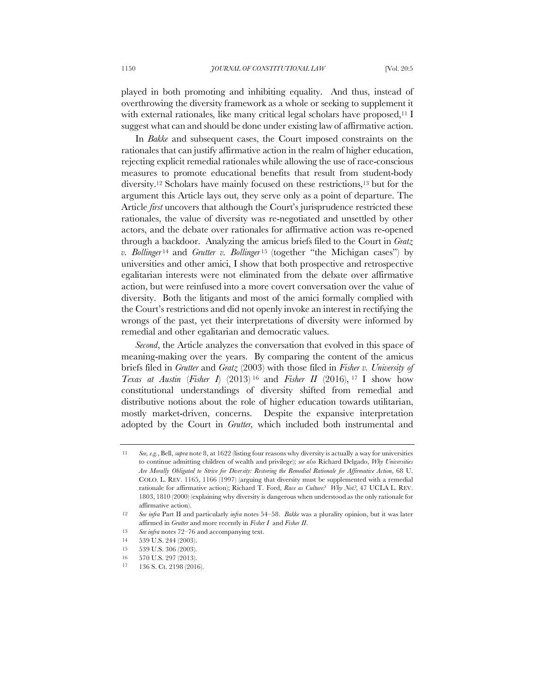played in both promoting and inhibiting equality. And thus, instead of overthrowing the diversity framework as a whole or seeking to supplement it with external rationales, like many critical legal scholars have proposed,<sup>11</sup> I suggest what can and should be done under existing law of affirmative action.

In *Bakke* and subsequent cases, the Court imposed constraints on the rationales that can justify affirmative action in the realm of higher education, rejecting explicit remedial rationales while allowing the use of race-conscious measures to promote educational benefits that result from student-body diversity.12 Scholars have mainly focused on these restrictions,13 but for the argument this Article lays out, they serve only as a point of departure. The Article *first* uncovers that although the Court's jurisprudence restricted these rationales, the value of diversity was re-negotiated and unsettled by other actors, and the debate over rationales for affirmative action was re-opened through a backdoor. Analyzing the amicus briefs filed to the Court in *Gratz v. Bollinger* <sup>14</sup> and *Grutter v. Bollinger* <sup>15</sup> (together "the Michigan cases") by universities and other amici, I show that both prospective and retrospective egalitarian interests were not eliminated from the debate over affirmative action, but were reinfused into a more covert conversation over the value of diversity. Both the litigants and most of the amici formally complied with the Court's restrictions and did not openly invoke an interest in rectifying the wrongs of the past, yet their interpretations of diversity were informed by remedial and other egalitarian and democratic values.

*Second*, the Article analyzes the conversation that evolved in this space of meaning-making over the years. By comparing the content of the amicus briefs filed in *Grutter* and *Gratz* (2003) with those filed in *Fisher v. University of Texas at Austin* (*Fisher I*) (2013) <sup>16</sup> and *Fisher II* (2016), <sup>17</sup> I show how constitutional understandings of diversity shifted from remedial and distributive notions about the role of higher education towards utilitarian, mostly market-driven, concerns. Despite the expansive interpretation adopted by the Court in *Grutter,* which included both instrumental and

<sup>11</sup> *See, e.g.*, Bell, *supra* note 8, at 1622 (listing four reasons why diversity is actually a way for universities to continue admitting children of wealth and privilege); *see also* Richard Delgado, *Why Universities Are Morally Obligated to Strive for Diversity: Restoring the Remedial Rationale for Affirmative Action*, 68 U. COLO. L. REV. 1165, 1166 (1997) (arguing that diversity must be supplemented with a remedial rationale for affirmative action); Richard T. Ford, *Race as Culture? Why Not?*, 47 UCLA L. REV. 1803, 1810 (2000) (explaining why diversity is dangerous when understood as the only rationale for affirmative action).

<sup>12</sup> *See infra* Part II and particularly *infra* notes 54–58. *Bakke* was a plurality opinion, but it was later affirmed in *Grutter* and more recently in *Fisher I* and *Fisher II*.

<sup>13</sup> *See infra* notes 72–76 and accompanying text.

<sup>14</sup> 539 U.S. 244 (2003).

<sup>15</sup> 539 U.S. 306 (2003).

<sup>16</sup> 570 U.S. 297 (2013).

<sup>17</sup> 136 S. Ct. 2198 (2016).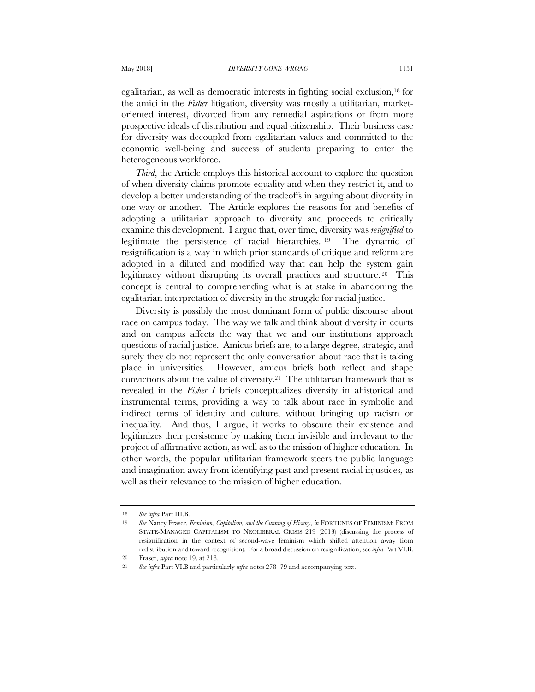egalitarian, as well as democratic interests in fighting social exclusion,18 for the amici in the *Fisher* litigation, diversity was mostly a utilitarian, marketoriented interest, divorced from any remedial aspirations or from more prospective ideals of distribution and equal citizenship. Their business case for diversity was decoupled from egalitarian values and committed to the economic well-being and success of students preparing to enter the heterogeneous workforce.

*Third*, the Article employs this historical account to explore the question of when diversity claims promote equality and when they restrict it, and to develop a better understanding of the tradeoffs in arguing about diversity in one way or another. The Article explores the reasons for and benefits of adopting a utilitarian approach to diversity and proceeds to critically examine this development. I argue that, over time, diversity was *resignified* to legitimate the persistence of racial hierarchies. <sup>19</sup> The dynamic of resignification is a way in which prior standards of critique and reform are adopted in a diluted and modified way that can help the system gain legitimacy without disrupting its overall practices and structure. <sup>20</sup> This concept is central to comprehending what is at stake in abandoning the egalitarian interpretation of diversity in the struggle for racial justice.

Diversity is possibly the most dominant form of public discourse about race on campus today. The way we talk and think about diversity in courts and on campus affects the way that we and our institutions approach questions of racial justice. Amicus briefs are, to a large degree, strategic, and surely they do not represent the only conversation about race that is taking place in universities. However, amicus briefs both reflect and shape convictions about the value of diversity.21 The utilitarian framework that is revealed in the *Fisher I* briefs conceptualizes diversity in ahistorical and instrumental terms, providing a way to talk about race in symbolic and indirect terms of identity and culture, without bringing up racism or inequality. And thus, I argue, it works to obscure their existence and legitimizes their persistence by making them invisible and irrelevant to the project of affirmative action, as well as to the mission of higher education. In other words, the popular utilitarian framework steers the public language and imagination away from identifying past and present racial injustices, as well as their relevance to the mission of higher education.

<sup>18</sup> *See infra* Part III.B.

<sup>19</sup> *See* Nancy Fraser, *Feminism, Capitalism, and the Cunning of History*, *in* FORTUNES OF FEMINISM: FROM STATE-MANAGED CAPITALISM TO NEOLIBERAL CRISIS 219 (2013) (discussing the process of resignification in the context of second-wave feminism which shifted attention away from redistribution and toward recognition). For a broad discussion on resignification, see *infra* Part VI.B. 20 Fraser, *supra* note 19, at 218.

<sup>21</sup> *See infra* Part VI.B and particularly *infra* notes 278–79 and accompanying text.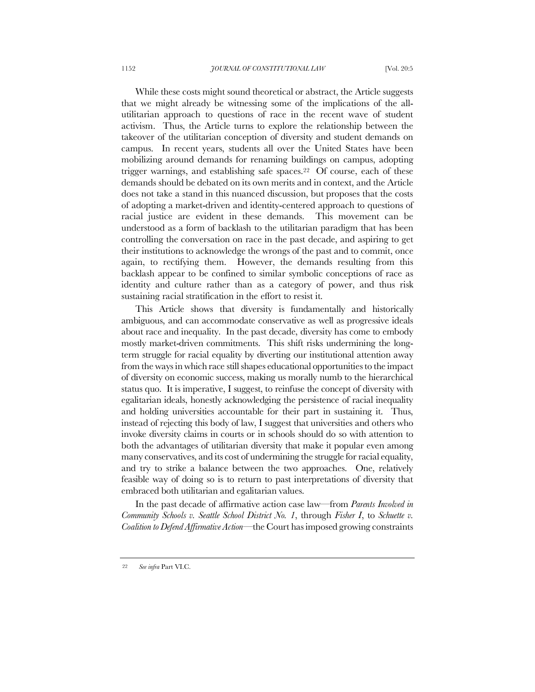While these costs might sound theoretical or abstract, the Article suggests that we might already be witnessing some of the implications of the allutilitarian approach to questions of race in the recent wave of student activism. Thus, the Article turns to explore the relationship between the takeover of the utilitarian conception of diversity and student demands on campus. In recent years, students all over the United States have been mobilizing around demands for renaming buildings on campus, adopting trigger warnings, and establishing safe spaces.<sup>22</sup> Of course, each of these demands should be debated on its own merits and in context, and the Article does not take a stand in this nuanced discussion, but proposes that the costs of adopting a market-driven and identity-centered approach to questions of racial justice are evident in these demands. This movement can be understood as a form of backlash to the utilitarian paradigm that has been controlling the conversation on race in the past decade, and aspiring to get their institutions to acknowledge the wrongs of the past and to commit, once again, to rectifying them. However, the demands resulting from this backlash appear to be confined to similar symbolic conceptions of race as identity and culture rather than as a category of power, and thus risk sustaining racial stratification in the effort to resist it.

This Article shows that diversity is fundamentally and historically ambiguous, and can accommodate conservative as well as progressive ideals about race and inequality. In the past decade, diversity has come to embody mostly market-driven commitments. This shift risks undermining the longterm struggle for racial equality by diverting our institutional attention away from the ways in which race still shapes educational opportunities to the impact of diversity on economic success, making us morally numb to the hierarchical status quo. It is imperative, I suggest, to reinfuse the concept of diversity with egalitarian ideals, honestly acknowledging the persistence of racial inequality and holding universities accountable for their part in sustaining it. Thus, instead of rejecting this body of law, I suggest that universities and others who invoke diversity claims in courts or in schools should do so with attention to both the advantages of utilitarian diversity that make it popular even among many conservatives, and its cost of undermining the struggle for racial equality, and try to strike a balance between the two approaches. One, relatively feasible way of doing so is to return to past interpretations of diversity that embraced both utilitarian and egalitarian values.

In the past decade of affirmative action case law—from *Parents Involved in Community Schools v. Seattle School District No. 1*, through *Fisher I*, to *Schuette v. Coalition to Defend Affirmative Action*—the Court has imposed growing constraints

<sup>22</sup> *See infra* Part VI.C.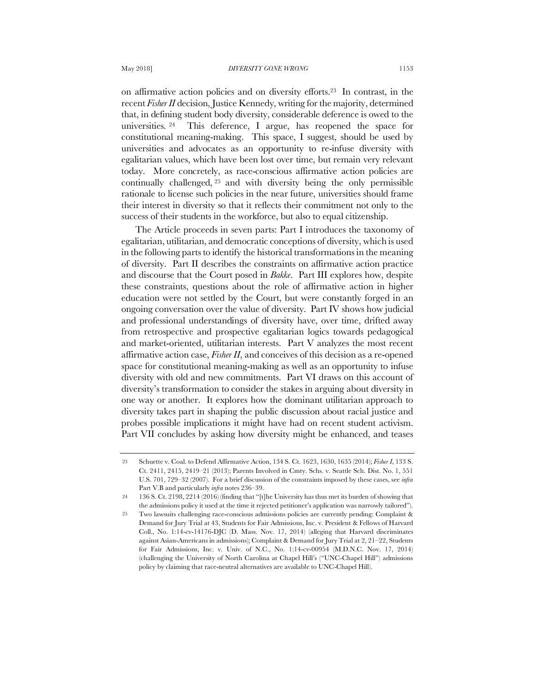on affirmative action policies and on diversity efforts.23 In contrast, in the recent *Fisher II* decision, Justice Kennedy, writing for the majority, determined that, in defining student body diversity, considerable deference is owed to the universities. <sup>24</sup> This deference, I argue, has reopened the space for constitutional meaning-making. This space, I suggest, should be used by universities and advocates as an opportunity to re-infuse diversity with egalitarian values, which have been lost over time, but remain very relevant today. More concretely, as race-conscious affirmative action policies are continually challenged, <sup>25</sup> and with diversity being the only permissible rationale to license such policies in the near future, universities should frame their interest in diversity so that it reflects their commitment not only to the success of their students in the workforce, but also to equal citizenship.

The Article proceeds in seven parts: Part I introduces the taxonomy of egalitarian, utilitarian, and democratic conceptions of diversity, which is used in the following parts to identify the historical transformations in the meaning of diversity. Part II describes the constraints on affirmative action practice and discourse that the Court posed in *Bakke*. Part III explores how, despite these constraints, questions about the role of affirmative action in higher education were not settled by the Court, but were constantly forged in an ongoing conversation over the value of diversity. Part IV shows how judicial and professional understandings of diversity have, over time, drifted away from retrospective and prospective egalitarian logics towards pedagogical and market-oriented, utilitarian interests. Part V analyzes the most recent affirmative action case, *Fisher II*, and conceives of this decision as a re-opened space for constitutional meaning-making as well as an opportunity to infuse diversity with old and new commitments. Part VI draws on this account of diversity's transformation to consider the stakes in arguing about diversity in one way or another. It explores how the dominant utilitarian approach to diversity takes part in shaping the public discussion about racial justice and probes possible implications it might have had on recent student activism. Part VII concludes by asking how diversity might be enhanced, and teases

<sup>23</sup> Schuette v. Coal. to Defend Affirmative Action, 134 S. Ct. 1623, 1630, 1635 (2014); *Fisher I*, 133 S. Ct. 2411, 2415, 2419–21 (2013); Parents Involved in Cmty. Schs. v. Seattle Sch. Dist. No. 1, 551 U.S. 701, 729–32 (2007). For a brief discussion of the constraints imposed by these cases, see *infra* Part V.B and particularly *infra* notes 236–39.

<sup>24</sup> 136 S. Ct. 2198, 2214 (2016) (finding that "[t]he University has thus met its burden of showing that the admissions policy it used at the time it rejected petitioner's application was narrowly tailored").

<sup>25</sup> Two lawsuits challenging race-conscious admissions policies are currently pending: Complaint & Demand for Jury Trial at 43, Students for Fair Admissions, Inc. v. President & Fellows of Harvard Coll., No. 1:14-cv-14176-DJC (D. Mass. Nov. 17, 2014) (alleging that Harvard discriminates against Asian-Americans in admissions); Complaint & Demand for Jury Trial at 2, 21–22, Students for Fair Admissions, Inc. v. Univ. of N.C., No. 1:14-cv-00954 (M.D.N.C. Nov. 17, 2014) (challenging the University of North Carolina at Chapel Hill's ("UNC-Chapel Hill") admissions policy by claiming that race-neutral alternatives are available to UNC-Chapel Hill).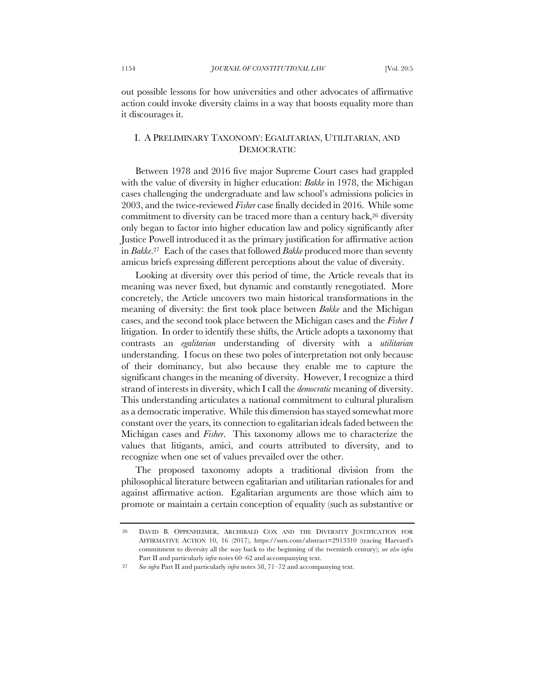out possible lessons for how universities and other advocates of affirmative action could invoke diversity claims in a way that boosts equality more than it discourages it.

# I. A PRELIMINARY TAXONOMY: EGALITARIAN, UTILITARIAN, AND DEMOCRATIC

Between 1978 and 2016 five major Supreme Court cases had grappled with the value of diversity in higher education: *Bakke* in 1978, the Michigan cases challenging the undergraduate and law school's admissions policies in 2003, and the twice-reviewed *Fisher* case finally decided in 2016. While some commitment to diversity can be traced more than a century back,<sup>26</sup> diversity only began to factor into higher education law and policy significantly after Justice Powell introduced it as the primary justification for affirmative action in *Bakke*.27 Each of the cases that followed *Bakke* produced more than seventy amicus briefs expressing different perceptions about the value of diversity.

Looking at diversity over this period of time, the Article reveals that its meaning was never fixed, but dynamic and constantly renegotiated. More concretely, the Article uncovers two main historical transformations in the meaning of diversity: the first took place between *Bakke* and the Michigan cases, and the second took place between the Michigan cases and the *Fisher I*  litigation. In order to identify these shifts, the Article adopts a taxonomy that contrasts an *egalitarian* understanding of diversity with a *utilitarian* understanding. I focus on these two poles of interpretation not only because of their dominancy, but also because they enable me to capture the significant changes in the meaning of diversity. However, I recognize a third strand of interests in diversity, which I call the *democratic* meaning of diversity. This understanding articulates a national commitment to cultural pluralism as a democratic imperative. While this dimension has stayed somewhat more constant over the years, its connection to egalitarian ideals faded between the Michigan cases and *Fisher*. This taxonomy allows me to characterize the values that litigants, amici, and courts attributed to diversity, and to recognize when one set of values prevailed over the other.

The proposed taxonomy adopts a traditional division from the philosophical literature between egalitarian and utilitarian rationales for and against affirmative action. Egalitarian arguments are those which aim to promote or maintain a certain conception of equality (such as substantive or

<sup>26</sup> DAVID B. OPPENHEIMER, ARCHIBALD COX AND THE DIVERSITY JUSTIFICATION FOR AFFIRMATIVE ACTION 10, 16 (2017), https://ssrn.com/abstract=2913310 (tracing Harvard's commitment to diversity all the way back to the beginning of the twentieth century); *see also infra* Part II and particularly *infra* notes 60–62 and accompanying text.

<sup>27</sup> *See infra* Part II and particularly *infra* notes 58, 71–72 and accompanying text.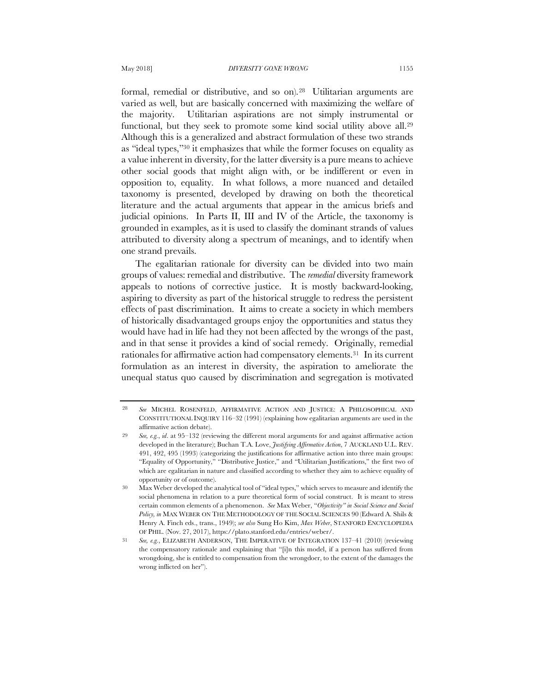formal, remedial or distributive, and so on).28 Utilitarian arguments are varied as well, but are basically concerned with maximizing the welfare of the majority. Utilitarian aspirations are not simply instrumental or functional, but they seek to promote some kind social utility above all.29 Although this is a generalized and abstract formulation of these two strands as "ideal types,"30 it emphasizes that while the former focuses on equality as a value inherent in diversity, for the latter diversity is a pure means to achieve other social goods that might align with, or be indifferent or even in opposition to, equality. In what follows, a more nuanced and detailed taxonomy is presented, developed by drawing on both the theoretical literature and the actual arguments that appear in the amicus briefs and judicial opinions. In Parts II, III and IV of the Article, the taxonomy is grounded in examples, as it is used to classify the dominant strands of values attributed to diversity along a spectrum of meanings, and to identify when one strand prevails.

The egalitarian rationale for diversity can be divided into two main groups of values: remedial and distributive. The *remedial* diversity framework appeals to notions of corrective justice. It is mostly backward-looking, aspiring to diversity as part of the historical struggle to redress the persistent effects of past discrimination. It aims to create a society in which members of historically disadvantaged groups enjoy the opportunities and status they would have had in life had they not been affected by the wrongs of the past, and in that sense it provides a kind of social remedy. Originally, remedial rationales for affirmative action had compensatory elements.31 In its current formulation as an interest in diversity, the aspiration to ameliorate the unequal status quo caused by discrimination and segregation is motivated

<sup>28</sup> *See* MICHEL ROSENFELD, AFFIRMATIVE ACTION AND JUSTICE: A PHILOSOPHICAL AND CONSTITUTIONAL INQUIRY 116–32 (1991) (explaining how egalitarian arguments are used in the affirmative action debate).

<sup>29</sup> *See, e.g.*, *id*. at 95–132 (reviewing the different moral arguments for and against affirmative action developed in the literature); Buchan T.A. Love, *Justifying Affirmative Action*, 7 AUCKLAND U.L. REV. 491, 492, 495 (1993) (categorizing the justifications for affirmative action into three main groups: "Equality of Opportunity," "Distributive Justice," and "Utilitarian Justifications," the first two of which are egalitarian in nature and classified according to whether they aim to achieve equality of opportunity or of outcome).

<sup>30</sup> Max Weber developed the analytical tool of "ideal types," which serves to measure and identify the social phenomena in relation to a pure theoretical form of social construct. It is meant to stress certain common elements of a phenomenon. *See* Max Weber, "*Objectivity" in Social Science and Social Policy, in* MAX WEBER ON THE METHODOLOGY OF THE SOCIAL SCIENCES 90 (Edward A. Shils & Henry A. Finch eds., trans., 1949); *see also* Sung Ho Kim, *Max Weber*, STANFORD ENCYCLOPEDIA OF PHIL. (Nov. 27, 2017), https://plato.stanford.edu/entries/weber/.

<sup>31</sup> *See, e.g.*, ELIZABETH ANDERSON, THE IMPERATIVE OF INTEGRATION 137–41 (2010) (reviewing the compensatory rationale and explaining that "[i]n this model, if a person has suffered from wrongdoing, she is entitled to compensation from the wrongdoer, to the extent of the damages the wrong inflicted on her").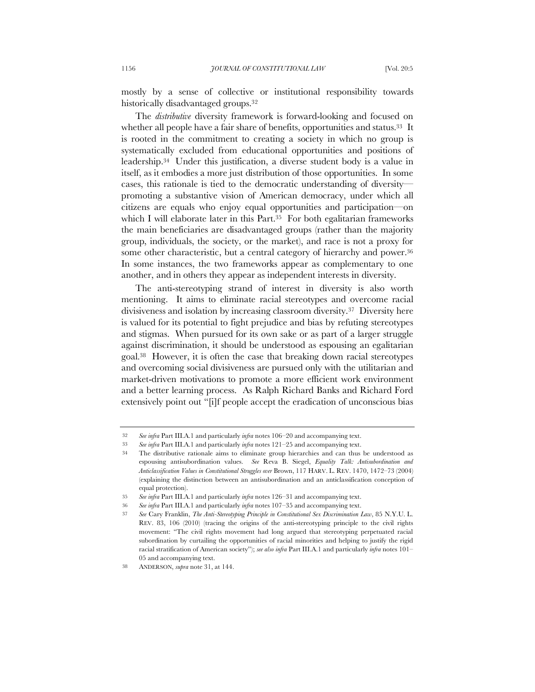mostly by a sense of collective or institutional responsibility towards historically disadvantaged groups.32

The *distributive* diversity framework is forward-looking and focused on whether all people have a fair share of benefits, opportunities and status.<sup>33</sup> It is rooted in the commitment to creating a society in which no group is systematically excluded from educational opportunities and positions of leadership.34 Under this justification, a diverse student body is a value in itself, as it embodies a more just distribution of those opportunities. In some cases, this rationale is tied to the democratic understanding of diversity promoting a substantive vision of American democracy, under which all citizens are equals who enjoy equal opportunities and participation—on which I will elaborate later in this Part.<sup>35</sup> For both egalitarian frameworks the main beneficiaries are disadvantaged groups (rather than the majority group, individuals, the society, or the market), and race is not a proxy for some other characteristic, but a central category of hierarchy and power.<sup>36</sup> In some instances, the two frameworks appear as complementary to one another, and in others they appear as independent interests in diversity.

The anti-stereotyping strand of interest in diversity is also worth mentioning. It aims to eliminate racial stereotypes and overcome racial divisiveness and isolation by increasing classroom diversity.37 Diversity here is valued for its potential to fight prejudice and bias by refuting stereotypes and stigmas. When pursued for its own sake or as part of a larger struggle against discrimination, it should be understood as espousing an egalitarian goal.38 However, it is often the case that breaking down racial stereotypes and overcoming social divisiveness are pursued only with the utilitarian and market-driven motivations to promote a more efficient work environment and a better learning process. As Ralph Richard Banks and Richard Ford extensively point out "[i]f people accept the eradication of unconscious bias

<sup>32</sup> *See infra* Part III.A.1 and particularly *infra* notes 106–20 and accompanying text.

<sup>33</sup> *See infra* Part III.A.1 and particularly *infra* notes 121–25 and accompanying text.

<sup>34</sup> The distributive rationale aims to eliminate group hierarchies and can thus be understood as espousing antisubordination values. *See* Reva B. Siegel, *Equality Talk: Antisubordination and Anticlassification Values in Constitutional Struggles over* Brown, 117 HARV. L. REV. 1470, 1472–73 (2004) (explaining the distinction between an antisubordination and an anticlassification conception of equal protection).

<sup>35</sup> *See infra* Part III.A.1 and particularly *infra* notes 126–31 and accompanying text.

<sup>36</sup> *See infra* Part III.A.1 and particularly *infra* notes 107–35 and accompanying text.

<sup>37</sup> *See* Cary Franklin, *The Anti-Stereotyping Principle in Constitutional Sex Discrimination Law*, 85 N.Y.U. L. REV. 83, 106 (2010) (tracing the origins of the anti-stereotyping principle to the civil rights movement: "The civil rights movement had long argued that stereotyping perpetuated racial subordination by curtailing the opportunities of racial minorities and helping to justify the rigid racial stratification of American society"); *see also infra* Part III.A.1 and particularly *infra* notes 101– 05 and accompanying text.

<sup>38</sup> ANDERSON, *supra* note 31, at 144.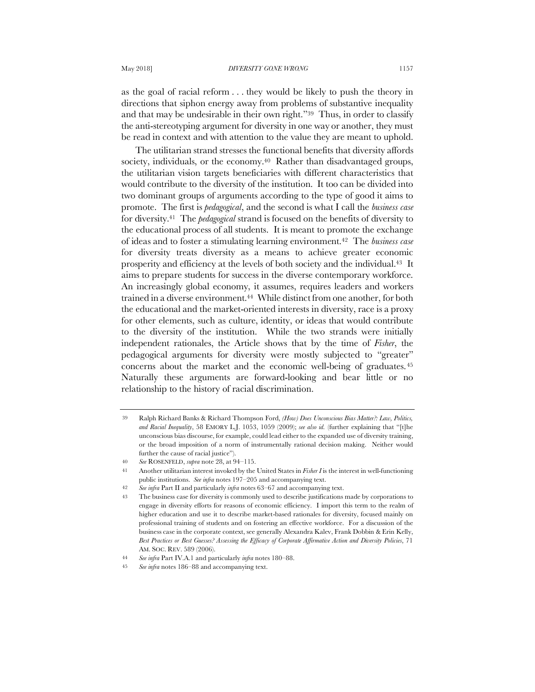as the goal of racial reform . . . they would be likely to push the theory in directions that siphon energy away from problems of substantive inequality and that may be undesirable in their own right."39 Thus, in order to classify the anti-stereotyping argument for diversity in one way or another, they must be read in context and with attention to the value they are meant to uphold.

The utilitarian strand stresses the functional benefits that diversity affords society, individuals, or the economy.<sup>40</sup> Rather than disadvantaged groups, the utilitarian vision targets beneficiaries with different characteristics that would contribute to the diversity of the institution. It too can be divided into two dominant groups of arguments according to the type of good it aims to promote. The first is *pedagogical*, and the second is what I call the *business case* for diversity.41 The *pedagogical* strand is focused on the benefits of diversity to the educational process of all students. It is meant to promote the exchange of ideas and to foster a stimulating learning environment.42 The *business case* for diversity treats diversity as a means to achieve greater economic prosperity and efficiency at the levels of both society and the individual.43 It aims to prepare students for success in the diverse contemporary workforce. An increasingly global economy, it assumes, requires leaders and workers trained in a diverse environment.44 While distinct from one another, for both the educational and the market-oriented interests in diversity, race is a proxy for other elements, such as culture, identity, or ideas that would contribute to the diversity of the institution. While the two strands were initially independent rationales, the Article shows that by the time of *Fisher*, the pedagogical arguments for diversity were mostly subjected to "greater" concerns about the market and the economic well-being of graduates.45 Naturally these arguments are forward-looking and bear little or no relationship to the history of racial discrimination.

<sup>39</sup> Ralph Richard Banks & Richard Thompson Ford, *(How) Does Unconscious Bias Matter?: Law, Politics, and Racial Inequality*, 58 EMORY L.J. 1053, 1059 (2009); *see also id.* (further explaining that "[t]he unconscious bias discourse, for example, could lead either to the expanded use of diversity training, or the broad imposition of a norm of instrumentally rational decision making. Neither would further the cause of racial justice").

<sup>40</sup> *See* ROSENFELD, *supra* note 28, at 94–115.

<sup>41</sup> Another utilitarian interest invoked by the United States in *Fisher I* is the interest in well-functioning public institutions. *See infra* notes 197–205 and accompanying text.

<sup>42</sup> *See infra* Part II and particularly *infra* notes 63–67 and accompanying text.

<sup>43</sup> The business case for diversity is commonly used to describe justifications made by corporations to engage in diversity efforts for reasons of economic efficiency. I import this term to the realm of higher education and use it to describe market-based rationales for diversity, focused mainly on professional training of students and on fostering an effective workforce. For a discussion of the business case in the corporate context, see generally Alexandra Kalev, Frank Dobbin & Erin Kelly, *Best Practices or Best Guesses? Assessing the Efficacy of Corporate Affirmative Action and Diversity Policies*, 71 AM. SOC. REV. 589 (2006).

<sup>44</sup> *See infra* Part IV.A.1 and particularly *infra* notes 180–88.

<sup>45</sup> *See infra* notes 186–88 and accompanying text.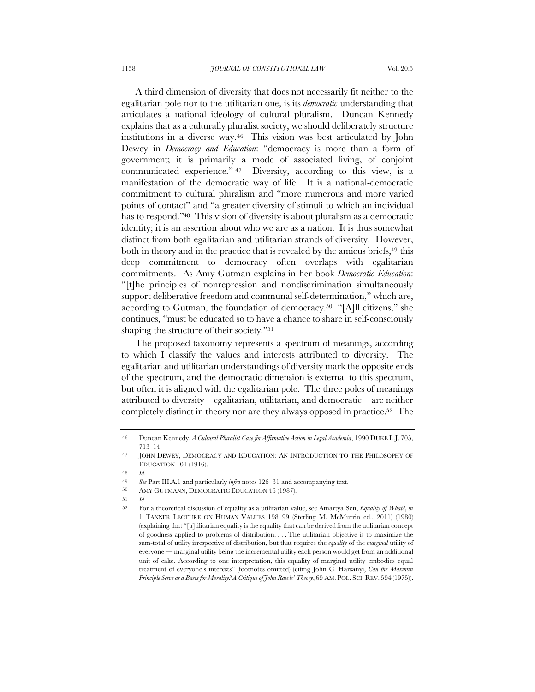A third dimension of diversity that does not necessarily fit neither to the egalitarian pole nor to the utilitarian one, is its *democratic* understanding that articulates a national ideology of cultural pluralism. Duncan Kennedy explains that as a culturally pluralist society, we should deliberately structure institutions in a diverse way.46 This vision was best articulated by John Dewey in *Democracy and Education*: "democracy is more than a form of government; it is primarily a mode of associated living, of conjoint communicated experience." <sup>47</sup> Diversity, according to this view, is a manifestation of the democratic way of life. It is a national-democratic commitment to cultural pluralism and "more numerous and more varied points of contact" and "a greater diversity of stimuli to which an individual has to respond."<sup>48</sup> This vision of diversity is about pluralism as a democratic identity; it is an assertion about who we are as a nation. It is thus somewhat distinct from both egalitarian and utilitarian strands of diversity. However, both in theory and in the practice that is revealed by the amicus briefs,  $49$  this deep commitment to democracy often overlaps with egalitarian commitments. As Amy Gutman explains in her book *Democratic Education*: "[t]he principles of nonrepression and nondiscrimination simultaneously support deliberative freedom and communal self-determination," which are, according to Gutman, the foundation of democracy.50 "[A]ll citizens," she continues, "must be educated so to have a chance to share in self-consciously shaping the structure of their society."51

The proposed taxonomy represents a spectrum of meanings, according to which I classify the values and interests attributed to diversity. The egalitarian and utilitarian understandings of diversity mark the opposite ends of the spectrum, and the democratic dimension is external to this spectrum, but often it is aligned with the egalitarian pole. The three poles of meanings attributed to diversity—egalitarian, utilitarian, and democratic—are neither completely distinct in theory nor are they always opposed in practice.52 The

<sup>46</sup> Duncan Kennedy, *A Cultural Pluralist Case for Affirmative Action in Legal Academia*, 1990 DUKE L.J. 705, 713–14.

<sup>47</sup> JOHN DEWEY, DEMOCRACY AND EDUCATION: AN INTRODUCTION TO THE PHILOSOPHY OF EDUCATION 101 (1916).

<sup>48</sup> *Id*.

<sup>49</sup> *See* Part III.A.1 and particularly *infra* notes 126–31 and accompanying text.<br>50 AMY CUTMANN DEMOCRATIC EDUCATION 46 (1097)

AMY GUTMANN, DEMOCRATIC EDUCATION 46 (1987).

<sup>51</sup> *Id*.

<sup>52</sup> For a theoretical discussion of equality as a utilitarian value, see Amartya Sen, *Equality of What?*, *in*  1 TANNER LECTURE ON HUMAN VALUES 198–99 (Sterling M. McMurrin ed., 2011) (1980) (explaining that "[u]tilitarian equality is the equality that can be derived from the utilitarian concept of goodness applied to problems of distribution. . . . The utilitarian objective is to maximize the sum-total of utility irrespective of distribution, but that requires the *equality* of the *marginal* utility of everyone — marginal utility being the incremental utility each person would get from an additional unit of cake. According to one interpretation, this equality of marginal utility embodies equal treatment of everyone's interests" (footnotes omitted) (citing John C. Harsanyi, *Can the Maximin Principle Serve as a Basis for Morality? A Critique of John Rawls' Theory*, 69 AM. POL. SCI. REV. 594 (1975)).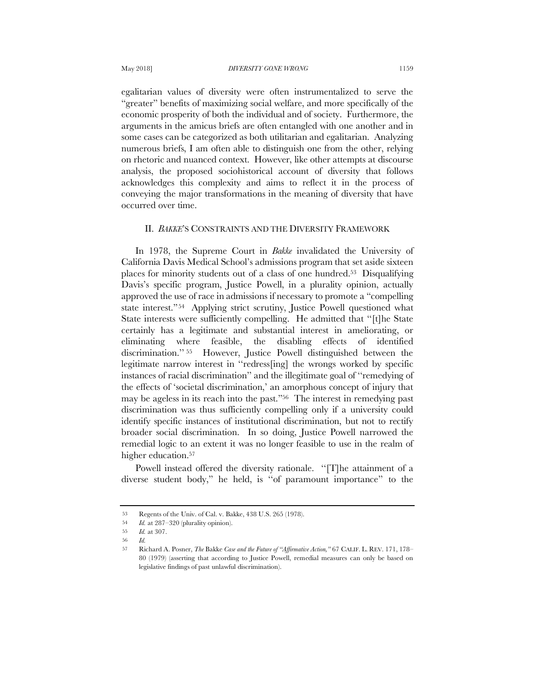egalitarian values of diversity were often instrumentalized to serve the "greater" benefits of maximizing social welfare, and more specifically of the economic prosperity of both the individual and of society. Furthermore, the arguments in the amicus briefs are often entangled with one another and in some cases can be categorized as both utilitarian and egalitarian. Analyzing numerous briefs, I am often able to distinguish one from the other, relying on rhetoric and nuanced context. However, like other attempts at discourse analysis, the proposed sociohistorical account of diversity that follows acknowledges this complexity and aims to reflect it in the process of conveying the major transformations in the meaning of diversity that have occurred over time.

#### II. *BAKKE*'S CONSTRAINTS AND THE DIVERSITY FRAMEWORK

In 1978, the Supreme Court in *Bakke* invalidated the University of California Davis Medical School's admissions program that set aside sixteen places for minority students out of a class of one hundred.53 Disqualifying Davis's specific program, Justice Powell, in a plurality opinion, actually approved the use of race in admissions if necessary to promote a "compelling state interest."54 Applying strict scrutiny, Justice Powell questioned what State interests were sufficiently compelling. He admitted that ''[t]he State certainly has a legitimate and substantial interest in ameliorating, or eliminating where feasible, the disabling effects of identified discrimination.'' 55 However, Justice Powell distinguished between the legitimate narrow interest in ''redress[ing] the wrongs worked by specific instances of racial discrimination'' and the illegitimate goal of ''remedying of the effects of 'societal discrimination,' an amorphous concept of injury that may be ageless in its reach into the past."56 The interest in remedying past discrimination was thus sufficiently compelling only if a university could identify specific instances of institutional discrimination, but not to rectify broader social discrimination. In so doing, Justice Powell narrowed the remedial logic to an extent it was no longer feasible to use in the realm of higher education.<sup>57</sup>

Powell instead offered the diversity rationale. ''[T]he attainment of a diverse student body," he held, is ''of paramount importance'' to the

<sup>53</sup> Regents of the Univ. of Cal. v. Bakke, 438 U.S. 265 (1978).

<sup>54</sup> *Id.* at 287–320 (plurality opinion).

<sup>55</sup> *Id.* at 307.

<sup>56</sup> *Id.*

<sup>57</sup> Richard A. Posner, *The* Bakke *Case and the Future of "Affirmative Action,"* 67 CALIF. L. REV. 171, 178– 80 (1979) (asserting that according to Justice Powell, remedial measures can only be based on legislative findings of past unlawful discrimination).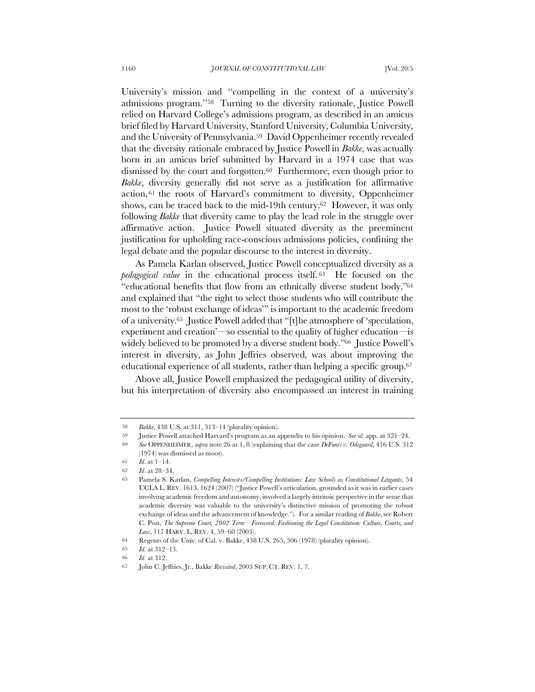University's mission and ''compelling in the context of a university's admissions program.''58 Turning to the diversity rationale, Justice Powell relied on Harvard College's admissions program, as described in an amicus brief filed by Harvard University, Stanford University, Columbia University, and the University of Pennsylvania.59 David Oppenheimer recently revealed that the diversity rationale embraced by Justice Powell in *Bakke*, was actually born in an amicus brief submitted by Harvard in a 1974 case that was dismissed by the court and forgotten.60 Furthermore, even though prior to *Bakke*, diversity generally did not serve as a justification for affirmative action, <sup>61</sup> the roots of Harvard's commitment to diversity, Oppenheimer shows, can be traced back to the mid-19th century.62 However, it was only following *Bakke* that diversity came to play the lead role in the struggle over affirmative action. Justice Powell situated diversity as the preeminent justification for upholding race-conscious admissions policies, confining the legal debate and the popular discourse to the interest in diversity.

As Pamela Karlan observed, Justice Powell conceptualized diversity as a *pedagogical value* in the educational process itself. 63 He focused on the "educational benefits that flow from an ethnically diverse student body,"64 and explained that "the right to select those students who will contribute the most to the 'robust exchange of ideas'" is important to the academic freedom of a university.65 Justice Powell added that "[t]he atmosphere of 'speculation, experiment and creation'—so essential to the quality of higher education—is widely believed to be promoted by a diverse student body."<sup>66</sup> Justice Powell's interest in diversity, as John Jeffries observed, was about improving the educational experience of all students, rather than helping a specific group.<sup>67</sup>

Above all, Justice Powell emphasized the pedagogical utility of diversity, but his interpretation of diversity also encompassed an interest in training

<sup>58</sup> *Bakke*, 438 U.S. at 311, 313–14 (plurality opinion).

<sup>59</sup> Justice Powell attached Harvard's program as an appendix to his opinion. *See id.* app. at 321–24.

<sup>60</sup> *See* OPPENHEIMER, *supra* note 26 at 1, 8 (explaining that the case *DeFunis v. Odegaard*, 416 U.S. 312 (1974) was dismissed as moot).

<sup>61</sup> *Id*. at 1–14.

<sup>62</sup> *Id*. at 28–34.

<sup>63</sup> Pamela S. Karlan, *Compelling Interests/Compelling Institutions: Law Schools as Constitutional Litigants*, 54 UCLA L. REV. 1613, 1624 (2007) ("Justice Powell's articulation, grounded as it was in earlier cases involving academic freedom and autonomy, involved a largely intrinsic perspective in the sense that academic diversity was valuable to the university's distinctive mission of promoting the robust exchange of ideas and the advancement of knowledge."). For a similar reading of *Bakke*, see Robert C. Post, *The Supreme Court, 2002 Term*—*Foreword: Fashioning the Legal Constitution: Culture, Courts, and Law*, 117 HARV. L. REV. 4, 59–60 (2003).

<sup>64</sup> Regents of the Univ. of Cal. v. Bakke, 438 U.S. 265, 306 (1978) (plurality opinion).

<sup>65</sup> *Id.* at 312–13.

<sup>66</sup> *Id.* at 312.

<sup>67</sup> John C. Jeffries, Jr., Bakke *Revisited*, 2003 SUP. CT. REV. 1, 7.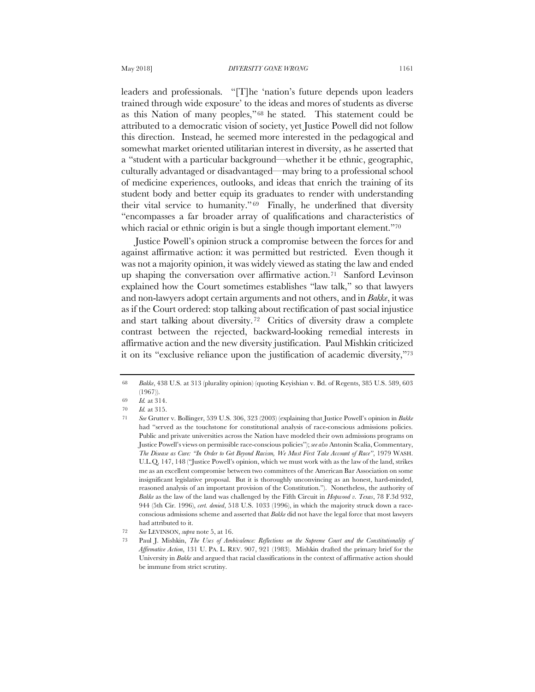leaders and professionals. "[T]he 'nation's future depends upon leaders trained through wide exposure' to the ideas and mores of students as diverse as this Nation of many peoples," <sup>68</sup> he stated. This statement could be attributed to a democratic vision of society, yet Justice Powell did not follow this direction. Instead, he seemed more interested in the pedagogical and somewhat market oriented utilitarian interest in diversity, as he asserted that a "student with a particular background—whether it be ethnic, geographic, culturally advantaged or disadvantaged—may bring to a professional school of medicine experiences, outlooks, and ideas that enrich the training of its student body and better equip its graduates to render with understanding their vital service to humanity." <sup>69</sup> Finally, he underlined that diversity "encompasses a far broader array of qualifications and characteristics of which racial or ethnic origin is but a single though important element."<sup>70</sup>

Justice Powell's opinion struck a compromise between the forces for and against affirmative action: it was permitted but restricted. Even though it was not a majority opinion, it was widely viewed as stating the law and ended up shaping the conversation over affirmative action.71 Sanford Levinson explained how the Court sometimes establishes "law talk," so that lawyers and non-lawyers adopt certain arguments and not others, and in *Bakke*, it was as if the Court ordered: stop talking about rectification of past social injustice and start talking about diversity.72 Critics of diversity draw a complete contrast between the rejected, backward-looking remedial interests in affirmative action and the new diversity justification. Paul Mishkin criticized it on its "exclusive reliance upon the justification of academic diversity,"73

<sup>68</sup> *Bakke*, 438 U.S. at 313 (plurality opinion) (quoting Keyishian v. Bd. of Regents, 385 U.S. 589, 603 (1967)).

<sup>69</sup> *Id.* at 314.

<sup>70</sup> *Id.* at 315.

<sup>71</sup> *See* Grutter v. Bollinger, 539 U.S. 306, 323 (2003) (explaining that Justice Powell's opinion in *Bakke* had "served as the touchstone for constitutional analysis of race-conscious admissions policies. Public and private universities across the Nation have modeled their own admissions programs on Justice Powell's views on permissible race-conscious policies"); *see also* Antonin Scalia, Commentary, *The Disease as Cure: "In Order to Get Beyond Racism, We Must First Take Account of Race"*, 1979 WASH. U.L.Q. 147, 148 ("Justice Powell's opinion, which we must work with as the law of the land, strikes me as an excellent compromise between two committees of the American Bar Association on some insignificant legislative proposal. But it is thoroughly unconvincing as an honest, hard-minded, reasoned analysis of an important provision of the Constitution."). Nonetheless, the authority of *Bakke* as the law of the land was challenged by the Fifth Circuit in *Hopwood v. Texas*, 78 F.3d 932, 944 (5th Cir. 1996), *cert. denied*, 518 U.S. 1033 (1996), in which the majority struck down a raceconscious admissions scheme and asserted that *Bakke* did not have the legal force that most lawyers had attributed to it.

<sup>72</sup> *See* LEVINSON, *supra* note 5, at 16.

<sup>73</sup> Paul J. Mishkin, *The Uses of Ambivalence: Reflections on the Supreme Court and the Constitutionality of Affirmative Action*, 131 U. PA. L. REV. 907, 921 (1983). Mishkin drafted the primary brief for the University in *Bakke* and argued that racial classifications in the context of affirmative action should be immune from strict scrutiny.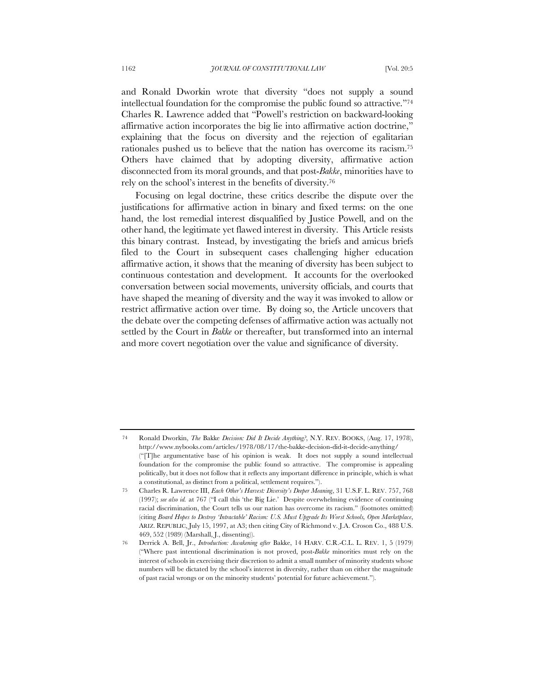and Ronald Dworkin wrote that diversity "does not supply a sound intellectual foundation for the compromise the public found so attractive."74 Charles R. Lawrence added that "Powell's restriction on backward-looking affirmative action incorporates the big lie into affirmative action doctrine," explaining that the focus on diversity and the rejection of egalitarian rationales pushed us to believe that the nation has overcome its racism.75 Others have claimed that by adopting diversity, affirmative action disconnected from its moral grounds, and that post-*Bakke*, minorities have to rely on the school's interest in the benefits of diversity.76

Focusing on legal doctrine, these critics describe the dispute over the justifications for affirmative action in binary and fixed terms: on the one hand, the lost remedial interest disqualified by Justice Powell, and on the other hand, the legitimate yet flawed interest in diversity. This Article resists this binary contrast. Instead, by investigating the briefs and amicus briefs filed to the Court in subsequent cases challenging higher education affirmative action, it shows that the meaning of diversity has been subject to continuous contestation and development. It accounts for the overlooked conversation between social movements, university officials, and courts that have shaped the meaning of diversity and the way it was invoked to allow or restrict affirmative action over time. By doing so, the Article uncovers that the debate over the competing defenses of affirmative action was actually not settled by the Court in *Bakke* or thereafter, but transformed into an internal and more covert negotiation over the value and significance of diversity.

<sup>74</sup> Ronald Dworkin, *The* Bakke *Decision: Did It Decide Anything?*, N.Y. REV. BOOKS, (Aug. 17, 1978), http://www.nybooks.com/articles/1978/08/17/the-bakke-decision-did-it-decide-anything/ ("[T]he argumentative base of his opinion is weak. It does not supply a sound intellectual foundation for the compromise the public found so attractive. The compromise is appealing politically, but it does not follow that it reflects any important difference in principle, which is what a constitutional, as distinct from a political, settlement requires.").

<sup>75</sup> Charles R. Lawrence III, *Each Other's Harvest: Diversity's Deeper Meaning*, 31 U.S.F. L. REV. 757, 768 (1997); *see also id.* at 767 ("I call this 'the Big Lie.' Despite overwhelming evidence of continuing racial discrimination, the Court tells us our nation has overcome its racism." (footnotes omitted) (citing *Board Hopes to Destroy 'Intractable' Racism: U.S. Must Upgrade Its Worst Schools, Open Marketplace*, ARIZ. REPUBLIC, July 15, 1997, at A3; then citing City of Richmond v. J.A. Croson Co., 488 U.S. 469, 552 (1989) (Marshall, J., dissenting)).

<sup>76</sup> Derrick A. Bell, Jr., *Introduction: Awakening after* Bakke, 14 HARV. C.R.-C.L. L. REV. 1, 5 (1979) ("Where past intentional discrimination is not proved, post-*Bakke* minorities must rely on the interest of schools in exercising their discretion to admit a small number of minority students whose numbers will be dictated by the school's interest in diversity, rather than on either the magnitude of past racial wrongs or on the minority students' potential for future achievement.").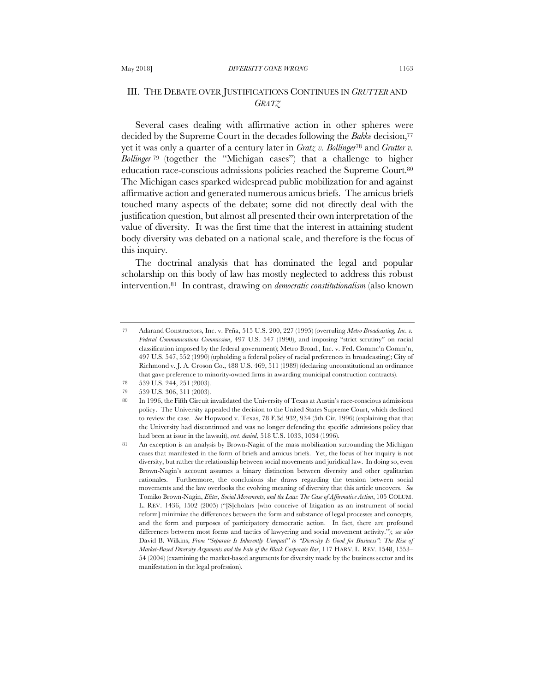# III. THE DEBATE OVER JUSTIFICATIONS CONTINUES IN *GRUTTER* AND *GRATZ*

Several cases dealing with affirmative action in other spheres were decided by the Supreme Court in the decades following the *Bakke* decision,<sup>77</sup> yet it was only a quarter of a century later in *Gratz v. Bollinger*<sup>78</sup> and *Grutter v. Bollinger* <sup>79</sup> (together the "Michigan cases") that a challenge to higher education race-conscious admissions policies reached the Supreme Court.80 The Michigan cases sparked widespread public mobilization for and against affirmative action and generated numerous amicus briefs. The amicus briefs touched many aspects of the debate; some did not directly deal with the justification question, but almost all presented their own interpretation of the value of diversity. It was the first time that the interest in attaining student body diversity was debated on a national scale, and therefore is the focus of this inquiry.

The doctrinal analysis that has dominated the legal and popular scholarship on this body of law has mostly neglected to address this robust intervention.81 In contrast, drawing on *democratic constitutionalism* (also known

<sup>77</sup> Adarand Constructors, Inc. v. Peña, 515 U.S. 200, 227 (1995) (overruling *Metro Broadcasting, Inc. v. Federal Communications Commission*, 497 U.S. 547 (1990), and imposing "strict scrutiny" on racial classification imposed by the federal government); Metro Broad., Inc. v. Fed. Commc'n Comm'n, 497 U.S. 547, 552 (1990) (upholding a federal policy of racial preferences in broadcasting); City of Richmond v. J. A. Croson Co., 488 U.S. 469, 511 (1989) (declaring unconstitutional an ordinance that gave preference to minority-owned firms in awarding municipal construction contracts).

<sup>78</sup> 539 U.S. 244, 251 (2003).

<sup>79</sup> 539 U.S. 306, 311 (2003).

<sup>80</sup> In 1996, the Fifth Circuit invalidated the University of Texas at Austin's race-conscious admissions policy. The University appealed the decision to the United States Supreme Court, which declined to review the case. *See* Hopwood v. Texas, 78 F.3d 932, 934 (5th Cir. 1996) (explaining that that the University had discontinued and was no longer defending the specific admissions policy that had been at issue in the lawsuit), *cert. denied*, 518 U.S. 1033, 1034 (1996).

<sup>81</sup> An exception is an analysis by Brown-Nagin of the mass mobilization surrounding the Michigan cases that manifested in the form of briefs and amicus briefs. Yet, the focus of her inquiry is not diversity, but rather the relationship between social movements and juridical law. In doing so, even Brown-Nagin's account assumes a binary distinction between diversity and other egalitarian rationales. Furthermore, the conclusions she draws regarding the tension between social movements and the law overlooks the evolving meaning of diversity that this article uncovers. *See* Tomiko Brown-Nagin, *Elites, Social Movements, and the Law: The Case of Affirmative Action*, 105 COLUM. L. REV. 1436, 1502 (2005) ("[S]cholars [who conceive of litigation as an instrument of social reform] minimize the differences between the form and substance of legal processes and concepts, and the form and purposes of participatory democratic action. In fact, there are profound differences between most forms and tactics of lawyering and social movement activity."); *see also* David B. Wilkins, *From "Separate Is Inherently Unequal" to "Diversity Is Good for Business": The Rise of Market-Based Diversity Arguments and the Fate of the Black Corporate Bar*, 117 HARV. L. REV. 1548, 1553– 54 (2004) (examining the market-based arguments for diversity made by the business sector and its manifestation in the legal profession).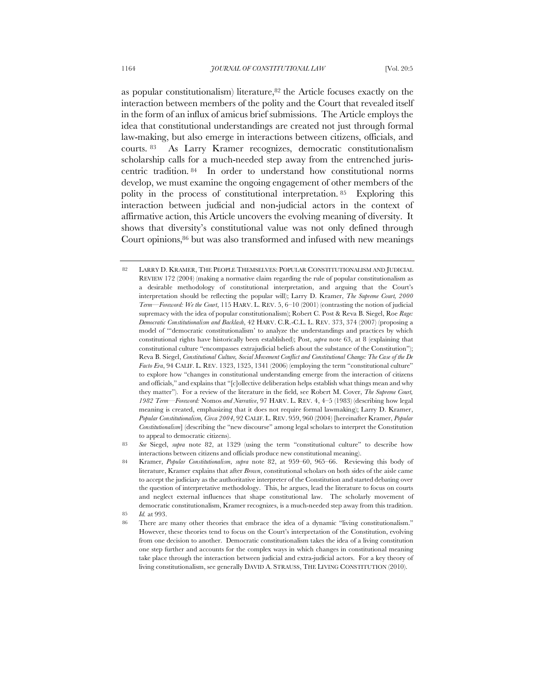as popular constitutionalism) literature, $82$  the Article focuses exactly on the interaction between members of the polity and the Court that revealed itself in the form of an influx of amicus brief submissions. The Article employs the idea that constitutional understandings are created not just through formal law-making, but also emerge in interactions between citizens, officials, and courts. <sup>83</sup> As Larry Kramer recognizes, democratic constitutionalism scholarship calls for a much-needed step away from the entrenched juriscentric tradition. <sup>84</sup> In order to understand how constitutional norms develop, we must examine the ongoing engagement of other members of the polity in the process of constitutional interpretation. 85 Exploring this interaction between judicial and non-judicial actors in the context of affirmative action, this Article uncovers the evolving meaning of diversity. It shows that diversity's constitutional value was not only defined through Court opinions, 86 but was also transformed and infused with new meanings

<sup>82</sup> LARRY D. KRAMER, THE PEOPLE THEMSELVES: POPULAR CONSTITUTIONALISM AND JUDICIAL REVIEW 172 (2004) (making a normative claim regarding the rule of popular constitutionalism as a desirable methodology of constitutional interpretation, and arguing that the Court's interpretation should be reflecting the popular will); Larry D. Kramer, *The Supreme Court, 2000 Term—Foreword: We the Court*, 115 HARV. L. REV. 5, 6–10 (2001) (contrasting the notion of judicial supremacy with the idea of popular constitutionalism); Robert C. Post & Reva B. Siegel, Roe *Rage: Democratic Constitutionalism and Backlash*, 42 HARV. C.R.-C.L. L. REV. 373, 374 (2007) (proposing a model of "'democratic constitutionalism' to analyze the understandings and practices by which constitutional rights have historically been established); Post, *supra* note 63, at 8 (explaining that constitutional culture "encompasses extrajudicial beliefs about the substance of the Constitution"); Reva B. Siegel, *Constitutional Culture, Social Movement Conflict and Constitutional Change: The Case of the De Facto Era*, 94 CALIF. L. REV. 1323, 1325, 1341 (2006) (employing the term "constitutional culture" to explore how "changes in constitutional understanding emerge from the interaction of citizens and officials," and explains that "[c]ollective deliberation helps establish what things mean and why they matter"). For a review of the literature in the field, see Robert M. Cover, *The Supreme Court, 1982 Term*—*Foreword:* Nomos *and Narrative*, 97 HARV. L. REV. 4, 4–5 (1983) (describing how legal meaning is created, emphasizing that it does not require formal lawmaking); Larry D. Kramer, *Popular Constitutionalism, Circa 2004*, 92 CALIF. L. REV. 959, 960 (2004) [hereinafter Kramer, *Popular Constitutionalism*] (describing the "new discourse" among legal scholars to interpret the Constitution to appeal to democratic citizens).

<sup>83</sup> *See* Siegel, *supra* note 82, at 1329 (using the term "constitutional culture" to describe how interactions between citizens and officials produce new constitutional meaning).

<sup>84</sup> Kramer, *Popular Constitutionalism*, *supra* note 82, at 959–60, 965–66. Reviewing this body of literature, Kramer explains that after *Brown*, constitutional scholars on both sides of the aisle came to accept the judiciary as the authoritative interpreter of the Constitution and started debating over the question of interpretative methodology. This, he argues, lead the literature to focus on courts and neglect external influences that shape constitutional law. The scholarly movement of democratic constitutionalism, Kramer recognizes, is a much-needed step away from this tradition. 85 *Id.* at 993.

<sup>86</sup> There are many other theories that embrace the idea of a dynamic "living constitutionalism." However, these theories tend to focus on the Court's interpretation of the Constitution, evolving from one decision to another. Democratic constitutionalism takes the idea of a living constitution one step further and accounts for the complex ways in which changes in constitutional meaning take place through the interaction between judicial and extra-judicial actors. For a key theory of living constitutionalism, see generally DAVID A. STRAUSS, THE LIVING CONSTITUTION (2010).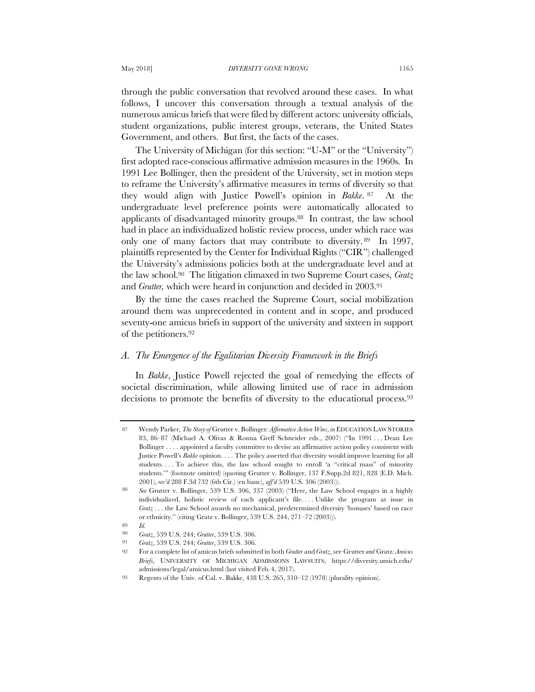through the public conversation that revolved around these cases. In what follows, I uncover this conversation through a textual analysis of the numerous amicus briefs that were filed by different actors: university officials, student organizations, public interest groups, veterans, the United States Government, and others. But first, the facts of the cases.

The University of Michigan (for this section: "U-M" or the "University") first adopted race-conscious affirmative admission measures in the 1960s. In 1991 Lee Bollinger, then the president of the University, set in motion steps to reframe the University's affirmative measures in terms of diversity so that they would align with Justice Powell's opinion in *Bakke*. <sup>87</sup> At the undergraduate level preference points were automatically allocated to applicants of disadvantaged minority groups.88 In contrast, the law school had in place an individualized holistic review process, under which race was only one of many factors that may contribute to diversity. <sup>89</sup> In 1997, plaintiffs represented by the Center for Individual Rights ("CIR") challenged the University's admissions policies both at the undergraduate level and at the law school.90 The litigation climaxed in two Supreme Court cases, *Gratz*  and *Grutter,* which were heard in conjunction and decided in 2003.91

By the time the cases reached the Supreme Court, social mobilization around them was unprecedented in content and in scope, and produced seventy-one amicus briefs in support of the university and sixteen in support of the petitioners.92

# *A. The Emergence of the Egalitarian Diversity Framework in the Briefs*

In *Bakke*, Justice Powell rejected the goal of remedying the effects of societal discrimination, while allowing limited use of race in admission decisions to promote the benefits of diversity to the educational process.93

<sup>87</sup> Wendy Parker, *The Story of* Grutter v. Bollinger*: Affirmative Action Wins*, *in* EDUCATION LAW STORIES 83, 86–87 (Michael A. Olivas & Ronna Greff Schneider eds., 2007) ("In 1991 . . . Dean Lee Bollinger . . . . appointed a faculty committee to devise an affirmative action policy consistent with Justice Powell's *Bakke* opinion. . . . The policy asserted that diversity would improve learning for all students. . . . To achieve this, the law school sought to enroll 'a "critical mass" of minority students.'" (footnote omitted) (quoting Grutter v. Bollinger, 137 F.Supp.2d 821, 828 (E.D. Mich. 2001), *rev'd* 288 F.3d 732 (6th Cir.) (en banc), *aff'd* 539 U.S. 306 (2003))).

<sup>88</sup> *See* Grutter v. Bollinger, 539 U.S. 306, 337 (2003) ("Here, the Law School engages in a highly individualized, holistic review of each applicant's file. . . . Unlike the program at issue in *Gratz* . . . the Law School awards no mechanical, predetermined diversity 'bonuses' based on race or ethnicity." (citing Gratz v. Bollinger, 539 U.S. 244, 271–72 (2003))).

<sup>89</sup> *Id.*

<sup>90</sup> *Gratz*, 539 U.S. 244; *Grutter*, 539 U.S. 306.

<sup>91</sup> *Gratz*, 539 U.S. 244; *Grutter*, 539 U.S. 306*.*

<sup>92</sup> For a complete list of amicus briefs submitted in both *Grutter* and *Gratz*, see Grutter *and* Gratz*: Amicus Briefs*, UNIVERSITY OF MICHIGAN ADMISSIONS LAWSUITS, https://diversity.umich.edu/ admissions/legal/amicus.html (last visited Feb. 4, 2017).

<sup>93</sup> Regents of the Univ. of Cal. v. Bakke, 438 U.S. 265, 310–12 (1978) (plurality opinion).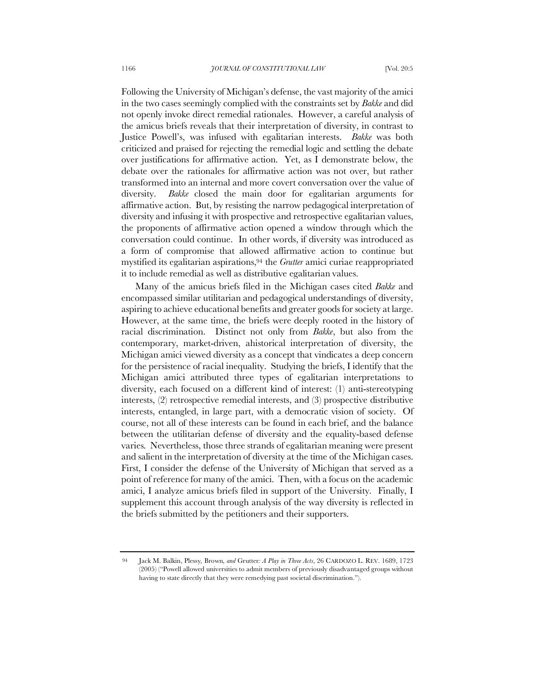Following the University of Michigan's defense, the vast majority of the amici in the two cases seemingly complied with the constraints set by *Bakke* and did not openly invoke direct remedial rationales. However, a careful analysis of the amicus briefs reveals that their interpretation of diversity, in contrast to Justice Powell's, was infused with egalitarian interests. *Bakke* was both criticized and praised for rejecting the remedial logic and settling the debate over justifications for affirmative action. Yet, as I demonstrate below, the debate over the rationales for affirmative action was not over, but rather transformed into an internal and more covert conversation over the value of diversity. *Bakke* closed the main door for egalitarian arguments for affirmative action. But, by resisting the narrow pedagogical interpretation of diversity and infusing it with prospective and retrospective egalitarian values, the proponents of affirmative action opened a window through which the conversation could continue. In other words, if diversity was introduced as a form of compromise that allowed affirmative action to continue but mystified its egalitarian aspirations,94 the *Grutter* amici curiae reappropriated it to include remedial as well as distributive egalitarian values.

Many of the amicus briefs filed in the Michigan cases cited *Bakke* and encompassed similar utilitarian and pedagogical understandings of diversity, aspiring to achieve educational benefits and greater goods for society at large. However, at the same time, the briefs were deeply rooted in the history of racial discrimination. Distinct not only from *Bakke*, but also from the contemporary, market-driven, ahistorical interpretation of diversity, the Michigan amici viewed diversity as a concept that vindicates a deep concern for the persistence of racial inequality. Studying the briefs, I identify that the Michigan amici attributed three types of egalitarian interpretations to diversity, each focused on a different kind of interest: (1) anti-stereotyping interests, (2) retrospective remedial interests, and (3) prospective distributive interests, entangled, in large part, with a democratic vision of society. Of course, not all of these interests can be found in each brief, and the balance between the utilitarian defense of diversity and the equality-based defense varies. Nevertheless, those three strands of egalitarian meaning were present and salient in the interpretation of diversity at the time of the Michigan cases. First, I consider the defense of the University of Michigan that served as a point of reference for many of the amici. Then, with a focus on the academic amici, I analyze amicus briefs filed in support of the University. Finally, I supplement this account through analysis of the way diversity is reflected in the briefs submitted by the petitioners and their supporters.

<sup>94</sup> Jack M. Balkin, Plessy*,* Brown*, and* Grutter*: A Play in Three Acts*, 26 CARDOZO L. REV. 1689, 1723 (2005) ("Powell allowed universities to admit members of previously disadvantaged groups without having to state directly that they were remedying past societal discrimination.").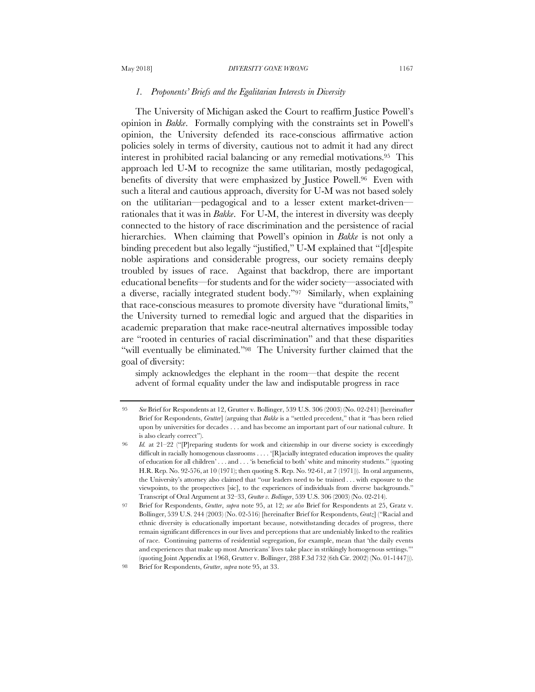#### May 2018] *DIVERSITY GONE WRONG* 1167

## *1. Proponents' Briefs and the Egalitarian Interests in Diversity*

The University of Michigan asked the Court to reaffirm Justice Powell's opinion in *Bakke*. Formally complying with the constraints set in Powell's opinion, the University defended its race-conscious affirmative action policies solely in terms of diversity, cautious not to admit it had any direct interest in prohibited racial balancing or any remedial motivations.95 This approach led U-M to recognize the same utilitarian, mostly pedagogical, benefits of diversity that were emphasized by Justice Powell.96 Even with such a literal and cautious approach, diversity for U-M was not based solely on the utilitarian—pedagogical and to a lesser extent market-driven rationales that it was in *Bakke*. For U-M, the interest in diversity was deeply connected to the history of race discrimination and the persistence of racial hierarchies. When claiming that Powell's opinion in *Bakke* is not only a binding precedent but also legally "justified," U-M explained that "[d]espite noble aspirations and considerable progress, our society remains deeply troubled by issues of race. Against that backdrop, there are important educational benefits—for students and for the wider society—associated with a diverse, racially integrated student body."97 Similarly, when explaining that race-conscious measures to promote diversity have "durational limits," the University turned to remedial logic and argued that the disparities in academic preparation that make race-neutral alternatives impossible today are "rooted in centuries of racial discrimination" and that these disparities "will eventually be eliminated."98 The University further claimed that the goal of diversity:

simply acknowledges the elephant in the room—that despite the recent advent of formal equality under the law and indisputable progress in race

<sup>95</sup> *See* Brief for Respondents at 12, Grutter v. Bollinger, 539 U.S. 306 (2003) (No. 02-241) [hereinafter Brief for Respondents, *Grutter*] (arguing that *Bakke* is a "settled precedent," that it *"*has been relied upon by universities for decades . . . and has become an important part of our national culture. It is also clearly correct").

<sup>96</sup> *Id.* at 21–22 ("[P]reparing students for work and citizenship in our diverse society is exceedingly difficult in racially homogenous classrooms . . . . '[R]acially integrated education improves the quality of education for all children' . . . and . . . 'is beneficial to both' white and minority students." (quoting H.R. Rep. No. 92-576, at 10 (1971); then quoting S. Rep. No. 92-61, at 7 (1971))). In oral arguments, the University's attorney also claimed that "our leaders need to be trained . . . with exposure to the viewpoints, to the prospectives [sic], to the experiences of individuals from diverse backgrounds." Transcript of Oral Argument at 32–33, *Grutter v. Bollinger*, 539 U.S. 306 (2003) (No. 02-214).

<sup>97</sup> Brief for Respondents, *Grutter*, *supra* note 95, at 12; *see also* Brief for Respondents at 25, Gratz v. Bollinger, 539 U.S. 244 (2003) (No. 02-516) [hereinafter Brief for Respondents, *Gratz*] ("Racial and ethnic diversity is educationally important because, notwithstanding decades of progress, there remain significant differences in our lives and perceptions that are undeniably linked to the realities of race. Continuing patterns of residential segregation, for example, mean that 'the daily events and experiences that make up most Americans' lives take place in strikingly homogenous settings.'" (quoting Joint Appendix at 1968, Grutter v. Bollinger, 288 F.3d 732 (6th Cir. 2002) (No. 01-1447))).

<sup>98</sup> Brief for Respondents, *Grutter*, *supra* note 95, at 33.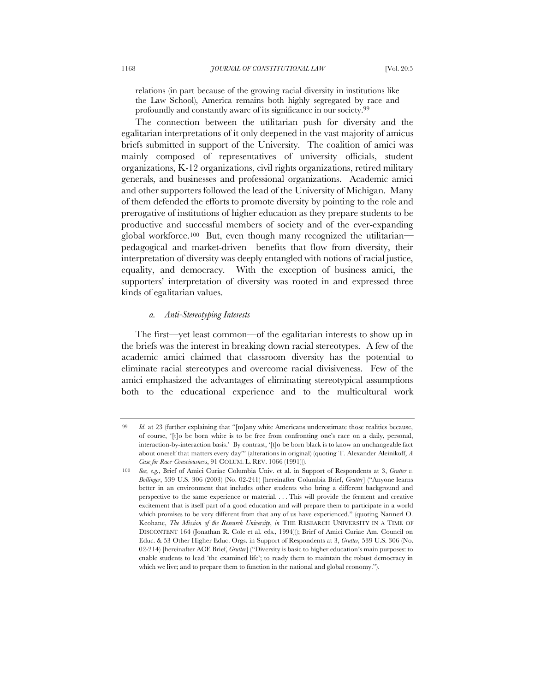relations (in part because of the growing racial diversity in institutions like the Law School), America remains both highly segregated by race and profoundly and constantly aware of its significance in our society.99

The connection between the utilitarian push for diversity and the egalitarian interpretations of it only deepened in the vast majority of amicus briefs submitted in support of the University. The coalition of amici was mainly composed of representatives of university officials, student organizations, K-12 organizations, civil rights organizations, retired military generals, and businesses and professional organizations. Academic amici and other supporters followed the lead of the University of Michigan. Many of them defended the efforts to promote diversity by pointing to the role and prerogative of institutions of higher education as they prepare students to be productive and successful members of society and of the ever-expanding global workforce.100 But, even though many recognized the utilitarian pedagogical and market-driven—benefits that flow from diversity, their interpretation of diversity was deeply entangled with notions of racial justice, equality, and democracy. With the exception of business amici, the supporters' interpretation of diversity was rooted in and expressed three kinds of egalitarian values.

# *a. Anti-Stereotyping Interests*

The first—yet least common—of the egalitarian interests to show up in the briefs was the interest in breaking down racial stereotypes. A few of the academic amici claimed that classroom diversity has the potential to eliminate racial stereotypes and overcome racial divisiveness. Few of the amici emphasized the advantages of eliminating stereotypical assumptions both to the educational experience and to the multicultural work

*Id.* at 23 (further explaining that "[m]any white Americans underestimate those realities because, of course, '[t]o be born white is to be free from confronting one's race on a daily, personal, interaction-by-interaction basis.' By contrast, '[t]o be born black is to know an unchangeable fact about oneself that matters every day'" (alterations in original) (quoting T. Alexander Aleinikoff, *A Case for Race-Consciousness*, 91 COLUM. L. REV. 1066 (1991))).

<sup>100</sup> *See, e.g.*, Brief of Amici Curiae Columbia Univ. et al. in Support of Respondents at 3, *Grutter v. Bollinger*, 539 U.S. 306 (2003) (No. 02-241) [hereinafter Columbia Brief, *Grutter*] ("Anyone learns better in an environment that includes other students who bring a different background and perspective to the same experience or material. . . . This will provide the ferment and creative excitement that is itself part of a good education and will prepare them to participate in a world which promises to be very different from that any of us have experienced." (quoting Nannerl O. Keohane, *The Mission of the Research University*, *in* THE RESEARCH UNIVERSITY IN A TIME OF DISCONTENT 164 (Jonathan R. Cole et al. eds., 1994))); Brief of Amici Curiae Am. Council on Educ. & 53 Other Higher Educ. Orgs. in Support of Respondents at 3, *Grutter,* 539 U.S. 306 (No. 02-214) [hereinafter ACE Brief, *Grutter*] ("Diversity is basic to higher education's main purposes: to enable students to lead 'the examined life'; to ready them to maintain the robust democracy in which we live; and to prepare them to function in the national and global economy.").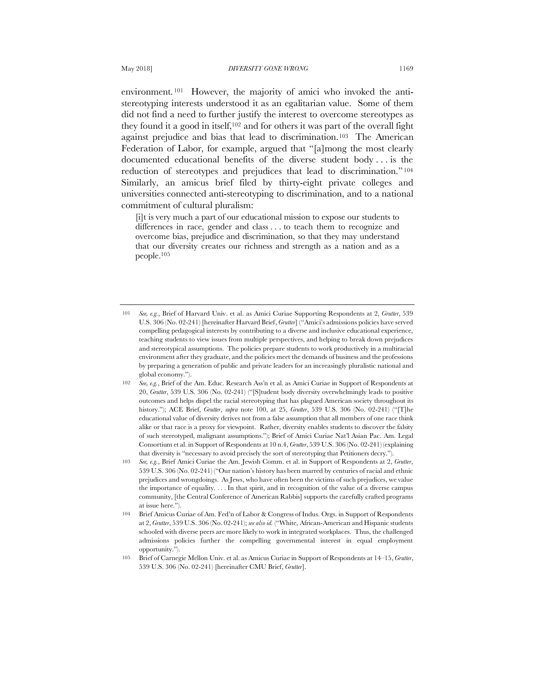environment.<sup>101</sup> However, the majority of amici who invoked the antistereotyping interests understood it as an egalitarian value. Some of them did not find a need to further justify the interest to overcome stereotypes as they found it a good in itself,102 and for others it was part of the overall fight against prejudice and bias that lead to discrimination.103 The American Federation of Labor, for example, argued that "[a]mong the most clearly documented educational benefits of the diverse student body . . . is the reduction of stereotypes and prejudices that lead to discrimination." <sup>104</sup> Similarly, an amicus brief filed by thirty-eight private colleges and universities connected anti-stereotyping to discrimination, and to a national commitment of cultural pluralism:

[i]t is very much a part of our educational mission to expose our students to differences in race, gender and class . . . to teach them to recognize and overcome bias, prejudice and discrimination, so that they may understand that our diversity creates our richness and strength as a nation and as a people.105

<sup>101</sup> *See, e.g.*, Brief of Harvard Univ. et al. as Amici Curiae Supporting Respondents at 2, *Grutter*, 539 U.S. 306 (No. 02-241) [hereinafter Harvard Brief, *Grutter*] ("Amici's admissions policies have served compelling pedagogical interests by contributing to a diverse and inclusive educational experience, teaching students to view issues from multiple perspectives, and helping to break down prejudices and stereotypical assumptions. The policies prepare students to work productively in a multiracial environment after they graduate, and the policies meet the demands of business and the professions by preparing a generation of public and private leaders for an increasingly pluralistic national and global economy.").

<sup>102</sup> *See, e.g.*, Brief of the Am. Educ. Research Ass'n et al. as Amici Curiae in Support of Respondents at 20, *Grutter*, 539 U.S. 306 (No. 02-241) ("[S]tudent body diversity overwhelmingly leads to positive outcomes and helps dispel the racial stereotyping that has plagued American society throughout its history."); ACE Brief, *Grutter*, *supra* note 100, at 25, *Grutter*, 539 U.S. 306 (No. 02-241) ("[T]he educational value of diversity derives not from a false assumption that all members of one race think alike or that race is a proxy for viewpoint. Rather, diversity enables students to discover the falsity of such stereotyped, malignant assumptions."); Brief of Amici Curiae Nat'l Asian Pac. Am. Legal Consortium et al. in Support of Respondents at 10 n.4, *Grutter*, 539 U.S. 306 (No. 02-241) (explaining that diversity is "necessary to avoid precisely the sort of stereotyping that Petitioners decry.").

<sup>103</sup> *See, e.g.*, Brief Amici Curiae the Am. Jewish Comm. et al. in Support of Respondents at 2, *Grutter*, 539 U.S. 306 (No. 02-241) ("Our nation's history has been marred by centuries of racial and ethnic prejudices and wrongdoings. As Jews, who have often been the victims of such prejudices, we value the importance of equality. . . . In that spirit, and in recognition of the value of a diverse campus community, [the Central Conference of American Rabbis] supports the carefully crafted programs at issue here.").

<sup>104</sup> Brief Amicus Curiae of Am. Fed'n of Labor & Congress of Indus. Orgs. in Support of Respondents at 2, *Grutter*, 539 U.S. 306 (No. 02-241); *see also id.* ("White, African-American and Hispanic students schooled with diverse peers are more likely to work in integrated workplaces. Thus, the challenged admissions policies further the compelling governmental interest in equal employment opportunity.").

<sup>105</sup> Brief of Carnegie Mellon Univ. et al. as Amicus Curiae in Support of Respondents at 14–15, *Grutter*, 539 U.S. 306 (No. 02-241) [hereinafter CMU Brief, *Grutter*].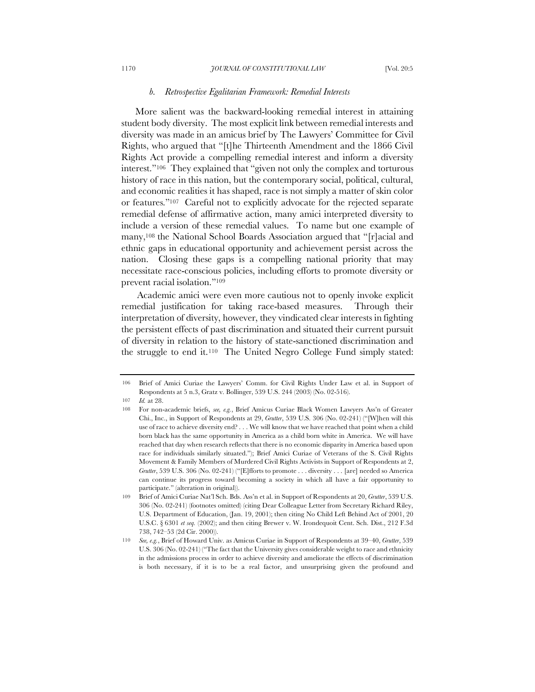### *b. Retrospective Egalitarian Framework: Remedial Interests*

More salient was the backward-looking remedial interest in attaining student body diversity. The most explicit link between remedial interests and diversity was made in an amicus brief by The Lawyers' Committee for Civil Rights, who argued that "[t]he Thirteenth Amendment and the 1866 Civil Rights Act provide a compelling remedial interest and inform a diversity interest."106 They explained that "given not only the complex and torturous history of race in this nation, but the contemporary social, political, cultural, and economic realities it has shaped, race is not simply a matter of skin color or features."107 Careful not to explicitly advocate for the rejected separate remedial defense of affirmative action, many amici interpreted diversity to include a version of these remedial values. To name but one example of many,108 the National School Boards Association argued that "[r]acial and ethnic gaps in educational opportunity and achievement persist across the nation. Closing these gaps is a compelling national priority that may necessitate race-conscious policies, including efforts to promote diversity or prevent racial isolation."109

Academic amici were even more cautious not to openly invoke explicit remedial justification for taking race-based measures. Through their interpretation of diversity, however, they vindicated clear interests in fighting the persistent effects of past discrimination and situated their current pursuit of diversity in relation to the history of state-sanctioned discrimination and the struggle to end it.110 The United Negro College Fund simply stated:

<sup>106</sup> Brief of Amici Curiae the Lawyers' Comm. for Civil Rights Under Law et al. in Support of Respondents at 5 n.3, Gratz v. Bollinger, 539 U.S. 244 (2003) (No. 02-516).

<sup>107</sup> *Id.* at 28.

<sup>108</sup> For non-academic briefs, *see, e.g.*, Brief Amicus Curiae Black Women Lawyers Ass'n of Greater Chi., Inc., in Support of Respondents at 29, *Grutter*, 539 U.S. 306 (No. 02-241) ("[W]hen will this use of race to achieve diversity end? . . . We will know that we have reached that point when a child born black has the same opportunity in America as a child born white in America. We will have reached that day when research reflects that there is no economic disparity in America based upon race for individuals similarly situated."); Brief Amici Curiae of Veterans of the S. Civil Rights Movement & Family Members of Murdered Civil Rights Activists in Support of Respondents at 2, *Grutter*, 539 U.S. 306 (No. 02-241) ("[E]fforts to promote . . . diversity . . . [are] needed so America can continue its progress toward becoming a society in which all have a fair opportunity to participate." (alteration in original)).

<sup>109</sup> Brief of Amici Curiae Nat'l Sch. Bds. Ass'n et al. in Support of Respondents at 20, *Grutter*, 539 U.S. 306 (No. 02-241) (footnotes omitted) (citing Dear Colleague Letter from Secretary Richard Riley, U.S. Department of Education, (Jan. 19, 2001); then citing No Child Left Behind Act of 2001, 20 U.S.C. § 6301 *et seq.* (2002); and then citing Brewer v. W. Irondequoit Cent. Sch. Dist., 212 F.3d 738, 742–53 (2d Cir. 2000)).

<sup>110</sup> *See, e.g.*, Brief of Howard Univ. as Amicus Curiae in Support of Respondents at 39–40, *Grutter*, 539 U.S. 306 (No. 02-241) ("The fact that the University gives considerable weight to race and ethnicity in the admissions process in order to achieve diversity and ameliorate the effects of discrimination is both necessary, if it is to be a real factor, and unsurprising given the profound and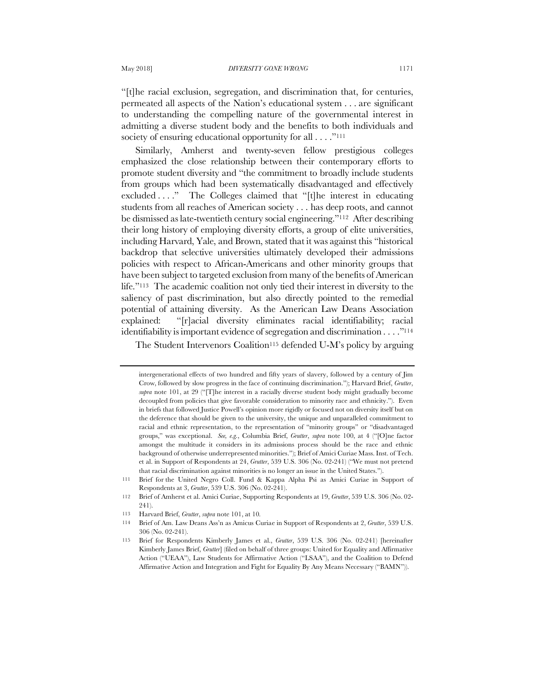"[t]he racial exclusion, segregation, and discrimination that, for centuries, permeated all aspects of the Nation's educational system . . . are significant to understanding the compelling nature of the governmental interest in admitting a diverse student body and the benefits to both individuals and society of ensuring educational opportunity for all . . . . "<sup>111</sup>

Similarly, Amherst and twenty-seven fellow prestigious colleges emphasized the close relationship between their contemporary efforts to promote student diversity and "the commitment to broadly include students from groups which had been systematically disadvantaged and effectively excluded . . . ." The Colleges claimed that "[t]he interest in educating students from all reaches of American society . . . has deep roots, and cannot be dismissed as late-twentieth century social engineering."112 After describing their long history of employing diversity efforts, a group of elite universities, including Harvard, Yale, and Brown, stated that it was against this "historical backdrop that selective universities ultimately developed their admissions policies with respect to African-Americans and other minority groups that have been subject to targeted exclusion from many of the benefits of American life."113 The academic coalition not only tied their interest in diversity to the saliency of past discrimination, but also directly pointed to the remedial potential of attaining diversity. As the American Law Deans Association explained: "[r]acial diversity eliminates racial identifiability; racial identifiability is important evidence of segregation and discrimination . . . ."114

The Student Intervenors Coalition<sup>115</sup> defended U-M's policy by arguing

intergenerational effects of two hundred and fifty years of slavery, followed by a century of Jim Crow, followed by slow progress in the face of continuing discrimination."); Harvard Brief, *Grutter*, *supra* note 101, at 29 ("[T]he interest in a racially diverse student body might gradually become decoupled from policies that give favorable consideration to minority race and ethnicity."). Even in briefs that followed Justice Powell's opinion more rigidly or focused not on diversity itself but on the deference that should be given to the university, the unique and unparalleled commitment to racial and ethnic representation, to the representation of "minority groups" or "disadvantaged groups," was exceptional. *See, e.g.*, Columbia Brief, *Grutter*, *supra* note 100, at 4 ("[O]ne factor amongst the multitude it considers in its admissions process should be the race and ethnic background of otherwise underrepresented minorities."); Brief of Amici Curiae Mass. Inst. of Tech. et al. in Support of Respondents at 24, *Grutter*, 539 U.S. 306 (No. 02-241) ("We must not pretend that racial discrimination against minorities is no longer an issue in the United States.").

<sup>111</sup> Brief for the United Negro Coll. Fund & Kappa Alpha Psi as Amici Curiae in Support of Respondents at 3, *Grutter*, 539 U.S. 306 (No. 02-241).

<sup>112</sup> Brief of Amherst et al. Amici Curiae, Supporting Respondents at 19, *Grutter*, 539 U.S. 306 (No. 02- 241).

<sup>113</sup> Harvard Brief, *Grutter*, *supra* note 101, at 10*.*

<sup>114</sup> Brief of Am. Law Deans Ass'n as Amicus Curiae in Support of Respondents at 2, *Grutter*, 539 U.S. 306 (No. 02-241).

<sup>115</sup> Brief for Respondents Kimberly James et al., *Grutter*, 539 U.S. 306 (No. 02-241) [hereinafter Kimberly James Brief, *Grutter*] (filed on behalf of three groups: United for Equality and Affirmative Action ("UEAA"), Law Students for Affirmative Action ("LSAA"), and the Coalition to Defend Affirmative Action and Integration and Fight for Equality By Any Means Necessary ("BAMN")).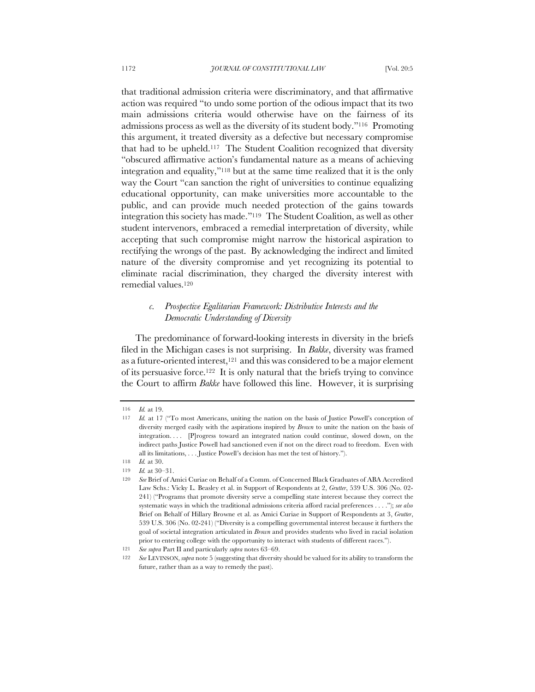that traditional admission criteria were discriminatory, and that affirmative action was required "to undo some portion of the odious impact that its two main admissions criteria would otherwise have on the fairness of its admissions process as well as the diversity of its student body."116 Promoting this argument, it treated diversity as a defective but necessary compromise that had to be upheld.117 The Student Coalition recognized that diversity "obscured affirmative action's fundamental nature as a means of achieving integration and equality,"118 but at the same time realized that it is the only way the Court "can sanction the right of universities to continue equalizing educational opportunity, can make universities more accountable to the public, and can provide much needed protection of the gains towards integration this society has made."119 The Student Coalition, as well as other student intervenors, embraced a remedial interpretation of diversity, while accepting that such compromise might narrow the historical aspiration to rectifying the wrongs of the past. By acknowledging the indirect and limited nature of the diversity compromise and yet recognizing its potential to eliminate racial discrimination, they charged the diversity interest with remedial values.120

# *c. Prospective Egalitarian Framework: Distributive Interests and the Democratic Understanding of Diversity*

The predominance of forward-looking interests in diversity in the briefs filed in the Michigan cases is not surprising. In *Bakke*, diversity was framed as a future-oriented interest,121 and this was considered to be a major element of its persuasive force.122 It is only natural that the briefs trying to convince the Court to affirm *Bakke* have followed this line. However, it is surprising

<sup>116</sup> *Id.* at 19.

<sup>117</sup> *Id.* at 17 ("To most Americans, uniting the nation on the basis of Justice Powell's conception of diversity merged easily with the aspirations inspired by *Brown* to unite the nation on the basis of integration. . . . [P]rogress toward an integrated nation could continue, slowed down, on the indirect paths Justice Powell had sanctioned even if not on the direct road to freedom. Even with all its limitations, . . . Justice Powell's decision has met the test of history.").

<sup>118</sup> *Id.* at 30.

<sup>119</sup> *Id.* at 30–31.

<sup>120</sup> *See* Brief of Amici Curiae on Behalf of a Comm. of Concerned Black Graduates of ABA Accredited Law Schs.: Vicky L. Beasley et al. in Support of Respondents at 2, *Grutter*, 539 U.S. 306 (No. 02- 241) ("Programs that promote diversity serve a compelling state interest because they correct the systematic ways in which the traditional admissions criteria afford racial preferences . . . ."); *see also* Brief on Behalf of Hillary Browne et al. as Amici Curiae in Support of Respondents at 3, *Grutter*, 539 U.S. 306 (No. 02-241) ("Diversity is a compelling governmental interest because it furthers the goal of societal integration articulated in *Brown* and provides students who lived in racial isolation prior to entering college with the opportunity to interact with students of different races.").

<sup>121</sup> *See supra* Part II and particularly *supra* notes 63–69.

<sup>122</sup> *See* LEVINSON, *supra* note 5 (suggesting that diversity should be valued for its ability to transform the future, rather than as a way to remedy the past).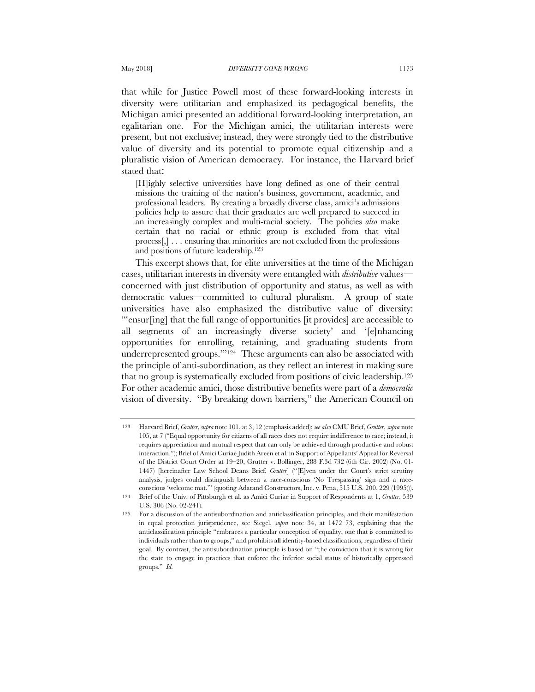that while for Justice Powell most of these forward-looking interests in diversity were utilitarian and emphasized its pedagogical benefits, the Michigan amici presented an additional forward-looking interpretation, an egalitarian one. For the Michigan amici, the utilitarian interests were present, but not exclusive; instead, they were strongly tied to the distributive value of diversity and its potential to promote equal citizenship and a pluralistic vision of American democracy. For instance, the Harvard brief stated that:

[H]ighly selective universities have long defined as one of their central missions the training of the nation's business, government, academic, and professional leaders. By creating a broadly diverse class, amici's admissions policies help to assure that their graduates are well prepared to succeed in an increasingly complex and multi-racial society. The policies *also* make certain that no racial or ethnic group is excluded from that vital process[,] . . . ensuring that minorities are not excluded from the professions and positions of future leadership.123

This excerpt shows that, for elite universities at the time of the Michigan cases, utilitarian interests in diversity were entangled with *distributive* values concerned with just distribution of opportunity and status, as well as with democratic values—committed to cultural pluralism. A group of state universities have also emphasized the distributive value of diversity: "'ensur[ing] that the full range of opportunities [it provides] are accessible to all segments of an increasingly diverse society' and '[e]nhancing opportunities for enrolling, retaining, and graduating students from underrepresented groups.'"124 These arguments can also be associated with the principle of anti-subordination, as they reflect an interest in making sure that no group is systematically excluded from positions of civic leadership.125 For other academic amici, those distributive benefits were part of a *democratic* vision of diversity. "By breaking down barriers," the American Council on

<sup>123</sup> Harvard Brief, *Grutter*, *supra* note 101, at 3, 12 (emphasis added); *see also* CMU Brief, *Grutter*, *supra* note 105, at 7 ("Equal opportunity for citizens of all races does not require indifference to race; instead, it requires appreciation and mutual respect that can only be achieved through productive and robust interaction."); Brief of Amici Curiae Judith Areen et al. in Support of Appellants' Appeal for Reversal of the District Court Order at 19–20, Grutter v. Bollinger, 288 F.3d 732 (6th Cir. 2002) (No. 01- 1447) [hereinafter Law School Deans Brief, *Grutter*] ("[E]ven under the Court's strict scrutiny analysis, judges could distinguish between a race-conscious 'No Trespassing' sign and a raceconscious 'welcome mat.'" (quoting Adarand Constructors, Inc. v. Pena, 515 U.S. 200, 229 (1995))).

<sup>124</sup> Brief of the Univ. of Pittsburgh et al. as Amici Curiae in Support of Respondents at 1, *Grutter*, 539 U.S. 306 (No. 02-241).

<sup>125</sup> For a discussion of the antisubordination and anticlassification principles, and their manifestation in equal protection jurisprudence, see Siegel, *supra* note 34, at 1472–73, explaining that the anticlassification principle "embraces a particular conception of equality, one that is committed to individuals rather than to groups," and prohibits all identity-based classifications, regardless of their goal. By contrast, the antisubordination principle is based on "the conviction that it is wrong for the state to engage in practices that enforce the inferior social status of historically oppressed groups." *Id.*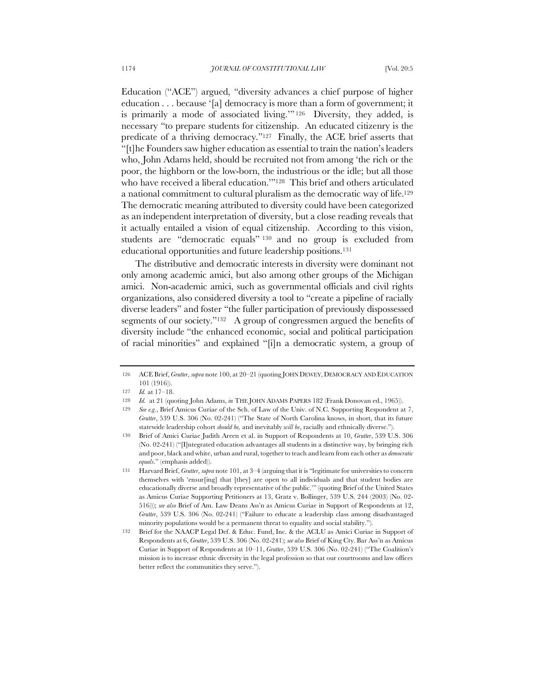Education ("ACE") argued, "diversity advances a chief purpose of higher education . . . because '[a] democracy is more than a form of government; it is primarily a mode of associated living.'" <sup>126</sup> Diversity, they added, is necessary "to prepare students for citizenship. An educated citizenry is the predicate of a thriving democracy."127 Finally, the ACE brief asserts that "[t]he Founders saw higher education as essential to train the nation's leaders who, John Adams held, should be recruited not from among 'the rich or the poor, the highborn or the low-born, the industrious or the idle; but all those who have received a liberal education.'"128 This brief and others articulated a national commitment to cultural pluralism as the democratic way of life.129 The democratic meaning attributed to diversity could have been categorized as an independent interpretation of diversity, but a close reading reveals that it actually entailed a vision of equal citizenship. According to this vision, students are "democratic equals" <sup>130</sup> and no group is excluded from educational opportunities and future leadership positions.131

The distributive and democratic interests in diversity were dominant not only among academic amici, but also among other groups of the Michigan amici. Non-academic amici, such as governmental officials and civil rights organizations, also considered diversity a tool to "create a pipeline of racially diverse leaders" and foster "the fuller participation of previously dispossessed segments of our society."<sup>132</sup> A group of congressmen argued the benefits of diversity include "the enhanced economic, social and political participation of racial minorities" and explained "[i]n a democratic system, a group of

<sup>126</sup> ACE Brief, *Grutter*, *supra* note 100, at 20–21 (quoting JOHN DEWEY,DEMOCRACY AND EDUCATION 101 (1916)).

<sup>127</sup> *Id.* at 17–18.

<sup>128</sup> *Id.* at 21 (quoting John Adams, *in* THE JOHN ADAMS PAPERS 182 (Frank Donovan ed., 1965)).

<sup>129</sup> *See e.g.*, Brief Amicus Curiae of the Sch. of Law of the Univ. of N.C. Supporting Respondent at 7, *Grutter*, 539 U.S. 306 (No. 02-241) ("The State of North Carolina knows, in short, that its future statewide leadership cohort *should be,* and inevitably *will be*, racially and ethnically diverse.").

<sup>130</sup> Brief of Amici Curiae Judith Areen et al. in Support of Respondents at 10, *Grutter*, 539 U.S. 306 (No. 02-241) ("[I]ntegrated education advantages all students in a distinctive way, by bringing rich and poor, black and white, urban and rural, together to teach and learn from each other as *democratic equals*." (emphasis added)).

<sup>131</sup> Harvard Brief, *Grutter*, *supra* note 101, at 3–4 (arguing that it is "legitimate for universities to concern themselves with 'ensur[ing] that [they] are open to all individuals and that student bodies are educationally diverse and broadly representative of the public.'" (quoting Brief of the United States as Amicus Curiae Supporting Petitioners at 13, Gratz v. Bollinger, 539 U.S. 244 (2003) (No. 02- 516))); *see also* Brief of Am. Law Deans Ass'n as Amicus Curiae in Support of Respondents at 12, *Grutter*, 539 U.S. 306 (No. 02-241) ("Failure to educate a leadership class among disadvantaged minority populations would be a permanent threat to equality and social stability.").

<sup>132</sup> Brief for the NAACP Legal Def. & Educ. Fund, Inc. & the ACLU as Amici Curiae in Support of Respondents at 6, *Grutter*, 539 U.S. 306 (No. 02-241); *see also* Brief of King Cty. Bar Ass'n as Amicus Curiae in Support of Respondents at 10–11, *Grutter*, 539 U.S. 306 (No. 02-241) ("The Coalition's mission is to increase ethnic diversity in the legal profession so that our courtrooms and law offices better reflect the communities they serve.").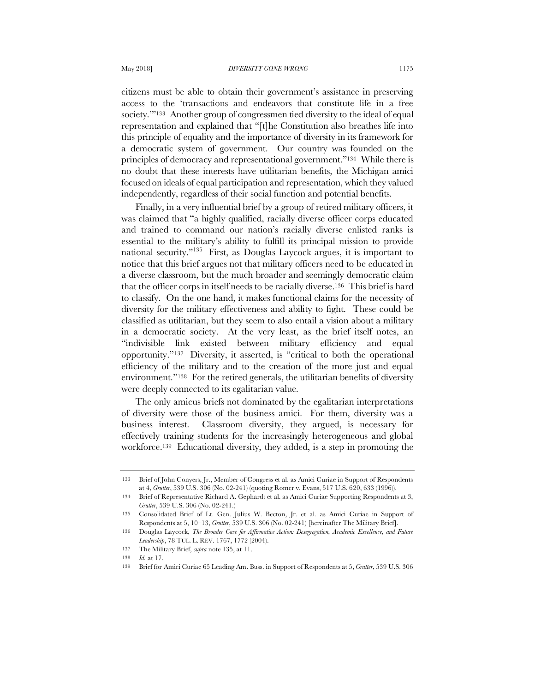citizens must be able to obtain their government's assistance in preserving access to the 'transactions and endeavors that constitute life in a free society."<sup>133</sup> Another group of congressmen tied diversity to the ideal of equal representation and explained that "[t]he Constitution also breathes life into this principle of equality and the importance of diversity in its framework for a democratic system of government. Our country was founded on the principles of democracy and representational government."134 While there is no doubt that these interests have utilitarian benefits, the Michigan amici focused on ideals of equal participation and representation, which they valued independently, regardless of their social function and potential benefits.

Finally, in a very influential brief by a group of retired military officers, it was claimed that "a highly qualified, racially diverse officer corps educated and trained to command our nation's racially diverse enlisted ranks is essential to the military's ability to fulfill its principal mission to provide national security."135 First, as Douglas Laycock argues, it is important to notice that this brief argues not that military officers need to be educated in a diverse classroom, but the much broader and seemingly democratic claim that the officer corps in itself needs to be racially diverse.136 This brief is hard to classify. On the one hand, it makes functional claims for the necessity of diversity for the military effectiveness and ability to fight. These could be classified as utilitarian, but they seem to also entail a vision about a military in a democratic society. At the very least, as the brief itself notes, an "indivisible link existed between military efficiency and equal opportunity."137 Diversity, it asserted, is "critical to both the operational efficiency of the military and to the creation of the more just and equal environment."138 For the retired generals, the utilitarian benefits of diversity were deeply connected to its egalitarian value.

The only amicus briefs not dominated by the egalitarian interpretations of diversity were those of the business amici. For them, diversity was a business interest. Classroom diversity, they argued, is necessary for effectively training students for the increasingly heterogeneous and global workforce.139 Educational diversity, they added, is a step in promoting the

<sup>133</sup> Brief of John Conyers, Jr., Member of Congress et al. as Amici Curiae in Support of Respondents at 4, *Grutter*, 539 U.S. 306 (No. 02-241) (quoting Romer v. Evans, 517 U.S. 620, 633 (1996)).

<sup>134</sup> Brief of Representative Richard A. Gephardt et al. as Amici Curiae Supporting Respondents at 3, *Grutter*, 539 U.S. 306 (No. 02-241.)

<sup>135</sup> Consolidated Brief of Lt. Gen. Julius W. Becton, Jr. et al. as Amici Curiae in Support of Respondents at 5, 10–13, *Grutter*, 539 U.S. 306 (No. 02-241) [hereinafter The Military Brief].

<sup>136</sup> Douglas Laycock, *The Broader Case for Affirmative Action: Desegregation, Academic Excellence, and Future Leadership*, 78 TUL. L. REV. 1767, 1772 (2004).

<sup>137</sup> The Military Brief, *supra* note 135, at 11.

<sup>138</sup> *Id.* at 17.

<sup>139</sup> Brief for Amici Curiae 65 Leading Am. Buss. in Support of Respondents at 5, *Grutter*, 539 U.S. 306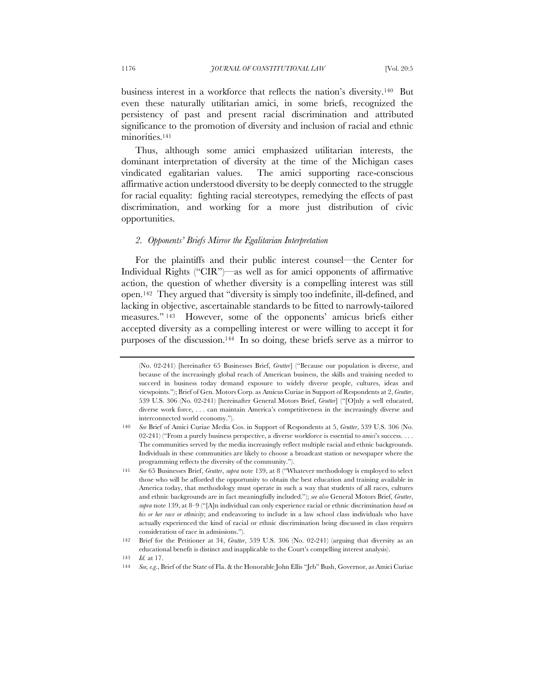business interest in a workforce that reflects the nation's diversity.140 But even these naturally utilitarian amici, in some briefs, recognized the persistency of past and present racial discrimination and attributed significance to the promotion of diversity and inclusion of racial and ethnic minorities.<sup>141</sup>

Thus, although some amici emphasized utilitarian interests, the dominant interpretation of diversity at the time of the Michigan cases vindicated egalitarian values. The amici supporting race-conscious affirmative action understood diversity to be deeply connected to the struggle for racial equality: fighting racial stereotypes, remedying the effects of past discrimination, and working for a more just distribution of civic opportunities.

# *2. Opponents' Briefs Mirror the Egalitarian Interpretation*

For the plaintiffs and their public interest counsel—the Center for Individual Rights ("CIR")—as well as for amici opponents of affirmative action, the question of whether diversity is a compelling interest was still open.142 They argued that "diversity is simply too indefinite, ill-defined, and lacking in objective, ascertainable standards to be fitted to narrowly-tailored measures." <sup>143</sup> However, some of the opponents' amicus briefs either accepted diversity as a compelling interest or were willing to accept it for purposes of the discussion.144 In so doing, these briefs serve as a mirror to

<sup>(</sup>No. 02-241) [hereinafter 65 Businesses Brief, *Grutter*] ("Because our population is diverse, and because of the increasingly global reach of American business, the skills and training needed to succeed in business today demand exposure to widely diverse people, cultures, ideas and viewpoints."); Brief of Gen. Motors Corp. as Amicus Curiae in Support of Respondents at 2, *Grutter*, 539 U.S. 306 (No. 02-241) [hereinafter General Motors Brief, *Grutter*] ("[O]nly a well educated, diverse work force, . . . can maintain America's competitiveness in the increasingly diverse and interconnected world economy.").

<sup>140</sup> *See* Brief of Amici Curiae Media Cos. in Support of Respondents at 5, *Grutter*, 539 U.S. 306 (No. 02-241) ("From a purely business perspective, a diverse workforce is essential to *amici*'s success. . . . The communities served by the media increasingly reflect multiple racial and ethnic backgrounds. Individuals in these communities are likely to choose a broadcast station or newspaper where the programming reflects the diversity of the community.").

<sup>141</sup> *See* 65 Businesses Brief, *Grutter*, *supra* note 139, at 8 ("Whatever methodology is employed to select those who will be afforded the opportunity to obtain the best education and training available in America today, that methodology must operate in such a way that students of all races, cultures and ethnic backgrounds are in fact meaningfully included."); *see also* General Motors Brief, *Grutter*, *supra* note 139, at 8–9 ("[A]n individual can only experience racial or ethnic discrimination *based on his or her race or ethnicity*; and endeavoring to include in a law school class individuals who have actually experienced the kind of racial or ethnic discrimination being discussed in class requires consideration of race in admissions.").

<sup>142</sup> Brief for the Petitioner at 34, *Grutter*, 539 U.S. 306 (No. 02-241) (arguing that diversity as an educational benefit is distinct and inapplicable to the Court's compelling interest analysis).

<sup>143</sup> *Id.* at 17.

<sup>144</sup> *See, e.g*., Brief of the State of Fla. & the Honorable John Ellis "Jeb" Bush, Governor, as Amici Curiae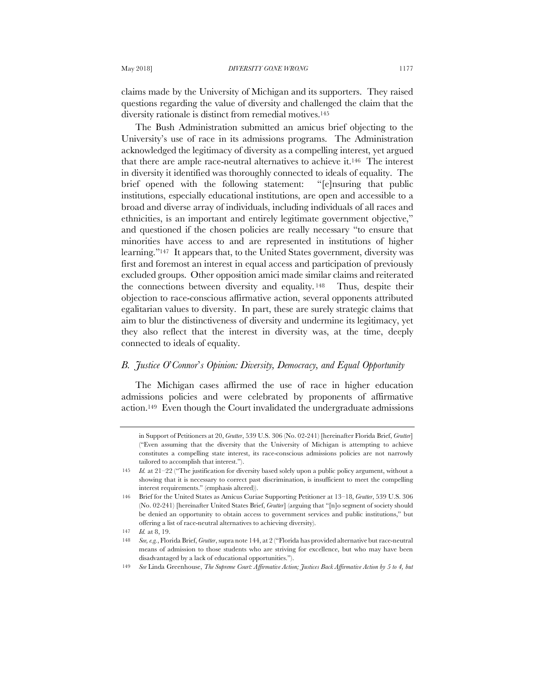claims made by the University of Michigan and its supporters. They raised questions regarding the value of diversity and challenged the claim that the diversity rationale is distinct from remedial motives.145

The Bush Administration submitted an amicus brief objecting to the University's use of race in its admissions programs. The Administration acknowledged the legitimacy of diversity as a compelling interest, yet argued that there are ample race-neutral alternatives to achieve it.146 The interest in diversity it identified was thoroughly connected to ideals of equality. The brief opened with the following statement: "[e]nsuring that public institutions, especially educational institutions, are open and accessible to a broad and diverse array of individuals, including individuals of all races and ethnicities, is an important and entirely legitimate government objective," and questioned if the chosen policies are really necessary "to ensure that minorities have access to and are represented in institutions of higher learning."147 It appears that, to the United States government, diversity was first and foremost an interest in equal access and participation of previously excluded groups. Other opposition amici made similar claims and reiterated the connections between diversity and equality. <sup>148</sup> Thus, despite their objection to race-conscious affirmative action, several opponents attributed egalitarian values to diversity. In part, these are surely strategic claims that aim to blur the distinctiveness of diversity and undermine its legitimacy, yet they also reflect that the interest in diversity was, at the time, deeply connected to ideals of equality.

# *B. Justice O*'*Connor*'*s Opinion: Diversity, Democracy, and Equal Opportunity*

The Michigan cases affirmed the use of race in higher education admissions policies and were celebrated by proponents of affirmative action.149 Even though the Court invalidated the undergraduate admissions

in Support of Petitioners at 20, *Grutter*, 539 U.S. 306 (No. 02-241) [hereinafter Florida Brief, *Grutter*] ("Even assuming that the diversity that the University of Michigan is attempting to achieve constitutes a compelling state interest, its race-conscious admissions policies are not narrowly tailored to accomplish that interest.").

<sup>145</sup> *Id.* at 21–22 ("The justification for diversity based solely upon a public policy argument, without a showing that it is necessary to correct past discrimination, is insufficient to meet the compelling interest requirements." (emphasis altered)).

<sup>146</sup> Brief for the United States as Amicus Curiae Supporting Petitioner at 13–18, *Grutter*, 539 U.S. 306 (No. 02-241) [hereinafter United States Brief, *Grutter*] (arguing that "[n]o segment of society should be denied an opportunity to obtain access to government services and public institutions," but offering a list of race-neutral alternatives to achieving diversity).

<sup>147</sup> *Id.* at 8, 19.

<sup>148</sup> *See, e.g.*, Florida Brief, *Grutter*, supra note 144, at 2 ("Florida has provided alternative but race-neutral means of admission to those students who are striving for excellence, but who may have been disadvantaged by a lack of educational opportunities.").

<sup>149</sup> *See* Linda Greenhouse, *The Supreme Court: Affirmative Action; Justices Back Affirmative Action by 5 to 4, but*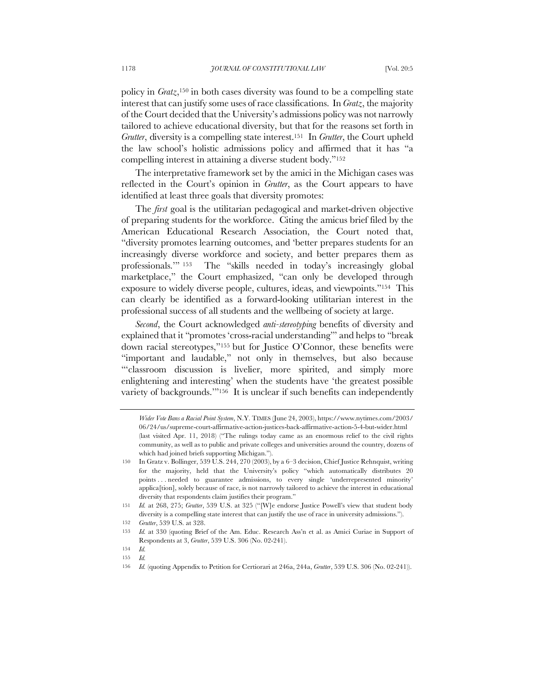policy in *Gratz*,150 in both cases diversity was found to be a compelling state interest that can justify some uses of race classifications. In *Gratz*, the majority of the Court decided that the University's admissions policy was not narrowly tailored to achieve educational diversity, but that for the reasons set forth in *Grutter*, diversity is a compelling state interest.151 In *Grutter*, the Court upheld the law school's holistic admissions policy and affirmed that it has "a compelling interest in attaining a diverse student body."152

The interpretative framework set by the amici in the Michigan cases was reflected in the Court's opinion in *Grutter*, as the Court appears to have identified at least three goals that diversity promotes:

The *first* goal is the utilitarian pedagogical and market-driven objective of preparing students for the workforce. Citing the amicus brief filed by the American Educational Research Association, the Court noted that, "diversity promotes learning outcomes, and 'better prepares students for an increasingly diverse workforce and society, and better prepares them as professionals.'" <sup>153</sup> The "skills needed in today's increasingly global marketplace," the Court emphasized, "can only be developed through exposure to widely diverse people, cultures, ideas, and viewpoints."154 This can clearly be identified as a forward-looking utilitarian interest in the professional success of all students and the wellbeing of society at large.

*Second*, the Court acknowledged *anti-stereotyping* benefits of diversity and explained that it "promotes 'cross-racial understanding'" and helps to "break down racial stereotypes,"155 but for Justice O'Connor, these benefits were "important and laudable," not only in themselves, but also because "classroom discussion is livelier, more spirited, and simply more enlightening and interesting' when the students have 'the greatest possible variety of backgrounds.'"156 It is unclear if such benefits can independently

*Wider Vote Bans a Racial Point System*, N.Y. TIMES (June 24, 2003), https://www.nytimes.com/2003/ 06/24/us/supreme-court-affirmative-action-justices-back-affirmative-action-5-4-but-wider.html (last visited Apr. 11, 2018) ("The rulings today came as an enormous relief to the civil rights community, as well as to public and private colleges and universities around the country, dozens of which had joined briefs supporting Michigan.").

<sup>150</sup> In Gratz v. Bollinger, 539 U.S. 244, 270 (2003), by a 6–3 decision, Chief Justice Rehnquist, writing for the majority, held that the University's policy "which automatically distributes 20 points . . . needed to guarantee admissions, to every single 'underrepresented minority' applica[tion], solely because of race, is not narrowly tailored to achieve the interest in educational diversity that respondents claim justifies their program."

<sup>151</sup> *Id.* at 268, 275; *Grutter*, 539 U.S. at 325 ("[W]e endorse Justice Powell's view that student body diversity is a compelling state interest that can justify the use of race in university admissions.").

<sup>152</sup> *Grutter*, 539 U.S. at 328.

<sup>153</sup> *Id.* at 330 (quoting Brief of the Am. Educ. Research Ass'n et al. as Amici Curiae in Support of Respondents at 3, *Grutter*, 539 U.S. 306 (No. 02-241).

<sup>154</sup> *Id.*

<sup>155</sup> *Id.*

<sup>156</sup> *Id.* (quoting Appendix to Petition for Certiorari at 246a, 244a, *Grutter*, 539 U.S. 306 (No. 02-241)).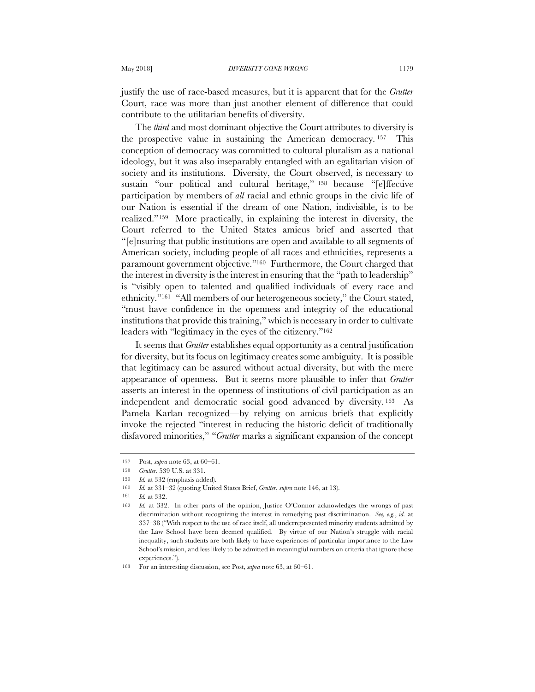justify the use of race-based measures, but it is apparent that for the *Grutter* Court, race was more than just another element of difference that could contribute to the utilitarian benefits of diversity.

The *third* and most dominant objective the Court attributes to diversity is the prospective value in sustaining the American democracy. <sup>157</sup> This conception of democracy was committed to cultural pluralism as a national ideology, but it was also inseparably entangled with an egalitarian vision of society and its institutions. Diversity, the Court observed, is necessary to sustain "our political and cultural heritage," <sup>158</sup> because "[e]ffective participation by members of *all* racial and ethnic groups in the civic life of our Nation is essential if the dream of one Nation, indivisible, is to be realized."159 More practically, in explaining the interest in diversity, the Court referred to the United States amicus brief and asserted that "[e]nsuring that public institutions are open and available to all segments of American society, including people of all races and ethnicities, represents a paramount government objective."160 Furthermore, the Court charged that the interest in diversity is the interest in ensuring that the "path to leadership" is "visibly open to talented and qualified individuals of every race and ethnicity."161 "All members of our heterogeneous society," the Court stated, "must have confidence in the openness and integrity of the educational institutions that provide this training," which is necessary in order to cultivate leaders with "legitimacy in the eyes of the citizenry."162

It seems that *Grutter* establishes equal opportunity as a central justification for diversity, but its focus on legitimacy creates some ambiguity. It is possible that legitimacy can be assured without actual diversity, but with the mere appearance of openness. But it seems more plausible to infer that *Grutter* asserts an interest in the openness of institutions of civil participation as an independent and democratic social good advanced by diversity. 163 As Pamela Karlan recognized—by relying on amicus briefs that explicitly invoke the rejected "interest in reducing the historic deficit of traditionally disfavored minorities," "*Grutter* marks a significant expansion of the concept

<sup>157</sup> Post, *supra* note 63, at 60–61.

<sup>158</sup> *Grutter*, 539 U.S. at 331.

<sup>159</sup> *Id.* at 332 (emphasis added).

<sup>160</sup> *Id.* at 331–32 (quoting United States Brief, *Grutter*, *supra* note 146, at 13).

<sup>161</sup> *Id.* at 332.

<sup>162</sup> *Id.* at 332. In other parts of the opinion, Justice O'Connor acknowledges the wrongs of past discrimination without recognizing the interest in remedying past discrimination. *See, e.g.*, *id.* at 337–38 ("With respect to the use of race itself, all underrepresented minority students admitted by the Law School have been deemed qualified. By virtue of our Nation's struggle with racial inequality, such students are both likely to have experiences of particular importance to the Law School's mission, and less likely to be admitted in meaningful numbers on criteria that ignore those experiences.").

<sup>163</sup> For an interesting discussion, see Post, *supra* note 63, at 60–61.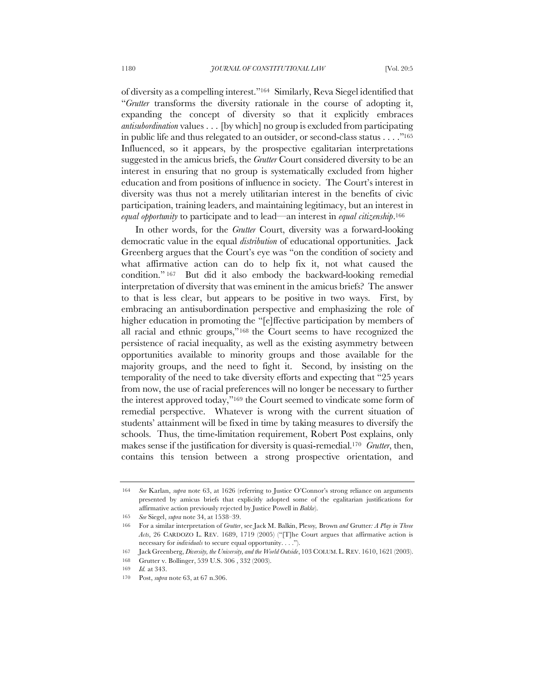of diversity as a compelling interest."164 Similarly, Reva Siegel identified that "*Grutter* transforms the diversity rationale in the course of adopting it, expanding the concept of diversity so that it explicitly embraces *antisubordination* values . . . [by which] no group is excluded from participating in public life and thus relegated to an outsider, or second-class status . . . ."165 Influenced, so it appears, by the prospective egalitarian interpretations suggested in the amicus briefs, the *Grutter* Court considered diversity to be an interest in ensuring that no group is systematically excluded from higher education and from positions of influence in society. The Court's interest in diversity was thus not a merely utilitarian interest in the benefits of civic participation, training leaders, and maintaining legitimacy, but an interest in *equal opportunity* to participate and to lead—an interest in *equal citizenship*.166

In other words, for the *Grutter* Court, diversity was a forward-looking democratic value in the equal *distribution* of educational opportunities. Jack Greenberg argues that the Court's eye was "on the condition of society and what affirmative action can do to help fix it, not what caused the condition." <sup>167</sup> But did it also embody the backward-looking remedial interpretation of diversity that was eminent in the amicus briefs? The answer to that is less clear, but appears to be positive in two ways. First, by embracing an antisubordination perspective and emphasizing the role of higher education in promoting the "[e]ffective participation by members of all racial and ethnic groups,"168 the Court seems to have recognized the persistence of racial inequality, as well as the existing asymmetry between opportunities available to minority groups and those available for the majority groups, and the need to fight it. Second, by insisting on the temporality of the need to take diversity efforts and expecting that "25 years from now, the use of racial preferences will no longer be necessary to further the interest approved today,"169 the Court seemed to vindicate some form of remedial perspective. Whatever is wrong with the current situation of students' attainment will be fixed in time by taking measures to diversify the schools. Thus, the time-limitation requirement, Robert Post explains, only makes sense if the justification for diversity is quasi-remedial.170 *Grutter*, then, contains this tension between a strong prospective orientation, and

<sup>164</sup> *See* Karlan, *supra* note 63, at 1626 (referring to Justice O'Connor's strong reliance on arguments presented by amicus briefs that explicitly adopted some of the egalitarian justifications for affirmative action previously rejected by Justice Powell in *Bakke*).

<sup>165</sup> *See* Siegel, *supra* note 34, at 1538–39.

<sup>166</sup> For a similar interpretation of *Grutter*, see Jack M. Balkin, Plessy*,* Brown *and* Grutter*: A Play in Three Acts*, 26 CARDOZO L. REV. 1689, 1719 (2005) ("[T]he Court argues that affirmative action is necessary for *individuals* to secure equal opportunity. . . .").

<sup>167</sup> Jack Greenberg, *Diversity, the University, and the World Outside*, 103 COLUM.L.REV. 1610, 1621 (2003).

<sup>168</sup> Grutter v. Bollinger, 539 U.S. 306 , 332 (2003).

<sup>169</sup> *Id.* at 343.

<sup>170</sup> Post, *supra* note 63, at 67 n.306.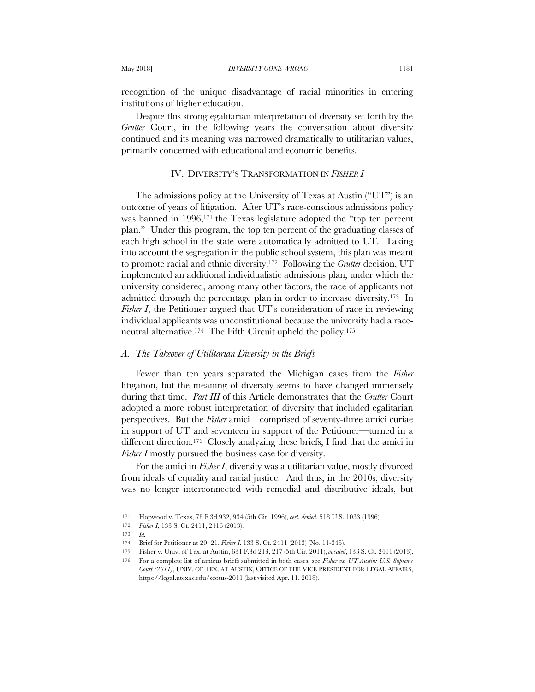recognition of the unique disadvantage of racial minorities in entering institutions of higher education.

Despite this strong egalitarian interpretation of diversity set forth by the *Grutter* Court, in the following years the conversation about diversity continued and its meaning was narrowed dramatically to utilitarian values, primarily concerned with educational and economic benefits.

## IV. DIVERSITY'S TRANSFORMATION IN *FISHER I*

The admissions policy at the University of Texas at Austin ("UT") is an outcome of years of litigation. After UT's race-conscious admissions policy was banned in 1996,<sup>171</sup> the Texas legislature adopted the "top ten percent plan." Under this program, the top ten percent of the graduating classes of each high school in the state were automatically admitted to UT. Taking into account the segregation in the public school system, this plan was meant to promote racial and ethnic diversity.172 Following the *Grutter* decision, UT implemented an additional individualistic admissions plan, under which the university considered, among many other factors, the race of applicants not admitted through the percentage plan in order to increase diversity.173 In *Fisher I*, the Petitioner argued that UT's consideration of race in reviewing individual applicants was unconstitutional because the university had a raceneutral alternative.174 The Fifth Circuit upheld the policy.175

## *A. The Takeover of Utilitarian Diversity in the Briefs*

Fewer than ten years separated the Michigan cases from the *Fisher* litigation, but the meaning of diversity seems to have changed immensely during that time. *Part III* of this Article demonstrates that the *Grutter* Court adopted a more robust interpretation of diversity that included egalitarian perspectives. But the *Fisher* amici—comprised of seventy-three amici curiae in support of UT and seventeen in support of the Petitioner—turned in a different direction.176 Closely analyzing these briefs, I find that the amici in *Fisher I* mostly pursued the business case for diversity.

For the amici in *Fisher I*, diversity was a utilitarian value, mostly divorced from ideals of equality and racial justice. And thus, in the 2010s, diversity was no longer interconnected with remedial and distributive ideals, but

<sup>171</sup> Hopwood v. Texas, 78 F.3d 932, 934 (5th Cir. 1996), *cert. denied*, 518 U.S. 1033 (1996).

<sup>172</sup> *Fisher I*, 133 S. Ct. 2411, 2416 (2013).

<sup>173</sup> *Id.*

<sup>174</sup> Brief for Petitioner at 20–21, *Fisher I*, 133 S. Ct. 2411 (2013) (No. 11-345).

<sup>175</sup> Fisher v. Univ. of Tex. at Austin, 631 F.3d 213, 217 (5th Cir. 2011), *vacated*, 133 S. Ct. 2411 (2013).

<sup>176</sup> For a complete list of amicus briefs submitted in both cases, see *Fisher vs. UT Austin: U.S. Supreme Court (2011)*, UNIV. OF TEX. AT AUSTIN, OFFICE OF THE VICE PRESIDENT FOR LEGAL AFFAIRS, https://legal.utexas.edu/scotus-2011 (last visited Apr. 11, 2018).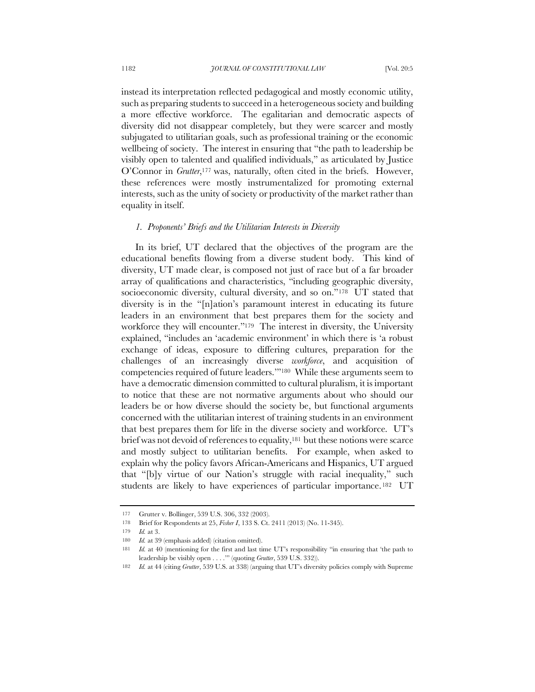instead its interpretation reflected pedagogical and mostly economic utility, such as preparing students to succeed in a heterogeneous society and building a more effective workforce. The egalitarian and democratic aspects of diversity did not disappear completely, but they were scarcer and mostly subjugated to utilitarian goals, such as professional training or the economic wellbeing of society. The interest in ensuring that "the path to leadership be visibly open to talented and qualified individuals," as articulated by Justice O'Connor in *Grutter*,<sup>177</sup> was, naturally, often cited in the briefs. However, these references were mostly instrumentalized for promoting external interests, such as the unity of society or productivity of the market rather than equality in itself.

#### *1. Proponents' Briefs and the Utilitarian Interests in Diversity*

In its brief, UT declared that the objectives of the program are the educational benefits flowing from a diverse student body. This kind of diversity, UT made clear, is composed not just of race but of a far broader array of qualifications and characteristics, "including geographic diversity, socioeconomic diversity, cultural diversity, and so on."178 UT stated that diversity is in the "[n]ation's paramount interest in educating its future leaders in an environment that best prepares them for the society and workforce they will encounter."<sup>179</sup> The interest in diversity, the University explained, "includes an 'academic environment' in which there is 'a robust exchange of ideas, exposure to differing cultures, preparation for the challenges of an increasingly diverse *workforce*, and acquisition of competencies required of future leaders.'"180 While these arguments seem to have a democratic dimension committed to cultural pluralism, it is important to notice that these are not normative arguments about who should our leaders be or how diverse should the society be, but functional arguments concerned with the utilitarian interest of training students in an environment that best prepares them for life in the diverse society and workforce. UT's brief was not devoid of references to equality,<sup>181</sup> but these notions were scarce and mostly subject to utilitarian benefits. For example, when asked to explain why the policy favors African-Americans and Hispanics, UT argued that "[b]y virtue of our Nation's struggle with racial inequality," such students are likely to have experiences of particular importance.<sup>182</sup> UT

<sup>177</sup> Grutter v. Bollinger, 539 U.S. 306, 332 (2003).

<sup>178</sup> Brief for Respondents at 25, *Fisher I*, 133 S. Ct. 2411 (2013) (No. 11-345).

<sup>179</sup> *Id.* at 3.

<sup>180</sup> *Id.* at 39 (emphasis added) (citation omitted).

Id. at 40 (mentioning for the first and last time UT's responsibility "in ensuring that 'the path to leadership be visibly open . . . .'" (quoting *Grutter*, 539 U.S. 332)).

<sup>182</sup> *Id.* at 44 (citing *Grutter*, 539 U.S. at 338) (arguing that UT's diversity policies comply with Supreme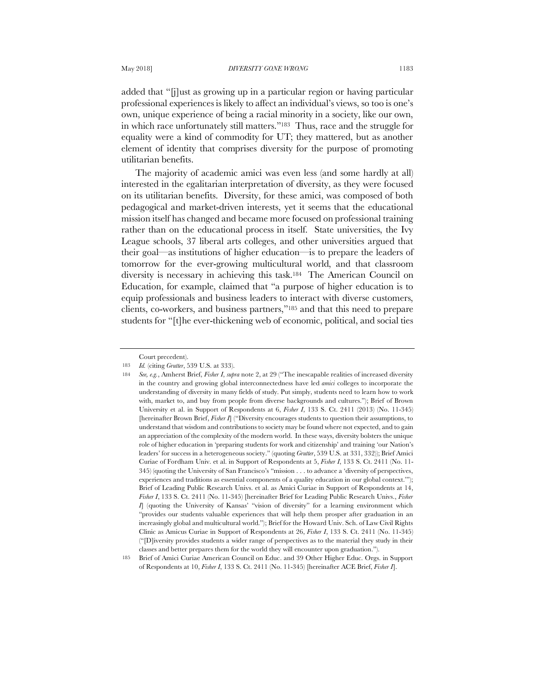added that "[j]ust as growing up in a particular region or having particular professional experiences is likely to affect an individual's views, so too is one's own, unique experience of being a racial minority in a society, like our own, in which race unfortunately still matters."183 Thus, race and the struggle for equality were a kind of commodity for UT; they mattered, but as another element of identity that comprises diversity for the purpose of promoting utilitarian benefits.

The majority of academic amici was even less (and some hardly at all) interested in the egalitarian interpretation of diversity, as they were focused on its utilitarian benefits. Diversity, for these amici, was composed of both pedagogical and market-driven interests, yet it seems that the educational mission itself has changed and became more focused on professional training rather than on the educational process in itself. State universities, the Ivy League schools, 37 liberal arts colleges, and other universities argued that their goal—as institutions of higher education—is to prepare the leaders of tomorrow for the ever-growing multicultural world, and that classroom diversity is necessary in achieving this task.184 The American Council on Education, for example, claimed that "a purpose of higher education is to equip professionals and business leaders to interact with diverse customers, clients, co-workers, and business partners,"185 and that this need to prepare students for "[t]he ever-thickening web of economic, political, and social ties

Court precedent).

<sup>183</sup> *Id.* (citing *Grutter*, 539 U.S. at 333).

<sup>184</sup> *See, e.g.*, Amherst Brief, *Fisher I*, *supra* note 2, at 29 ("The inescapable realities of increased diversity in the country and growing global interconnectedness have led *amici* colleges to incorporate the understanding of diversity in many fields of study. Put simply, students need to learn how to work with, market to, and buy from people from diverse backgrounds and cultures."); Brief of Brown University et al. in Support of Respondents at 6, *Fisher I*, 133 S. Ct. 2411 (2013) (No. 11-345) [hereinafter Brown Brief, *Fisher I*] ("Diversity encourages students to question their assumptions, to understand that wisdom and contributions to society may be found where not expected, and to gain an appreciation of the complexity of the modern world. In these ways, diversity bolsters the unique role of higher education in 'preparing students for work and citizenship' and training 'our Nation's leaders' for success in a heterogeneous society." (quoting *Grutter*, 539 U.S. at 331, 332)); Brief Amici Curiae of Fordham Univ. et al. in Support of Respondents at 5, *Fisher I*, 133 S. Ct. 2411 (No. 11- 345) (quoting the University of San Francisco's "mission . . . to advance a 'diversity of perspectives, experiences and traditions as essential components of a quality education in our global context.'"); Brief of Leading Public Research Univs. et al. as Amici Curiae in Support of Respondents at 14, *Fisher I*, 133 S. Ct. 2411 (No. 11-345) [hereinafter Brief for Leading Public Research Univs., *Fisher I*] (quoting the University of Kansas' "vision of diversity" for a learning environment which "provides our students valuable experiences that will help them prosper after graduation in an increasingly global and multicultural world."); Brief for the Howard Univ. Sch. of Law Civil Rights Clinic as Amicus Curiae in Support of Respondents at 26, *Fisher I*, 133 S. Ct. 2411 (No. 11-345) ("[D]iversity provides students a wider range of perspectives as to the material they study in their classes and better prepares them for the world they will encounter upon graduation.").

<sup>185</sup> Brief of Amici Curiae American Council on Educ. and 39 Other Higher Educ. Orgs. in Support of Respondents at 10, *Fisher I*, 133 S. Ct. 2411 (No. 11-345) [hereinafter ACE Brief, *Fisher I*].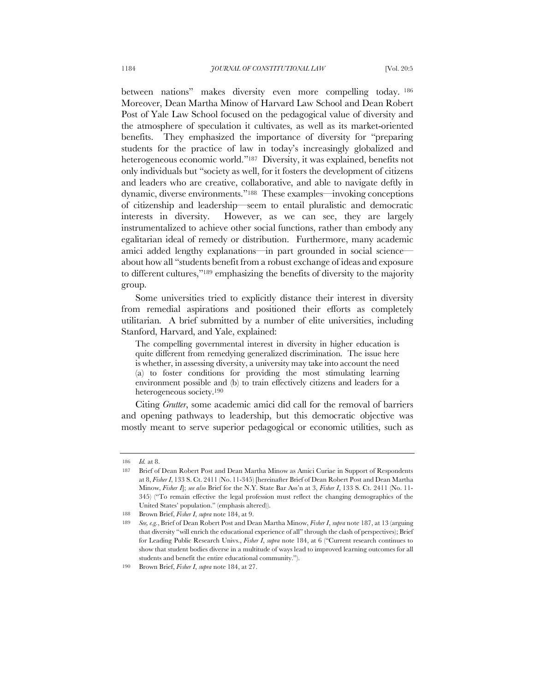between nations" makes diversity even more compelling today. <sup>186</sup> Moreover, Dean Martha Minow of Harvard Law School and Dean Robert Post of Yale Law School focused on the pedagogical value of diversity and the atmosphere of speculation it cultivates, as well as its market-oriented benefits. They emphasized the importance of diversity for "preparing students for the practice of law in today's increasingly globalized and heterogeneous economic world."<sup>187</sup> Diversity, it was explained, benefits not only individuals but "society as well, for it fosters the development of citizens and leaders who are creative, collaborative, and able to navigate deftly in dynamic, diverse environments."188 These examples—invoking conceptions of citizenship and leadership—seem to entail pluralistic and democratic interests in diversity. However, as we can see, they are largely instrumentalized to achieve other social functions, rather than embody any egalitarian ideal of remedy or distribution. Furthermore, many academic amici added lengthy explanations—in part grounded in social science about how all "students benefit from a robust exchange of ideas and exposure to different cultures,"189 emphasizing the benefits of diversity to the majority group.

Some universities tried to explicitly distance their interest in diversity from remedial aspirations and positioned their efforts as completely utilitarian. A brief submitted by a number of elite universities, including Stanford, Harvard, and Yale, explained:

The compelling governmental interest in diversity in higher education is quite different from remedying generalized discrimination. The issue here is whether, in assessing diversity, a university may take into account the need (a) to foster conditions for providing the most stimulating learning environment possible and (b) to train effectively citizens and leaders for a heterogeneous society.190

Citing *Grutter*, some academic amici did call for the removal of barriers and opening pathways to leadership, but this democratic objective was mostly meant to serve superior pedagogical or economic utilities, such as

<sup>186</sup> *Id.* at 8.

<sup>187</sup> Brief of Dean Robert Post and Dean Martha Minow as Amici Curiae in Support of Respondents at 8, *Fisher I*, 133 S. Ct. 2411 (No. 11-345) [hereinafter Brief of Dean Robert Post and Dean Martha Minow, *Fisher I*]; *see also* Brief for the N.Y. State Bar Ass'n at 3, *Fisher I*, 133 S. Ct. 2411 (No. 11- 345) ("To remain effective the legal profession must reflect the changing demographics of the United States' population." (emphasis altered)).

<sup>188</sup> Brown Brief, *Fisher I*, *supra* note 184, at 9.

<sup>189</sup> *See, e.g.*, Brief of Dean Robert Post and Dean Martha Minow, *Fisher I*, *supra* note 187, at 13 (arguing that diversity "will enrich the educational experience of all" through the clash of perspectives); Brief for Leading Public Research Univs., *Fisher I*, *supra* note 184, at 6 ("Current research continues to show that student bodies diverse in a multitude of ways lead to improved learning outcomes for all students and benefit the entire educational community.").

<sup>190</sup> Brown Brief, *Fisher I*, *supra* note 184, at 27.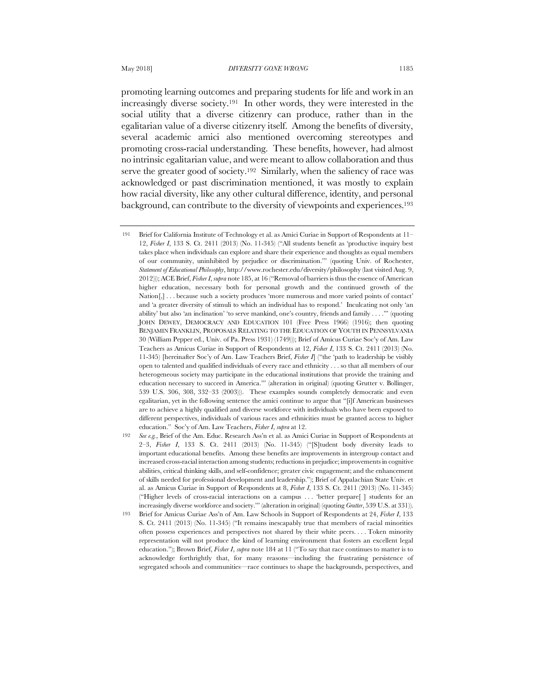promoting learning outcomes and preparing students for life and work in an increasingly diverse society.191 In other words, they were interested in the social utility that a diverse citizenry can produce, rather than in the egalitarian value of a diverse citizenry itself. Among the benefits of diversity, several academic amici also mentioned overcoming stereotypes and promoting cross-racial understanding. These benefits, however, had almost no intrinsic egalitarian value, and were meant to allow collaboration and thus serve the greater good of society.<sup>192</sup> Similarly, when the saliency of race was acknowledged or past discrimination mentioned, it was mostly to explain how racial diversity, like any other cultural difference, identity, and personal background, can contribute to the diversity of viewpoints and experiences.193

<sup>191</sup> Brief for California Institute of Technology et al. as Amici Curiae in Support of Respondents at 11– 12, *Fisher I*, 133 S. Ct. 2411 (2013) (No. 11-345) ("All students benefit as 'productive inquiry best takes place when individuals can explore and share their experience and thoughts as equal members of our community, uninhibited by prejudice or discrimination.'" (quoting Univ. of Rochester, *Statement of Educational Philosophy*, http://www.rochester.edu/diversity/philosophy (last visited Aug. 9, 2012))); ACE Brief, *Fisher I*, *supra* note 185, at 16 ("Removal of barriers is thus the essence of American higher education, necessary both for personal growth and the continued growth of the Nation[,] . . . because such a society produces 'more numerous and more varied points of contact' and 'a greater diversity of stimuli to which an individual has to respond.' Inculcating not only 'an ability' but also 'an inclination' 'to serve mankind, one's country, friends and family . . . .'" (quoting JOHN DEWEY, DEMOCRACY AND EDUCATION 101 (Free Press 1966) (1916); then quoting BENJAMIN FRANKLIN, PROPOSALS RELATING TO THE EDUCATION OF YOUTH IN PENNSYLVANIA 30 (William Pepper ed., Univ. of Pa. Press 1931) (1749))); Brief of Amicus Curiae Soc'y of Am. Law Teachers as Amicus Curiae in Support of Respondents at 12, *Fisher I*, 133 S. Ct. 2411 (2013) (No. 11-345) [hereinafter Soc'y of Am. Law Teachers Brief, *Fisher I*] ("the 'path to leadership be visibly open to talented and qualified individuals of every race and ethnicity . . . so that all members of our heterogeneous society may participate in the educational institutions that provide the training and education necessary to succeed in America.'" (alteration in original) (quoting Grutter v. Bollinger, 539 U.S. 306, 308, 332–33 (2003))). These examples sounds completely democratic and even egalitarian, yet in the following sentence the amici continue to argue that "[i]f American businesses are to achieve a highly qualified and diverse workforce with individuals who have been exposed to different perspectives, individuals of various races and ethnicities must be granted access to higher education." Soc'y of Am. Law Teachers, *Fisher I*, *supra* at 12.

<sup>192</sup> *See e.g.*, Brief of the Am. Educ. Research Ass'n et al. as Amici Curiae in Support of Respondents at 2–3, *Fisher I*, 133 S. Ct. 2411 (2013) (No. 11-345) ("[S]tudent body diversity leads to important educational benefits. Among these benefits are improvements in intergroup contact and increased cross-racial interaction among students; reductions in prejudice; improvements in cognitive abilities, critical thinking skills, and self-confidence; greater civic engagement; and the enhancement of skills needed for professional development and leadership."); Brief of Appalachian State Univ. et al. as Amicus Curiae in Support of Respondents at 8, *Fisher I*, 133 S. Ct. 2411 (2013) (No. 11-345) ("Higher levels of cross-racial interactions on a campus . . . 'better prepare[ ] students for an increasingly diverse workforce and society.'" (alteration in original) (quoting *Grutter*, 539 U.S. at 331)).

<sup>193</sup> Brief for Amicus Curiae Ass'n of Am. Law Schools in Support of Respondents at 24, *Fisher I*, 133 S. Ct. 2411 (2013) (No. 11-345) ("It remains inescapably true that members of racial minorities often possess experiences and perspectives not shared by their white peers. . . . Token minority representation will not produce the kind of learning environment that fosters an excellent legal education."); Brown Brief, *Fisher I*, *supra* note 184 at 11 ("To say that race continues to matter is to acknowledge forthrightly that, for many reasons—including the frustrating persistence of segregated schools and communities—race continues to shape the backgrounds, perspectives, and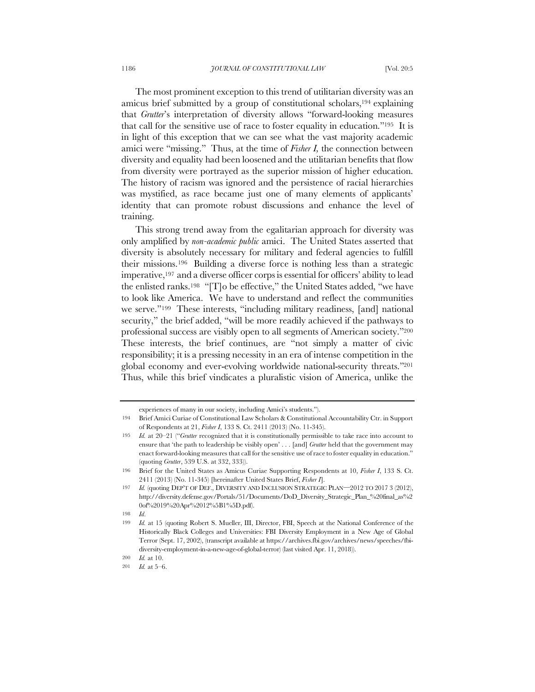The most prominent exception to this trend of utilitarian diversity was an amicus brief submitted by a group of constitutional scholars,194 explaining that *Grutter*'s interpretation of diversity allows "forward-looking measures that call for the sensitive use of race to foster equality in education."195 It is in light of this exception that we can see what the vast majority academic amici were "missing." Thus, at the time of *Fisher I,* the connection between diversity and equality had been loosened and the utilitarian benefits that flow from diversity were portrayed as the superior mission of higher education. The history of racism was ignored and the persistence of racial hierarchies was mystified, as race became just one of many elements of applicants' identity that can promote robust discussions and enhance the level of training.

This strong trend away from the egalitarian approach for diversity was only amplified by *non-academic public* amici. The United States asserted that diversity is absolutely necessary for military and federal agencies to fulfill their missions.196 Building a diverse force is nothing less than a strategic imperative,197 and a diverse officer corps is essential for officers' ability to lead the enlisted ranks.198 "[T]o be effective," the United States added, "we have to look like America. We have to understand and reflect the communities we serve."199 These interests, "including military readiness, [and] national security," the brief added, "will be more readily achieved if the pathways to professional success are visibly open to all segments of American society."200 These interests, the brief continues, are "not simply a matter of civic responsibility; it is a pressing necessity in an era of intense competition in the global economy and ever-evolving worldwide national-security threats."201 Thus, while this brief vindicates a pluralistic vision of America, unlike the

experiences of many in our society, including Amici's students.").

<sup>194</sup> Brief Amici Curiae of Constitutional Law Scholars & Constitutional Accountability Ctr. in Support of Respondents at 21, *Fisher I*, 133 S. Ct. 2411 (2013) (No. 11-345).

<sup>195</sup> *Id.* at 20–21 ("*Grutter* recognized that it is constitutionally permissible to take race into account to ensure that 'the path to leadership be visibly open' . . . [and] *Grutter* held that the government may enact forward-looking measures that call for the sensitive use of race to foster equality in education." (quoting *Grutter*, 539 U.S. at 332, 333)).

<sup>196</sup> Brief for the United States as Amicus Curiae Supporting Respondents at 10, *Fisher I*, 133 S. Ct. 2411 (2013) (No. 11-345) [hereinafter United States Brief, *Fisher I*].

<sup>197</sup> *Id.* (quoting DEP'T OF DEF., DIVERSITY AND INCLUSION STRATEGIC PLAN—2012 TO 2017 3 (2012), http://diversity.defense.gov/Portals/51/Documents/DoD\_Diversity\_Strategic\_Plan\_%20final\_as%2 0of%2019%20Apr%2012%5B1%5D.pdf).

<sup>198</sup> *Id*.

<sup>199</sup> *Id.* at 15 (quoting Robert S. Mueller, III, Director, FBI, Speech at the National Conference of the Historically Black Colleges and Universities: FBI Diversity Employment in a New Age of Global Terror (Sept. 17, 2002), (transcript available at https://archives.fbi.gov/archives/news/speeches/fbidiversity-employment-in-a-new-age-of-global-terror) (last visited Apr. 11, 2018)).

<sup>200</sup> *Id.* at 10.

<sup>201</sup> *Id.* at 5–6.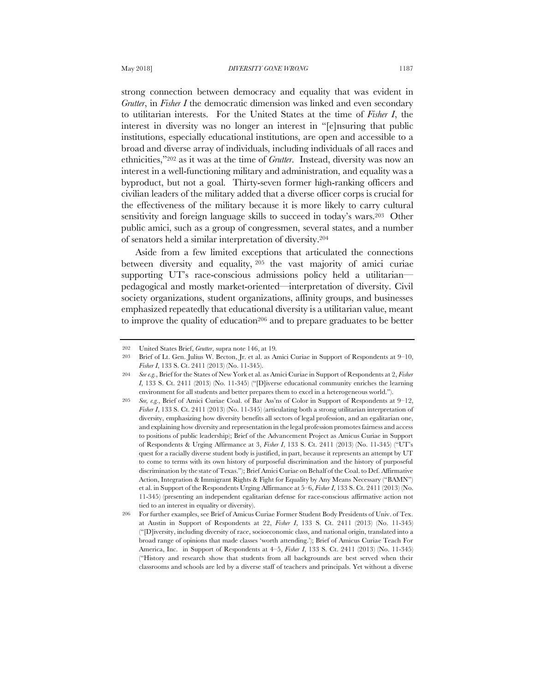strong connection between democracy and equality that was evident in *Grutter*, in *Fisher I* the democratic dimension was linked and even secondary to utilitarian interests. For the United States at the time of *Fisher I*, the interest in diversity was no longer an interest in "[e]nsuring that public institutions, especially educational institutions, are open and accessible to a broad and diverse array of individuals, including individuals of all races and ethnicities,"202 as it was at the time of *Grutter*. Instead, diversity was now an interest in a well-functioning military and administration, and equality was a byproduct, but not a goal. Thirty-seven former high-ranking officers and civilian leaders of the military added that a diverse officer corps is crucial for the effectiveness of the military because it is more likely to carry cultural sensitivity and foreign language skills to succeed in today's wars.203 Other public amici, such as a group of congressmen, several states, and a number of senators held a similar interpretation of diversity.204

Aside from a few limited exceptions that articulated the connections between diversity and equality, <sup>205</sup> the vast majority of amici curiae supporting UT's race-conscious admissions policy held a utilitarianpedagogical and mostly market-oriented—interpretation of diversity. Civil society organizations, student organizations, affinity groups, and businesses emphasized repeatedly that educational diversity is a utilitarian value, meant to improve the quality of education<sup>206</sup> and to prepare graduates to be better

<sup>202</sup> United States Brief, *Grutter*, supra note 146, at 19*.*

<sup>203</sup> Brief of Lt. Gen. Julius W. Becton, Jr. et al. as Amici Curiae in Support of Respondents at 9–10, *Fisher I*, 133 S. Ct. 2411 (2013) (No. 11-345).

<sup>204</sup> *See e.g.*, Brief for the States of New York et al. as Amici Curiae in Support of Respondents at 2, *Fisher I*, 133 S. Ct. 2411 (2013) (No. 11-345) ("[D]iverse educational community enriches the learning environment for all students and better prepares them to excel in a heterogeneous world.").

<sup>205</sup> *See, e.g.*, Brief of Amici Curiae Coal. of Bar Ass'ns of Color in Support of Respondents at 9–12, *Fisher I*, 133 S. Ct. 2411 (2013) (No. 11-345) (articulating both a strong utilitarian interpretation of diversity, emphasizing how diversity benefits all sectors of legal profession, and an egalitarian one, and explaining how diversity and representation in the legal profession promotes fairness and access to positions of public leadership); Brief of the Advancement Project as Amicus Curiae in Support of Respondents & Urging Affirmance at 3, *Fisher I*, 133 S. Ct. 2411 (2013) (No. 11-345) ("UT's quest for a racially diverse student body is justified, in part, because it represents an attempt by UT to come to terms with its own history of purposeful discrimination and the history of purposeful discrimination by the state of Texas."); Brief Amici Curiae on Behalf of the Coal. to Def. Affirmative Action, Integration & Immigrant Rights & Fight for Equality by Any Means Necessary ("BAMN") et al. in Support of the Respondents Urging Affirmance at 5–6, *Fisher I*, 133 S. Ct. 2411 (2013) (No. 11-345) (presenting an independent egalitarian defense for race-conscious affirmative action not tied to an interest in equality or diversity).

<sup>206</sup> For further examples, see Brief of Amicus Curiae Former Student Body Presidents of Univ. of Tex. at Austin in Support of Respondents at 22, *Fisher I*, 133 S. Ct. 2411 (2013) (No. 11-345) ("[D]iversity, including diversity of race, socioeconomic class, and national origin, translated into a broad range of opinions that made classes 'worth attending.'); Brief of Amicus Curiae Teach For America, Inc. in Support of Respondents at 4–5, *Fisher I*, 133 S. Ct. 2411 (2013) (No. 11-345) ("History and research show that students from all backgrounds are best served when their classrooms and schools are led by a diverse staff of teachers and principals. Yet without a diverse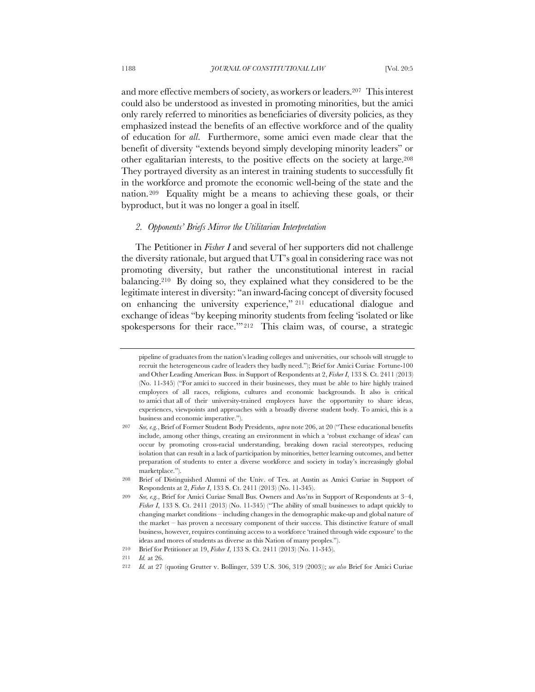and more effective members of society, as workers or leaders.207 This interest could also be understood as invested in promoting minorities, but the amici only rarely referred to minorities as beneficiaries of diversity policies, as they emphasized instead the benefits of an effective workforce and of the quality of education for *all*. Furthermore, some amici even made clear that the benefit of diversity "extends beyond simply developing minority leaders" or other egalitarian interests, to the positive effects on the society at large.208 They portrayed diversity as an interest in training students to successfully fit in the workforce and promote the economic well-being of the state and the nation.209 Equality might be a means to achieving these goals, or their byproduct, but it was no longer a goal in itself.

### *2. Opponents' Briefs Mirror the Utilitarian Interpretation*

The Petitioner in *Fisher I* and several of her supporters did not challenge the diversity rationale, but argued that UT's goal in considering race was not promoting diversity, but rather the unconstitutional interest in racial balancing.210 By doing so, they explained what they considered to be the legitimate interest in diversity: "an inward-facing concept of diversity focused on enhancing the university experience," <sup>211</sup> educational dialogue and exchange of ideas "by keeping minority students from feeling 'isolated or like spokespersons for their race.'" 212 This claim was, of course, a strategic

pipeline of graduates from the nation's leading colleges and universities, our schools will struggle to recruit the heterogeneous cadre of leaders they badly need."); Brief for Amici Curiae Fortune-100 and Other Leading American Buss. in Support of Respondents at 2, *Fisher I*, 133 S. Ct. 2411 (2013) (No. 11-345) ("For amici to succeed in their businesses, they must be able to hire highly trained employees of all races, religions, cultures and economic backgrounds. It also is critical to amici that all of their university-trained employees have the opportunity to share ideas, experiences, viewpoints and approaches with a broadly diverse student body. To amici, this is a business and economic imperative.").

<sup>207</sup> *See, e.g.*, Brief of Former Student Body Presidents, *supra* note 206, at 20 ("These educational benefits include, among other things, creating an environment in which a 'robust exchange of ideas' can occur by promoting cross-racial understanding, breaking down racial stereotypes, reducing isolation that can result in a lack of participation by minorities, better learning outcomes, and better preparation of students to enter a diverse workforce and society in today's increasingly global marketplace.").

<sup>208</sup> Brief of Distinguished Alumni of the Univ. of Tex. at Austin as Amici Curiae in Support of Respondents at 2, *Fisher I*, 133 S. Ct. 2411 (2013) (No. 11-345).

<sup>209</sup> *See, e.g.*, Brief for Amici Curiae Small Bus. Owners and Ass'ns in Support of Respondents at 3–4, *Fisher I*, 133 S. Ct. 2411 (2013) (No. 11-345) ("The ability of small businesses to adapt quickly to changing market conditions – including changes in the demographic make-up and global nature of the market – has proven a necessary component of their success. This distinctive feature of small business, however, requires continuing access to a workforce 'trained through wide exposure' to the ideas and mores of students as diverse as this Nation of many peoples.").

<sup>210</sup> Brief for Petitioner at 19, *Fisher I*, 133 S. Ct. 2411 (2013) (No. 11-345).

<sup>211</sup> *Id.* at 26.

<sup>212</sup> *Id.* at 27 (quoting Grutter v. Bollinger, 539 U.S. 306, 319 (2003)); *see also* Brief for Amici Curiae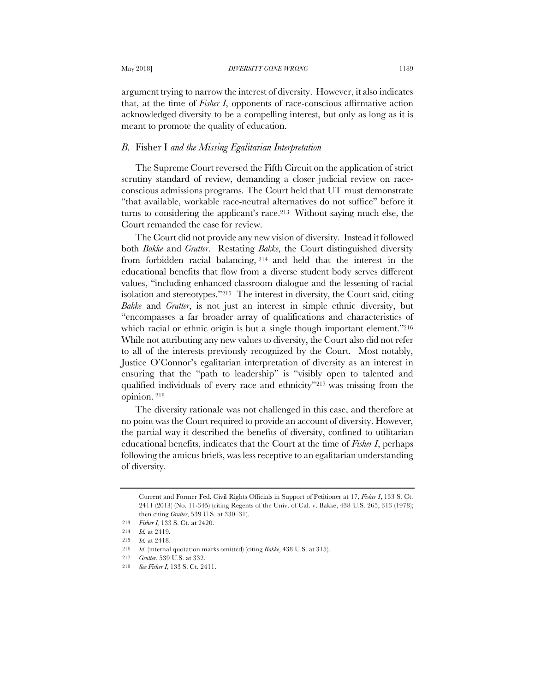argument trying to narrow the interest of diversity. However, it also indicates that, at the time of *Fisher I*, opponents of race-conscious affirmative action acknowledged diversity to be a compelling interest, but only as long as it is meant to promote the quality of education.

### *B.* Fisher I *and the Missing Egalitarian Interpretation*

The Supreme Court reversed the Fifth Circuit on the application of strict scrutiny standard of review, demanding a closer judicial review on raceconscious admissions programs. The Court held that UT must demonstrate "that available, workable race-neutral alternatives do not suffice" before it turns to considering the applicant's race.213 Without saying much else, the Court remanded the case for review.

The Court did not provide any new vision of diversity. Instead it followed both *Bakke* and *Grutter*. Restating *Bakke*, the Court distinguished diversity from forbidden racial balancing, <sup>214</sup> and held that the interest in the educational benefits that flow from a diverse student body serves different values, "including enhanced classroom dialogue and the lessening of racial isolation and stereotypes."215 The interest in diversity, the Court said, citing *Bakke* and *Grutter*, is not just an interest in simple ethnic diversity, but "encompasses a far broader array of qualifications and characteristics of which racial or ethnic origin is but a single though important element."<sup>216</sup> While not attributing any new values to diversity, the Court also did not refer to all of the interests previously recognized by the Court. Most notably, Justice O'Connor's egalitarian interpretation of diversity as an interest in ensuring that the "path to leadership" is "visibly open to talented and qualified individuals of every race and ethnicity"217 was missing from the opinion. <sup>218</sup>

The diversity rationale was not challenged in this case, and therefore at no point was the Court required to provide an account of diversity. However, the partial way it described the benefits of diversity, confined to utilitarian educational benefits, indicates that the Court at the time of *Fisher I*, perhaps following the amicus briefs, was less receptive to an egalitarian understanding of diversity.

Current and Former Fed. Civil Rights Officials in Support of Petitioner at 17, *Fisher I*, 133 S. Ct. 2411 (2013) (No. 11-345) (citing Regents of the Univ. of Cal. v. Bakke, 438 U.S. 265, 313 (1978); then citing *Grutter*, 539 U.S. at 330–31).

<sup>213</sup> *Fisher I,* 133 S. Ct. at 2420.

<sup>214</sup> *Id.* at 2419*.*

<sup>215</sup> *Id.* at 2418.

<sup>216</sup> *Id*. (internal quotation marks omitted) (citing *Bakke*, 438 U.S. at 315).

<sup>217</sup> *Grutter*, 539 U.S. at 332.

<sup>218</sup> *See Fisher I,* 133 S. Ct. 2411.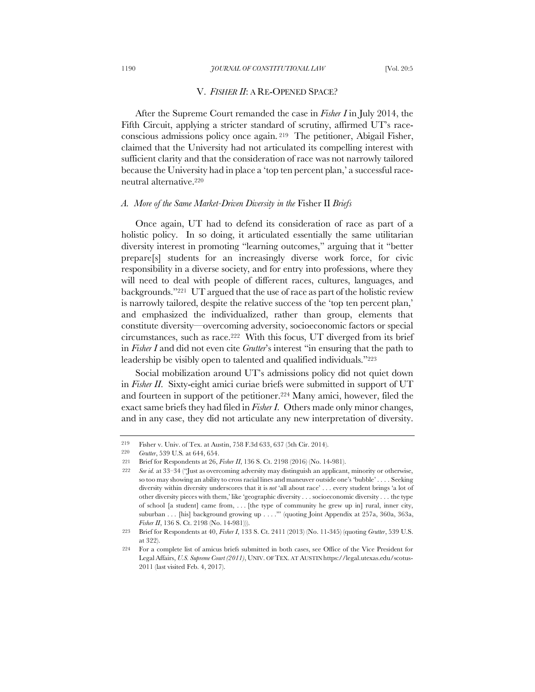#### 1190 *JOURNAL OF CONSTITUTIONAL LAW* [Vol. 20:5

### V. *FISHER II*: A RE-OPENED SPACE?

After the Supreme Court remanded the case in *Fisher I* in July 2014, the Fifth Circuit, applying a stricter standard of scrutiny, affirmed UT's raceconscious admissions policy once again. <sup>219</sup> The petitioner, Abigail Fisher, claimed that the University had not articulated its compelling interest with sufficient clarity and that the consideration of race was not narrowly tailored because the University had in place a 'top ten percent plan,' a successful raceneutral alternative.220

#### *A. More of the Same Market-Driven Diversity in the* Fisher II *Briefs*

Once again, UT had to defend its consideration of race as part of a holistic policy. In so doing, it articulated essentially the same utilitarian diversity interest in promoting "learning outcomes," arguing that it "better prepare[s] students for an increasingly diverse work force, for civic responsibility in a diverse society, and for entry into professions, where they will need to deal with people of different races, cultures, languages, and backgrounds."221 UT argued that the use of race as part of the holistic review is narrowly tailored, despite the relative success of the 'top ten percent plan,' and emphasized the individualized, rather than group, elements that constitute diversity—overcoming adversity, socioeconomic factors or special circumstances, such as race.222 With this focus, UT diverged from its brief in *Fisher I* and did not even cite *Grutter*'s interest "in ensuring that the path to leadership be visibly open to talented and qualified individuals."223

Social mobilization around UT's admissions policy did not quiet down in *Fisher II*. Sixty-eight amici curiae briefs were submitted in support of UT and fourteen in support of the petitioner.224 Many amici, however, filed the exact same briefs they had filed in *Fisher I*. Others made only minor changes, and in any case, they did not articulate any new interpretation of diversity.

<sup>219</sup> Fisher v. Univ. of Tex. at Austin, 758 F.3d 633, 637 (5th Cir. 2014).

<sup>220</sup> *Grutter*, 539 U.S*.* at 644, 654.

<sup>221</sup> Brief for Respondents at 26, *Fisher II*, 136 S. Ct. 2198 (2016) (No. 14-981).

<sup>222</sup> *See id.* at 33–34 ("Just as overcoming adversity may distinguish an applicant, minority or otherwise, so too may showing an ability to cross racial lines and maneuver outside one's 'bubble' . . . . Seeking diversity within diversity underscores that it is *not* 'all about race' . . . every student brings 'a lot of other diversity pieces with them,' like 'geographic diversity . . . socioeconomic diversity . . . the type of school [a student] came from, . . . [the type of community he grew up in] rural, inner city, suburban . . . [his] background growing up . . . .'" (quoting Joint Appendix at 257a, 360a, 363a, *Fisher II*, 136 S. Ct. 2198 (No. 14-981))).

<sup>223</sup> Brief for Respondents at 40, *Fisher I*, 133 S. Ct. 2411 (2013) (No. 11-345) (quoting *Grutter*, 539 U.S. at 322).

<sup>224</sup> For a complete list of amicus briefs submitted in both cases, see Office of the Vice President for Legal Affairs, *U.S. Supreme Court (2011)*, UNIV. OF TEX. AT AUSTIN https://legal.utexas.edu/scotus-2011 (last visited Feb. 4, 2017).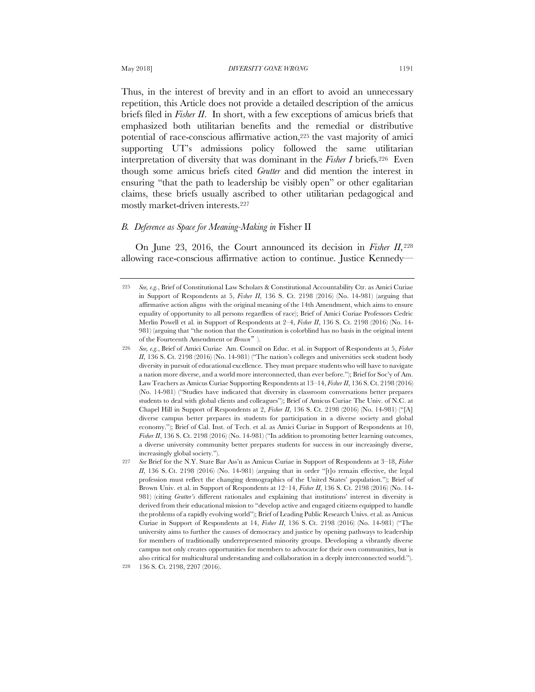Thus, in the interest of brevity and in an effort to avoid an unnecessary repetition, this Article does not provide a detailed description of the amicus briefs filed in *Fisher II*. In short, with a few exceptions of amicus briefs that emphasized both utilitarian benefits and the remedial or distributive potential of race-conscious affirmative action,225 the vast majority of amici supporting UT's admissions policy followed the same utilitarian interpretation of diversity that was dominant in the *Fisher I* briefs.226 Even though some amicus briefs cited *Grutter* and did mention the interest in ensuring "that the path to leadership be visibly open" or other egalitarian claims, these briefs usually ascribed to other utilitarian pedagogical and mostly market-driven interests.227

# *B. Deference as Space for Meaning-Making in* Fisher II

On June 23, 2016, the Court announced its decision in *Fisher II*, <sup>228</sup> allowing race-conscious affirmative action to continue. Justice Kennedy—

<sup>225</sup> *See, e.g.*, Brief of Constitutional Law Scholars & Constitutional Accountability Ctr. as Amici Curiae in Support of Respondents at 5, *Fisher II*, 136 S. Ct. 2198 (2016) (No. 14-981) (arguing that affirmative action aligns with the original meaning of the 14th Amendment, which aims to ensure equality of opportunity to all persons regardless of race); Brief of Amici Curiae Professors Cedric Merlin Powell et al. in Support of Respondents at 2–4, *Fisher II*, 136 S. Ct. 2198 (2016) (No. 14- 981) (arguing that "the notion that the Constitution is colorblind has no basis in the original intent of the Fourteenth Amendment or *Brown*").

<sup>226</sup> *See, e.g.*, Brief of Amici Curiae Am. Council on Educ. et al. in Support of Respondents at 5, *Fisher II*, 136 S. Ct. 2198 (2016) (No. 14-981) ("The nation's colleges and universities seek student body diversity in pursuit of educational excellence. They must prepare students who will have to navigate a nation more diverse, and a world more interconnected, than ever before."); Brief for Soc'y of Am. LawTeachers as Amicus Curiae Supporting Respondents at 13–14, *Fisher II*, 136 S. Ct. 2198 (2016) (No. 14-981) ("Studies have indicated that diversity in classroom conversations better prepares students to deal with global clients and colleagues"); Brief of Amicus Curiae The Univ. of N.C. at Chapel Hill in Support of Respondents at 2, *Fisher II*, 136 S. Ct. 2198 (2016) (No. 14-981) ("[A] diverse campus better prepares its students for participation in a diverse society and global economy."); Brief of Cal. Inst. of Tech. et al. as Amici Curiae in Support of Respondents at 10, *Fisher II*, 136 S. Ct. 2198 (2016) (No. 14-981) ("In addition to promoting better learning outcomes, a diverse university community better prepares students for success in our increasingly diverse, increasingly global society.").

<sup>227</sup> *See* Brief for the N.Y. State Bar Ass'n as Amicus Curiae in Support of Respondents at 3–18, *Fisher II*, 136 S. Ct. 2198 (2016) (No. 14-981) (arguing that in order "[t]o remain effective, the legal profession must reflect the changing demographics of the United States' population."); Brief of Brown Univ. et al. in Support of Respondents at 12–14, *Fisher II*, 136 S. Ct. 2198 (2016) (No. 14- 981) (citing *Grutter's* different rationales and explaining that institutions' interest in diversity is derived from their educational mission to "develop active and engaged citizens equipped to handle the problems of a rapidly evolving world"); Brief of Leading Public Research Univs. et al. as Amicus Curiae in Support of Respondents at 14, *Fisher II*, 136 S. Ct. 2198 (2016) (No. 14-981) ("The university aims to further the causes of democracy and justice by opening pathways to leadership for members of traditionally underrepresented minority groups. Developing a vibrantly diverse campus not only creates opportunities for members to advocate for their own communities, but is also critical for multicultural understanding and collaboration in a deeply interconnected world."). 228 136 S. Ct. 2198, 2207 (2016).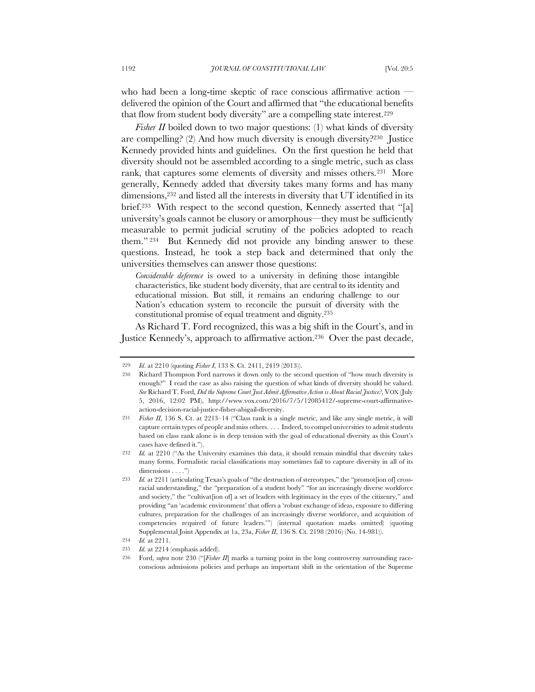who had been a long-time skeptic of race conscious affirmative action delivered the opinion of the Court and affirmed that "the educational benefits that flow from student body diversity" are a compelling state interest.229

*Fisher II* boiled down to two major questions: (1) what kinds of diversity are compelling? (2) And how much diversity is enough diversity?230 Justice Kennedy provided hints and guidelines. On the first question he held that diversity should not be assembled according to a single metric, such as class rank, that captures some elements of diversity and misses others.231 More generally, Kennedy added that diversity takes many forms and has many dimensions,232 and listed all the interests in diversity that UT identified in its brief.<sup>233</sup> With respect to the second question, Kennedy asserted that "[a] university's goals cannot be elusory or amorphous—they must be sufficiently measurable to permit judicial scrutiny of the policies adopted to reach them." <sup>234</sup> But Kennedy did not provide any binding answer to these questions. Instead, he took a step back and determined that only the universities themselves can answer those questions:

*Considerable deference* is owed to a university in defining those intangible characteristics, like student body diversity, that are central to its identity and educational mission. But still, it remains an enduring challenge to our Nation's education system to reconcile the pursuit of diversity with the constitutional promise of equal treatment and dignity.235

As Richard T. Ford recognized, this was a big shift in the Court's, and in Justice Kennedy's, approach to affirmative action.236 Over the past decade,

<sup>229</sup> *Id*. at 2210 (quoting *Fisher I*, 133 S. Ct. 2411, 2419 (2013)).

<sup>230</sup> Richard Thompson Ford narrows it down only to the second question of "how much diversity is enough?" I read the case as also raising the question of what kinds of diversity should be valued. *See* Richard T. Ford, *Did the Supreme Court Just Admit Affirmative Action is About Racial Justice?*, VOX (July 5, 2016, 12:02 PM), http://www.vox.com/2016/7/5/12085412/-supreme-court-affirmativeaction-decision-racial-justice-fisher-abigail-diversity.

Fisher II, 136 S. Ct. at 2213-14 ("Class rank is a single metric, and like any single metric, it will capture certain types of people and miss others. . . . Indeed, to compel universities to admit students based on class rank alone is in deep tension with the goal of educational diversity as this Court's cases have defined it.").

<sup>232</sup> *Id.* at 2210 ("As the University examines this data, it should remain mindful that diversity takes many forms. Formalistic racial classifications may sometimes fail to capture diversity in all of its dimensions . . . .")

<sup>233</sup> *Id.* at 2211 (articulating Texas's goals of "the destruction of stereotypes," the "promot[ion of] crossracial understanding," the "preparation of a student body" "for an increasingly diverse workforce and society," the "cultivat[ion of] a set of leaders with legitimacy in the eyes of the citizenry," and providing "an 'academic environment' that offers a 'robust exchange of ideas, exposure to differing cultures, preparation for the challenges of an increasingly diverse workforce, and acquisition of competencies required of future leaders.'") (internal quotation marks omitted) (quoting Supplemental Joint Appendix at 1a, 23a, *Fisher II*, 136 S. Ct. 2198 (2016) (No. 14-981)).

<sup>234</sup> *Id.* at 2211.

<sup>235</sup> *Id.* at 2214 (emphasis added).

<sup>236</sup> Ford, *supra* note 230 ("[*Fisher II*] marks a turning point in the long controversy surrounding raceconscious admissions policies and perhaps an important shift in the orientation of the Supreme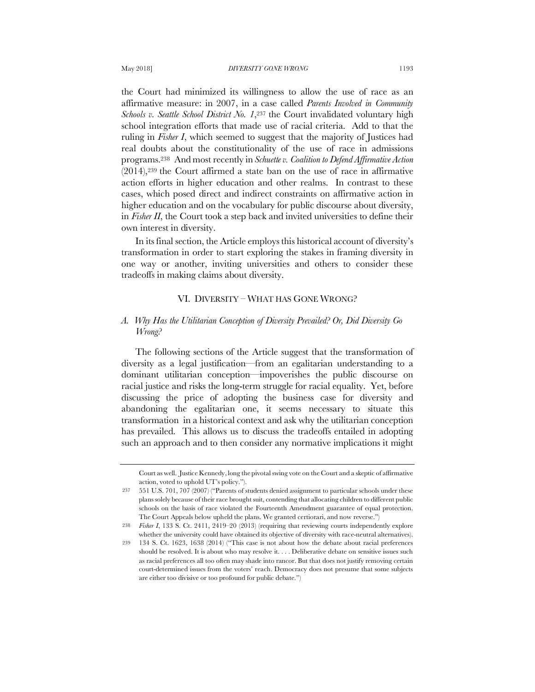the Court had minimized its willingness to allow the use of race as an affirmative measure: in 2007, in a case called *Parents Involved in Community Schools v. Seattle School District No. 1*,237 the Court invalidated voluntary high school integration efforts that made use of racial criteria. Add to that the ruling in *Fisher I*, which seemed to suggest that the majority of Justices had real doubts about the constitutionality of the use of race in admissions programs.238 And most recently in *Schuette v. Coalition to Defend Affirmative Action*  (2014),239 the Court affirmed a state ban on the use of race in affirmative action efforts in higher education and other realms. In contrast to these cases, which posed direct and indirect constraints on affirmative action in higher education and on the vocabulary for public discourse about diversity, in *Fisher II*, the Court took a step back and invited universities to define their own interest in diversity.

In its final section, the Article employs this historical account of diversity's transformation in order to start exploring the stakes in framing diversity in one way or another, inviting universities and others to consider these tradeoffs in making claims about diversity.

### VI. DIVERSITY – WHAT HAS GONE WRONG?

# *A. Why Has the Utilitarian Conception of Diversity Prevailed? Or, Did Diversity Go Wrong?*

The following sections of the Article suggest that the transformation of diversity as a legal justification—from an egalitarian understanding to a dominant utilitarian conception—impoverishes the public discourse on racial justice and risks the long-term struggle for racial equality. Yet, before discussing the price of adopting the business case for diversity and abandoning the egalitarian one, it seems necessary to situate this transformation in a historical context and ask why the utilitarian conception has prevailed. This allows us to discuss the tradeoffs entailed in adopting such an approach and to then consider any normative implications it might

Court as well. Justice Kennedy, long the pivotal swing vote on the Court and a skeptic of affirmative action, voted to uphold UT's policy.").

<sup>237</sup> 551 U.S. 701, 707 (2007) ("Parents of students denied assignment to particular schools under these plans solely because of their race brought suit, contending that allocating children to different public schools on the basis of race violated the Fourteenth Amendment guarantee of equal protection. The Court Appeals below upheld the plans. We granted certiorari, and now reverse.")

<sup>238</sup> *Fisher I*, 133 S. Ct. 2411, 2419–20 (2013) (requiring that reviewing courts independently explore whether the university could have obtained its objective of diversity with race-neutral alternatives).

<sup>239</sup> 134 S. Ct. 1623, 1638 (2014) ("This case is not about how the debate about racial preferences should be resolved. It is about who may resolve it. . . . Deliberative debate on sensitive issues such as racial preferences all too often may shade into rancor. But that does not justify removing certain court-determined issues from the voters' reach. Democracy does not presume that some subjects are either too divisive or too profound for public debate.")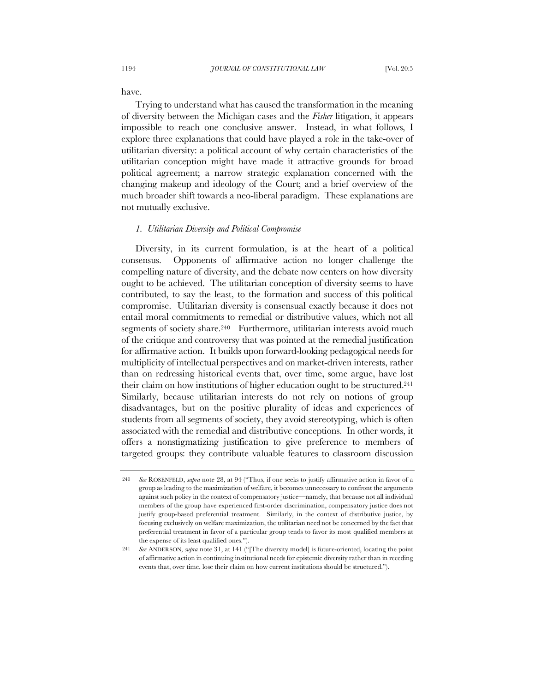have.

Trying to understand what has caused the transformation in the meaning of diversity between the Michigan cases and the *Fisher* litigation, it appears impossible to reach one conclusive answer. Instead, in what follows, I explore three explanations that could have played a role in the take-over of utilitarian diversity: a political account of why certain characteristics of the utilitarian conception might have made it attractive grounds for broad political agreement; a narrow strategic explanation concerned with the changing makeup and ideology of the Court; and a brief overview of the much broader shift towards a neo-liberal paradigm. These explanations are not mutually exclusive.

#### *1. Utilitarian Diversity and Political Compromise*

Diversity, in its current formulation, is at the heart of a political consensus. Opponents of affirmative action no longer challenge the compelling nature of diversity, and the debate now centers on how diversity ought to be achieved. The utilitarian conception of diversity seems to have contributed, to say the least, to the formation and success of this political compromise. Utilitarian diversity is consensual exactly because it does not entail moral commitments to remedial or distributive values, which not all segments of society share.<sup>240</sup> Furthermore, utilitarian interests avoid much of the critique and controversy that was pointed at the remedial justification for affirmative action. It builds upon forward-looking pedagogical needs for multiplicity of intellectual perspectives and on market-driven interests, rather than on redressing historical events that, over time, some argue, have lost their claim on how institutions of higher education ought to be structured.241 Similarly, because utilitarian interests do not rely on notions of group disadvantages, but on the positive plurality of ideas and experiences of students from all segments of society, they avoid stereotyping, which is often associated with the remedial and distributive conceptions. In other words, it offers a nonstigmatizing justification to give preference to members of targeted groups: they contribute valuable features to classroom discussion

<sup>240</sup> *See* ROSENFELD, *supra* note 28, at 94 ("Thus, if one seeks to justify affirmative action in favor of a group as leading to the maximization of welfare, it becomes unnecessary to confront the arguments against such policy in the context of compensatory justice—namely, that because not all individual members of the group have experienced first-order discrimination, compensatory justice does not justify group-based preferential treatment. Similarly, in the context of distributive justice, by focusing exclusively on welfare maximization, the utilitarian need not be concerned by the fact that preferential treatment in favor of a particular group tends to favor its most qualified members at the expense of its least qualified ones.").

<sup>241</sup> *See* ANDERSON, *supra* note 31, at 141 ("[The diversity model] is future-oriented, locating the point of affirmative action in continuing institutional needs for epistemic diversity rather than in receding events that, over time, lose their claim on how current institutions should be structured.").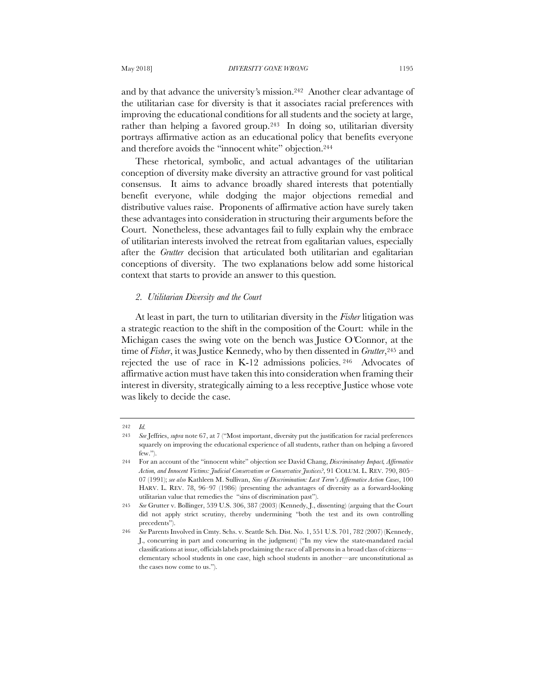and by that advance the university*'*s mission.242 Another clear advantage of the utilitarian case for diversity is that it associates racial preferences with improving the educational conditions for all students and the society at large, rather than helping a favored group.243 In doing so, utilitarian diversity portrays affirmative action as an educational policy that benefits everyone and therefore avoids the "innocent white" objection.244

These rhetorical, symbolic, and actual advantages of the utilitarian conception of diversity make diversity an attractive ground for vast political consensus. It aims to advance broadly shared interests that potentially benefit everyone, while dodging the major objections remedial and distributive values raise. Proponents of affirmative action have surely taken these advantages into consideration in structuring their arguments before the Court. Nonetheless, these advantages fail to fully explain why the embrace of utilitarian interests involved the retreat from egalitarian values, especially after the *Grutter* decision that articulated both utilitarian and egalitarian conceptions of diversity. The two explanations below add some historical context that starts to provide an answer to this question.

# *2. Utilitarian Diversity and the Court*

At least in part, the turn to utilitarian diversity in the *Fisher* litigation was a strategic reaction to the shift in the composition of the Court: while in the Michigan cases the swing vote on the bench was Justice O*'*Connor, at the time of *Fisher*, it was Justice Kennedy, who by then dissented in *Grutter*,245 and rejected the use of race in K-12 admissions policies. 246 Advocates of affirmative action must have taken this into consideration when framing their interest in diversity, strategically aiming to a less receptive Justice whose vote was likely to decide the case.

<sup>242</sup> *Id.*

<sup>243</sup> *See* Jeffries, *supra* note 67, at 7 ("Most important, diversity put the justification for racial preferences squarely on improving the educational experience of all students, rather than on helping a favored few.").

<sup>244</sup> For an account of the "innocent white" objection see David Chang, *Discriminatory Impact, Affirmative Action, and Innocent Victims: Judicial Conservatism or Conservative Justices?*, 91 COLUM. L. REV. 790, 805– 07 (1991); *see also* Kathleen M. Sullivan, *Sins of Discrimination: Last Term's Affirmative Action Cases*, 100 HARV. L. REV. 78, 96–97 (1986) (presenting the advantages of diversity as a forward-looking utilitarian value that remedies the "sins of discrimination past").

<sup>245</sup> *See* Grutter v. Bollinger, 539 U.S. 306, 387 (2003) (Kennedy, J., dissenting) (arguing that the Court did not apply strict scrutiny, thereby undermining "both the test and its own controlling precedents").

<sup>246</sup> *See* Parents Involved in Cmty. Schs. v. Seattle Sch. Dist. No. 1, 551 U.S. 701, 782 (2007) (Kennedy, J., concurring in part and concurring in the judgment) ("In my view the state-mandated racial classifications at issue, officials labels proclaiming the race of all persons in a broad class of citizens elementary school students in one case, high school students in another—are unconstitutional as the cases now come to us.").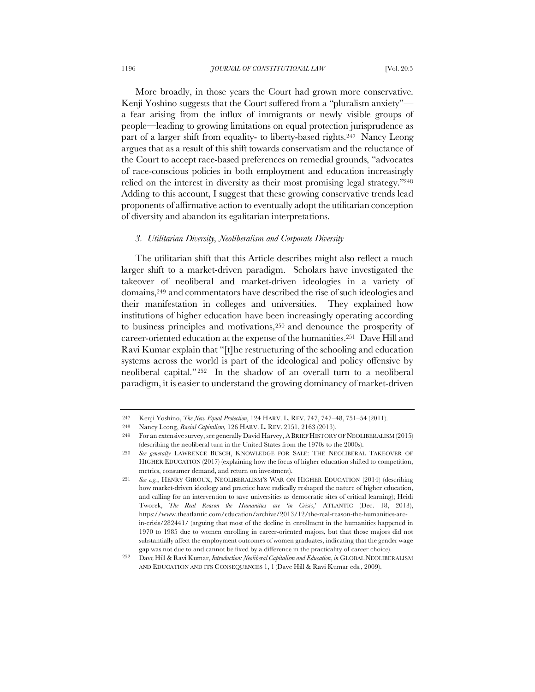More broadly, in those years the Court had grown more conservative. Kenji Yoshino suggests that the Court suffered from a "pluralism anxiety" a fear arising from the influx of immigrants or newly visible groups of people—leading to growing limitations on equal protection jurisprudence as part of a larger shift from equality- to liberty-based rights.247 Nancy Leong argues that as a result of this shift towards conservatism and the reluctance of the Court to accept race-based preferences on remedial grounds, "advocates of race-conscious policies in both employment and education increasingly relied on the interest in diversity as their most promising legal strategy."248 Adding to this account, I suggest that these growing conservative trends lead proponents of affirmative action to eventually adopt the utilitarian conception of diversity and abandon its egalitarian interpretations.

### *3. Utilitarian Diversity, Neoliberalism and Corporate Diversity*

The utilitarian shift that this Article describes might also reflect a much larger shift to a market-driven paradigm. Scholars have investigated the takeover of neoliberal and market-driven ideologies in a variety of domains,249 and commentators have described the rise of such ideologies and their manifestation in colleges and universities. They explained how institutions of higher education have been increasingly operating according to business principles and motivations,250 and denounce the prosperity of career-oriented education at the expense of the humanities.251 Dave Hill and Ravi Kumar explain that "[t]he restructuring of the schooling and education systems across the world is part of the ideological and policy offensive by neoliberal capital." 252 In the shadow of an overall turn to a neoliberal paradigm, it is easier to understand the growing dominancy of market-driven

<sup>247</sup> Kenji Yoshino, *The New Equal Protection*, 124 HARV. L. REV. 747, 747–48, 751–54 (2011).

<sup>248</sup> Nancy Leong, *Racial Capitalism,* 126 HARV. L. REV. 2151, 2163 (2013).

<sup>249</sup> For an extensive survey, see generally David Harvey, ABRIEF HISTORY OF NEOLIBERALISM (2015) (describing the neoliberal turn in the United States from the 1970s to the 2000s).

<sup>250</sup> *See generally* LAWRENCE BUSCH, KNOWLEDGE FOR SALE: THE NEOLIBERAL TAKEOVER OF HIGHER EDUCATION (2017) (explaining how the focus of higher education shifted to competition, metrics, consumer demand, and return on investment).

<sup>251</sup> *See e.g.*, HENRY GIROUX, NEOLIBERALISM'S WAR ON HIGHER EDUCATION (2014) (describing how market-driven ideology and practice have radically reshaped the nature of higher education, and calling for an intervention to save universities as democratic sites of critical learning); Heidi Tworek, *The Real Reason the Humanities are 'in Crisis*,' ATLANTIC (Dec. 18, 2013), https://www.theatlantic.com/education/archive/2013/12/the-real-reason-the-humanities-arein-crisis/282441/ (arguing that most of the decline in enrollment in the humanities happened in 1970 to 1985 due to women enrolling in career-oriented majors, but that those majors did not substantially affect the employment outcomes of women graduates, indicating that the gender wage gap was not due to and cannot be fixed by a difference in the practicality of career choice).

<sup>252</sup> Dave Hill & Ravi Kumar, *Introduction: Neoliberal Capitalism and Education*, *in* GLOBAL NEOLIBERALISM AND EDUCATION AND ITS CONSEQUENCES 1, 1 (Dave Hill & Ravi Kumar eds., 2009).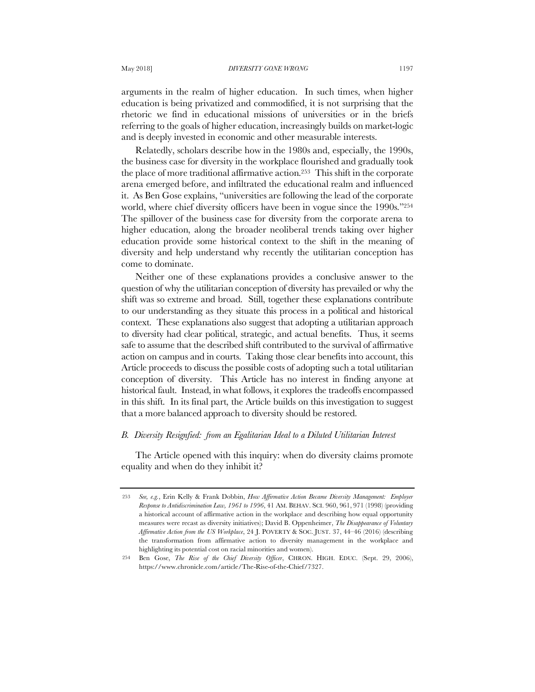arguments in the realm of higher education. In such times, when higher education is being privatized and commodified, it is not surprising that the rhetoric we find in educational missions of universities or in the briefs referring to the goals of higher education, increasingly builds on market-logic and is deeply invested in economic and other measurable interests.

Relatedly, scholars describe how in the 1980s and, especially, the 1990s, the business case for diversity in the workplace flourished and gradually took the place of more traditional affirmative action.253 This shift in the corporate arena emerged before, and infiltrated the educational realm and influenced it. As Ben Gose explains, "universities are following the lead of the corporate world, where chief diversity officers have been in vogue since the 1990s."254 The spillover of the business case for diversity from the corporate arena to higher education, along the broader neoliberal trends taking over higher education provide some historical context to the shift in the meaning of diversity and help understand why recently the utilitarian conception has come to dominate.

Neither one of these explanations provides a conclusive answer to the question of why the utilitarian conception of diversity has prevailed or why the shift was so extreme and broad. Still, together these explanations contribute to our understanding as they situate this process in a political and historical context. These explanations also suggest that adopting a utilitarian approach to diversity had clear political, strategic, and actual benefits. Thus, it seems safe to assume that the described shift contributed to the survival of affirmative action on campus and in courts. Taking those clear benefits into account, this Article proceeds to discuss the possible costs of adopting such a total utilitarian conception of diversity. This Article has no interest in finding anyone at historical fault. Instead, in what follows, it explores the tradeoffs encompassed in this shift. In its final part, the Article builds on this investigation to suggest that a more balanced approach to diversity should be restored.

### *B. Diversity Resignfied: from an Egalitarian Ideal to a Diluted Utilitarian Interest*

The Article opened with this inquiry: when do diversity claims promote equality and when do they inhibit it?

<sup>253</sup> *See, e.g.*, Erin Kelly & Frank Dobbin, *How Affirmative Action Became Diversity Management: Employer Response to Antidiscrimination Law, 1961 to 1996*, 41 AM. BEHAV. SCI. 960, 961, 971 (1998) (providing a historical account of affirmative action in the workplace and describing how equal opportunity measures were recast as diversity initiatives); David B. Oppenheimer, *The Disappearance of Voluntary Affirmative Action from the US Workplace*, 24 J. POVERTY & SOC. JUST. 37, 44–46 (2016) (describing the transformation from affirmative action to diversity management in the workplace and highlighting its potential cost on racial minorities and women).

<sup>254</sup> Ben Gose, *The Rise of the Chief Diversity Officer*, CHRON. HIGH. EDUC. (Sept. 29, 2006), https://www.chronicle.com/article/The-Rise-of-the-Chief/7327.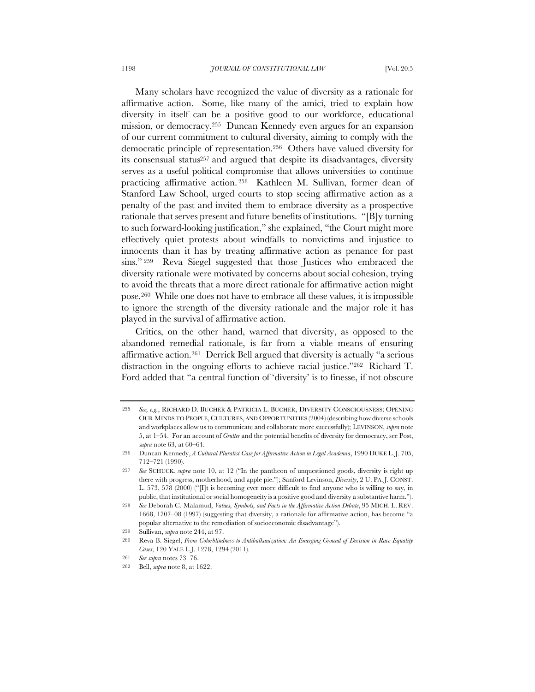Many scholars have recognized the value of diversity as a rationale for affirmative action. Some, like many of the amici, tried to explain how diversity in itself can be a positive good to our workforce, educational mission, or democracy.255 Duncan Kennedy even argues for an expansion of our current commitment to cultural diversity, aiming to comply with the democratic principle of representation.256 Others have valued diversity for its consensual status257 and argued that despite its disadvantages, diversity serves as a useful political compromise that allows universities to continue practicing affirmative action. 258 Kathleen M. Sullivan, former dean of Stanford Law School, urged courts to stop seeing affirmative action as a penalty of the past and invited them to embrace diversity as a prospective rationale that serves present and future benefits of institutions. "[B]y turning to such forward-looking justification," she explained, "the Court might more effectively quiet protests about windfalls to nonvictims and injustice to innocents than it has by treating affirmative action as penance for past sins."<sup>259</sup> Reva Siegel suggested that those Justices who embraced the diversity rationale were motivated by concerns about social cohesion, trying to avoid the threats that a more direct rationale for affirmative action might pose.260 While one does not have to embrace all these values, it is impossible to ignore the strength of the diversity rationale and the major role it has played in the survival of affirmative action.

Critics, on the other hand, warned that diversity, as opposed to the abandoned remedial rationale, is far from a viable means of ensuring affirmative action.261 Derrick Bell argued that diversity is actually "a serious distraction in the ongoing efforts to achieve racial justice."262 Richard T. Ford added that "a central function of 'diversity' is to finesse, if not obscure

<sup>255</sup> *See, e.g.*, RICHARD D. BUCHER & PATRICIA L. BUCHER, DIVERSITY CONSCIOUSNESS: OPENING OUR MINDS TO PEOPLE, CULTURES, AND OPPORTUNITIES (2004) (describing how diverse schools and workplaces allow us to communicate and collaborate more successfully); LEVINSON, *supra* note 5, at 1–54. For an account of *Grutter* and the potential benefits of diversity for democracy, see Post, *supra* note 63, at 60–64.

<sup>256</sup> Duncan Kennedy, *A Cultural Pluralist Case for Affirmative Action in Legal Academia*, 1990 DUKE L.J. 705, 712–721 (1990).

<sup>257</sup> *See* SCHUCK, *supra* note 10, at 12 ("In the pantheon of unquestioned goods, diversity is right up there with progress, motherhood, and apple pie."); Sanford Levinson, *Diversity*, 2 U. PA. J. CONST. L. 573, 578 (2000) ("[I]t is becoming ever more difficult to find anyone who is willing to say, in public, that institutional or social homogeneity is a positive good and diversity a substantive harm.").

<sup>258</sup> *See* Deborah C. Malamud, *Values, Symbols, and Facts in the Affirmative Action Debate*, 95 MICH. L. REV. 1668, 1707–08 (1997) (suggesting that diversity, a rationale for affirmative action, has become "a popular alternative to the remediation of socioeconomic disadvantage").

<sup>259</sup> Sullivan, *supra* note 244, at 97.

<sup>260</sup> Reva B. Siegel, *From Colorblindness to Antibalkanization: An Emerging Ground of Decision in Race Equality Cases*, 120 YALE L.J. 1278, 1294 (2011).

<sup>261</sup> *See supra* notes 73–76.

<sup>262</sup> Bell, *supra* note 8, at 1622.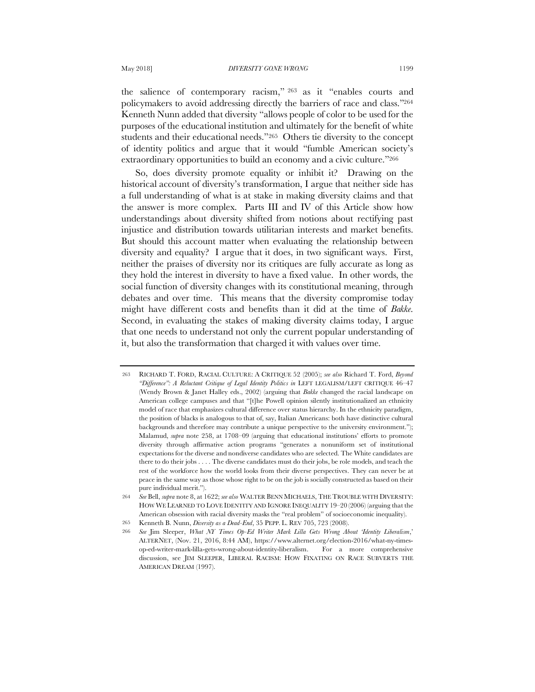the salience of contemporary racism," <sup>263</sup> as it "enables courts and policymakers to avoid addressing directly the barriers of race and class."264 Kenneth Nunn added that diversity "allows people of color to be used for the purposes of the educational institution and ultimately for the benefit of white students and their educational needs."265 Others tie diversity to the concept of identity politics and argue that it would "fumble American society's extraordinary opportunities to build an economy and a civic culture."266

So, does diversity promote equality or inhibit it? Drawing on the historical account of diversity's transformation, I argue that neither side has a full understanding of what is at stake in making diversity claims and that the answer is more complex. Parts III and IV of this Article show how understandings about diversity shifted from notions about rectifying past injustice and distribution towards utilitarian interests and market benefits. But should this account matter when evaluating the relationship between diversity and equality? I argue that it does, in two significant ways. First, neither the praises of diversity nor its critiques are fully accurate as long as they hold the interest in diversity to have a fixed value. In other words, the social function of diversity changes with its constitutional meaning, through debates and over time. This means that the diversity compromise today might have different costs and benefits than it did at the time of *Bakke*. Second, in evaluating the stakes of making diversity claims today, I argue that one needs to understand not only the current popular understanding of it, but also the transformation that charged it with values over time.

<sup>263</sup> RICHARD T. FORD, RACIAL CULTURE: A CRITIQUE 52 (2005); *see also* Richard T. Ford, *Beyond "Difference": A Reluctant Critique of Legal Identity Politics in* LEFT LEGALISM/LEFT CRITIQUE 46–47 (Wendy Brown & Janet Halley eds., 2002) (arguing that *Bakke* changed the racial landscape on American college campuses and that "[t]he Powell opinion silently institutionalized an ethnicity model of race that emphasizes cultural difference over status hierarchy. In the ethnicity paradigm, the position of blacks is analogous to that of, say, Italian Americans: both have distinctive cultural backgrounds and therefore may contribute a unique perspective to the university environment."); Malamud, *supra* note 258, at 1708–09 (arguing that educational institutions' efforts to promote diversity through affirmative action programs "generates a nonuniform set of institutional expectations for the diverse and nondiverse candidates who are selected. The White candidates are there to do their jobs . . . . The diverse candidates must do their jobs, be role models, and teach the rest of the workforce how the world looks from their diverse perspectives. They can never be at peace in the same way as those whose right to be on the job is socially constructed as based on their pure individual merit.").

<sup>264</sup> *See* Bell, *supra* note 8, at 1622; *see also* WALTER BENN MICHAELS, THE TROUBLE WITH DIVERSITY: HOW WE LEARNED TO LOVE IDENTITY AND IGNORE INEQUALITY 19–20 (2006) (arguing that the American obsession with racial diversity masks the "real problem" of socioeconomic inequality).

<sup>265</sup> Kenneth B. Nunn, *Diversity as a Dead-End*, 35 PEPP. L. REV 705, 723 (2008).

<sup>266</sup> *See* Jim Sleeper, *What NY Times Op-Ed Writer Mark Lilla Gets Wrong About 'Identity Liberalism*,' ALTERNET, (Nov. 21, 2016, 8:44 AM), https://www.alternet.org/election-2016/what-ny-timesop-ed-writer-mark-lilla-gets-wrong-about-identity-liberalism. For a more comprehensive discussion, see JIM SLEEPER, LIBERAL RACISM: HOW FIXATING ON RACE SUBVERTS THE AMERICAN DREAM (1997).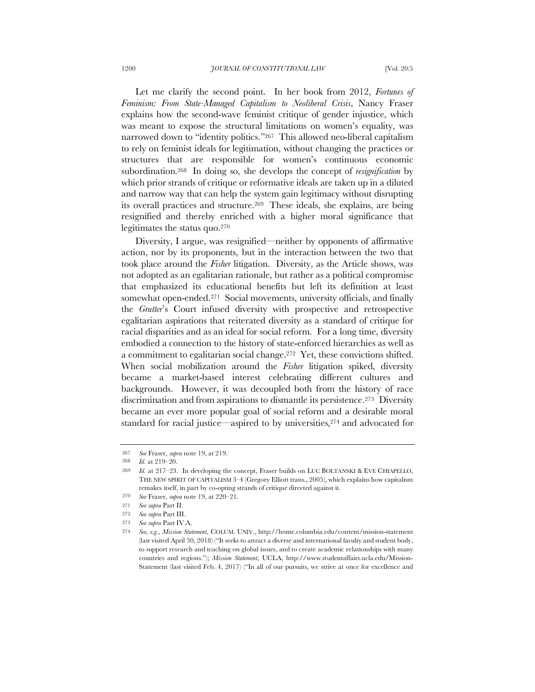Let me clarify the second point. In her book from 2012, *Fortunes of Feminism: From State-Managed Capitalism to Neoliberal Crisis*, Nancy Fraser explains how the second-wave feminist critique of gender injustice, which was meant to expose the structural limitations on women's equality, was narrowed down to "identity politics."<sup>267</sup> This allowed neo-liberal capitalism to rely on feminist ideals for legitimation, without changing the practices or structures that are responsible for women's continuous economic subordination.268 In doing so, she develops the concept of *resignification* by which prior strands of critique or reformative ideals are taken up in a diluted and narrow way that can help the system gain legitimacy without disrupting its overall practices and structure.269 These ideals, she explains, are being resignified and thereby enriched with a higher moral significance that legitimates the status quo.270

Diversity, I argue, was resignified—neither by opponents of affirmative action, nor by its proponents, but in the interaction between the two that took place around the *Fisher* litigation. Diversity, as the Article shows, was not adopted as an egalitarian rationale, but rather as a political compromise that emphasized its educational benefits but left its definition at least somewhat open-ended.271 Social movements, university officials, and finally the *Grutter*'s Court infused diversity with prospective and retrospective egalitarian aspirations that reiterated diversity as a standard of critique for racial disparities and as an ideal for social reform. For a long time, diversity embodied a connection to the history of state-enforced hierarchies as well as a commitment to egalitarian social change.272 Yet, these convictions shifted. When social mobilization around the *Fisher* litigation spiked, diversity became a market-based interest celebrating different cultures and backgrounds. However, it was decoupled both from the history of race discrimination and from aspirations to dismantle its persistence.273 Diversity became an ever more popular goal of social reform and a desirable moral standard for racial justice—aspired to by universities,<sup>274</sup> and advocated for

271 *See supra* Part II.

<sup>267</sup> *See* Fraser, *supra* note 19, at 219.

<sup>268</sup> *Id.* at 219–20.

<sup>269</sup> *Id.* at 217–23. In developing the concept, Fraser builds on LUC BOLTANSKI & EVE CHIAPELLO, THE NEW SPIRIT OF CAPITALISM 3–4 (Gregory Elliott trans., 2005), which explains how capitalism remakes itself, in part by co-opting strands of critique directed against it.

<sup>270</sup> *See* Fraser, *supra* note 19, at 220–21.

<sup>272</sup> *See supra* Part III.

<sup>273</sup> *See supra* Part IV.A.

<sup>274</sup> *See, e.g.*, *Mission Statement*, COLUM. UNIV., http://home.columbia.edu/content/mission-statement (last visited April 30, 2018) ("It seeks to attract a diverse and international faculty and student body, to support research and teaching on global issues, and to create academic relationships with many countries and regions."); *Mission Statement*, UCLA, http://www.studentaffairs.ucla.edu/Mission-Statement (last visited Feb. 4, 2017) ("In all of our pursuits, we strive at once for excellence and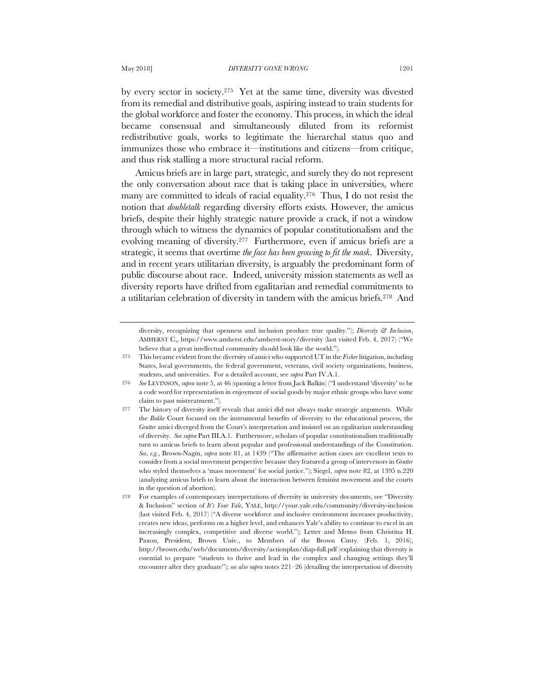by every sector in society.275 Yet at the same time, diversity was divested from its remedial and distributive goals, aspiring instead to train students for the global workforce and foster the economy. This process, in which the ideal became consensual and simultaneously diluted from its reformist redistributive goals, works to legitimate the hierarchal status quo and immunizes those who embrace it—institutions and citizens—from critique, and thus risk stalling a more structural racial reform.

Amicus briefs are in large part, strategic, and surely they do not represent the only conversation about race that is taking place in universities, where many are committed to ideals of racial equality.276 Thus, I do not resist the notion that *doubletalk* regarding diversity efforts exists. However, the amicus briefs, despite their highly strategic nature provide a crack, if not a window through which to witness the dynamics of popular constitutionalism and the evolving meaning of diversity.277 Furthermore, even if amicus briefs are a strategic, it seems that overtime *the face has been growing to fit the mask*. Diversity, and in recent years utilitarian diversity, is arguably the predominant form of public discourse about race. Indeed, university mission statements as well as diversity reports have drifted from egalitarian and remedial commitments to a utilitarian celebration of diversity in tandem with the amicus briefs.278 And

diversity, recognizing that openness and inclusion produce true quality."); *Diversity & Inclusion*, AMHERST C,, https://www.amherst.edu/amherst-story/diversity (last visited Feb. 4, 2017) ("We believe that a great intellectual community should look like the world.").

<sup>275</sup> This became evident from the diversity of amici who supported UT in the *Fisher* litigation, including States, local governments, the federal government, veterans, civil society organizations, business, students, and universities. For a detailed account, see *supra* Part IV.A.1.

<sup>276</sup> *See* LEVINSON, *supra* note 5, at 46 (quoting a letter from Jack Balkin) ("I understand 'diversity' to be a code word for representation in enjoyment of social goods by major ethnic groups who have some claim to past mistreatment.").

<sup>277</sup> The history of diversity itself reveals that amici did not always make strategic arguments. While the *Bakke* Court focused on the instrumental benefits of diversity to the educational process, the *Grutter* amici diverged from the Court's interpretation and insisted on an egalitarian understanding of diversity. *See supra* Part III.A.1. Furthermore, scholars of popular constitutionalism traditionally turn to amicus briefs to learn about popular and professional understandings of the Constitution. *See*, *e.g.*, Brown-Nagin, *supra* note 81, at 1439 ("The affirmative action cases are excellent texts to consider from a social movement perspective because they featured a group of intervenors in *Grutter* who styled themselves a 'mass movement' for social justice."); Siegel, *supra* note 82, at 1395 n.220 (analyzing amicus briefs to learn about the interaction between feminist movement and the courts in the question of abortion).

<sup>278</sup> For examples of contemporary interpretations of diversity in university documents, see "Diversity & Inclusion" section of *It's Your Yale*, YALE, http://your.yale.edu/community/diversity-inclusion (last visited Feb. 4, 2017) ("A diverse workforce and inclusive environment increases productivity, creates new ideas, performs on a higher level, and enhances Yale's ability to continue to excel in an increasingly complex, competitive and diverse world."); Letter and Memo from Christina H. Paxon, President, Brown Univ., to Members of the Brown Cmty. (Feb. 1, 2016), http://brown.edu/web/documents/diversity/actionplan/diap-full.pdf (explaining that diversity is essential to prepare "students to thrive and lead in the complex and changing settings they'll encounter after they graduate"); *see also* s*upra* notes 221–26 (detailing the interpretation of diversity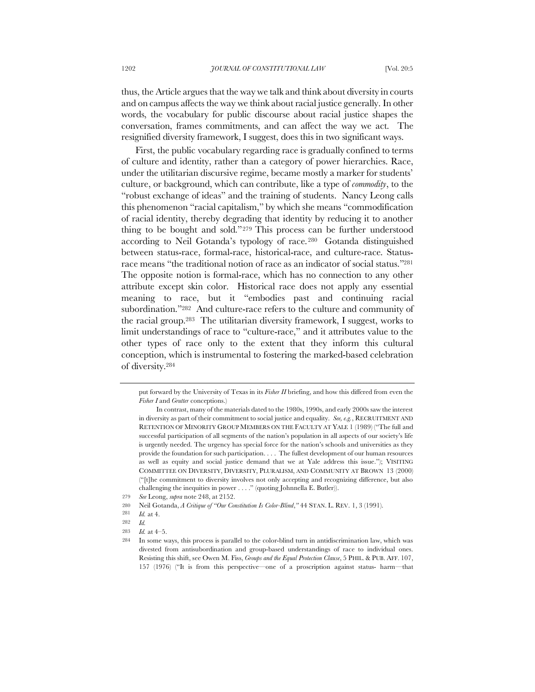thus, the Article argues that the way we talk and think about diversity in courts and on campus affects the way we think about racial justice generally. In other words, the vocabulary for public discourse about racial justice shapes the conversation, frames commitments, and can affect the way we act. The resignified diversity framework, I suggest, does this in two significant ways.

First, the public vocabulary regarding race is gradually confined to terms of culture and identity, rather than a category of power hierarchies. Race, under the utilitarian discursive regime, became mostly a marker for students' culture, or background, which can contribute, like a type of *commodity*, to the "robust exchange of ideas" and the training of students. Nancy Leong calls this phenomenon "racial capitalism," by which she means "commodification of racial identity, thereby degrading that identity by reducing it to another thing to be bought and sold."279 This process can be further understood according to Neil Gotanda's typology of race.280 Gotanda distinguished between status-race, formal-race, historical-race, and culture-race. Statusrace means "the traditional notion of race as an indicator of social status."281 The opposite notion is formal-race, which has no connection to any other attribute except skin color. Historical race does not apply any essential meaning to race, but it "embodies past and continuing racial subordination."282 And culture-race refers to the culture and community of the racial group.283 The utilitarian diversity framework, I suggest, works to limit understandings of race to "culture-race," and it attributes value to the other types of race only to the extent that they inform this cultural conception, which is instrumental to fostering the marked-based celebration of diversity.284

put forward by the University of Texas in its *Fisher II* briefing, and how this differed from even the *Fisher I* and *Grutter* conceptions.)

In contrast, many of the materials dated to the 1980s, 1990s, and early 2000s saw the interest in diversity as part of their commitment to social justice and equality. *See, e.g.*, RECRUITMENT AND RETENTION OF MINORITY GROUP MEMBERS ON THE FACULTY AT YALE 1 (1989) ("The full and successful participation of all segments of the nation's population in all aspects of our society's life is urgently needed. The urgency has special force for the nation's schools and universities as they provide the foundation for such participation. . . . The fullest development of our human resources as well as equity and social justice demand that we at Yale address this issue."); VISITING COMMITTEE ON DIVERSITY, DIVERSITY, PLURALISM, AND COMMUNITY AT BROWN 13 (2000) ("[t]he commitment to diversity involves not only accepting and recognizing difference, but also challenging the inequities in power . . . ." (quoting Johnnella E. Butler)).

<sup>279</sup> *See* Leong, *supra* note 248, at 2152.

<sup>280</sup> Neil Gotanda, *A Critique of "Our Constitution Is Color-Blind*,*"* 44 STAN. L. REV. 1, 3 (1991).

<sup>281</sup> *Id.* at 4.

<sup>282</sup> *Id.*

<sup>283</sup> *Id.* at 4–5.

<sup>284</sup> In some ways, this process is parallel to the color-blind turn in antidiscrimination law, which was divested from antisubordination and group-based understandings of race to individual ones. Resisting this shift, see Owen M. Fiss, *Groups and the Equal Protection Clause*, 5 PHIL. & PUB. AFF. 107, 157 (1976) ("It is from this perspective—one of a proscription against status- harm—that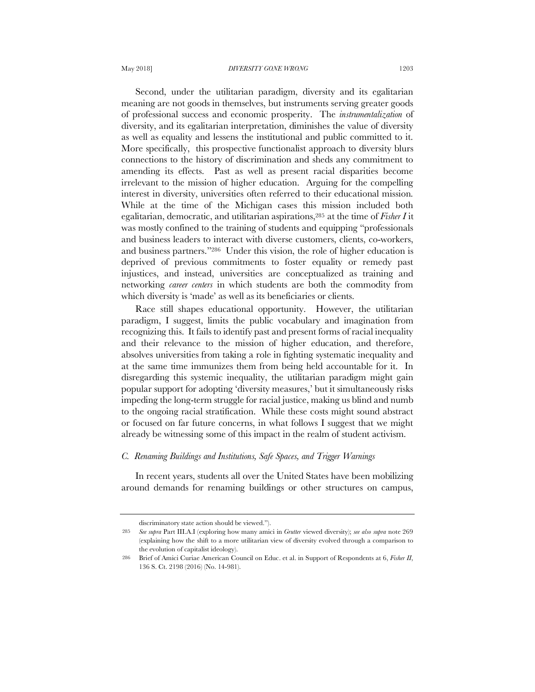Second, under the utilitarian paradigm, diversity and its egalitarian meaning are not goods in themselves, but instruments serving greater goods of professional success and economic prosperity. The *instrumentalization* of diversity, and its egalitarian interpretation, diminishes the value of diversity as well as equality and lessens the institutional and public committed to it. More specifically, this prospective functionalist approach to diversity blurs connections to the history of discrimination and sheds any commitment to amending its effects. Past as well as present racial disparities become irrelevant to the mission of higher education. Arguing for the compelling interest in diversity, universities often referred to their educational mission. While at the time of the Michigan cases this mission included both egalitarian, democratic, and utilitarian aspirations,285 at the time of *Fisher I* it was mostly confined to the training of students and equipping "professionals and business leaders to interact with diverse customers, clients, co-workers, and business partners."286 Under this vision, the role of higher education is deprived of previous commitments to foster equality or remedy past injustices, and instead, universities are conceptualized as training and networking *career centers* in which students are both the commodity from which diversity is 'made' as well as its beneficiaries or clients.

Race still shapes educational opportunity. However, the utilitarian paradigm, I suggest, limits the public vocabulary and imagination from recognizing this. It fails to identify past and present forms of racial inequality and their relevance to the mission of higher education, and therefore, absolves universities from taking a role in fighting systematic inequality and at the same time immunizes them from being held accountable for it. In disregarding this systemic inequality, the utilitarian paradigm might gain popular support for adopting 'diversity measures,' but it simultaneously risks impeding the long-term struggle for racial justice, making us blind and numb to the ongoing racial stratification. While these costs might sound abstract or focused on far future concerns, in what follows I suggest that we might already be witnessing some of this impact in the realm of student activism.

# *C. Renaming Buildings and Institutions, Safe Spaces, and Trigger Warnings*

In recent years, students all over the United States have been mobilizing around demands for renaming buildings or other structures on campus,

discriminatory state action should be viewed.").

<sup>285</sup> *See supra* Part III.A.I (exploring how many amici in *Grutter* viewed diversity); *see also supra* note 269 (explaining how the shift to a more utilitarian view of diversity evolved through a comparison to the evolution of capitalist ideology).

<sup>286</sup> Brief of Amici Curiae American Council on Educ. et al. in Support of Respondents at 6, *Fisher II*, 136 S. Ct. 2198 (2016) (No. 14-981).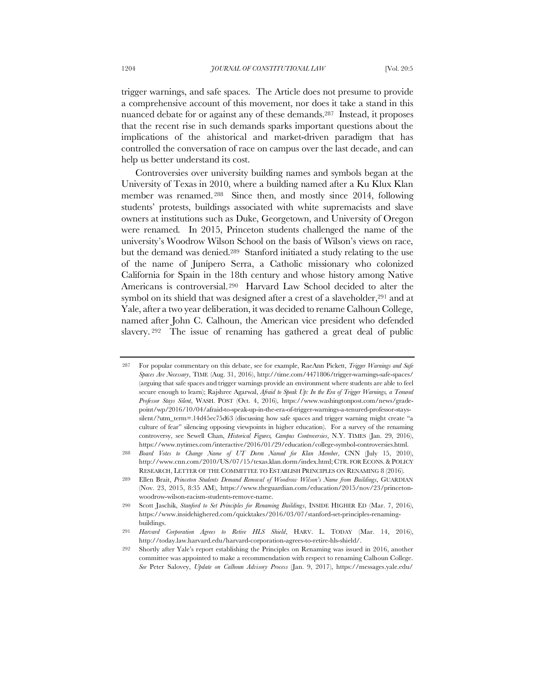trigger warnings, and safe spaces. The Article does not presume to provide a comprehensive account of this movement, nor does it take a stand in this nuanced debate for or against any of these demands.287 Instead, it proposes that the recent rise in such demands sparks important questions about the implications of the ahistorical and market-driven paradigm that has controlled the conversation of race on campus over the last decade, and can help us better understand its cost.

Controversies over university building names and symbols began at the University of Texas in 2010, where a building named after a Ku Klux Klan member was renamed. 288 Since then, and mostly since 2014, following students' protests, buildings associated with white supremacists and slave owners at institutions such as Duke, Georgetown, and University of Oregon were renamed. In 2015, Princeton students challenged the name of the university's Woodrow Wilson School on the basis of Wilson's views on race, but the demand was denied.289 Stanford initiated a study relating to the use of the name of Junípero Serra, a Catholic missionary who colonized California for Spain in the 18th century and whose history among Native Americans is controversial.290 Harvard Law School decided to alter the symbol on its shield that was designed after a crest of a slaveholder,<sup>291</sup> and at Yale, after a two year deliberation, it was decided to rename Calhoun College, named after John C. Calhoun, the American vice president who defended slavery. <sup>292</sup> The issue of renaming has gathered a great deal of public

<sup>287</sup> For popular commentary on this debate, see for example, RaeAnn Pickett, *Trigger Warnings and Safe Spaces Are Necessary*, TIME (Aug. 31, 2016), http://time.com/4471806/trigger-warnings-safe-spaces/ (arguing that safe spaces and trigger warnings provide an environment where students are able to feel secure enough to learn); Rajshree Agarwal, *Afraid to Speak Up: In the Era of Trigger Warnings, a Tenured Professor Stays Silent*, WASH. POST (Oct. 4, 2016), https://www.washingtonpost.com/news/gradepoint/wp/2016/10/04/afraid-to-speak-up-in-the-era-of-trigger-warnings-a-tenured-professor-stayssilent/?utm\_term=.14d45ec75d63 (discussing how safe spaces and trigger warning might create "a culture of fear" silencing opposing viewpoints in higher education). For a survey of the renaming controversy, see Sewell Chan, *Historical Figures, Campus Controversies*, N.Y. TIMES (Jan. 29, 2016), https://www.nytimes.com/interactive/2016/01/29/education/college-symbol-controversies.html.

<sup>288</sup> *Board Votes to Change Name of UT Dorm Named for Klan Member*, CNN (July 15, 2010), http://www.cnn.com/2010/US/07/15/texas.klan.dorm/index.html; CTR. FOR ECONS.&POLICY RESEARCH, LETTER OF THE COMMITTEE TO ESTABLISH PRINCIPLES ON RENAMING 8 (2016).

<sup>289</sup> Ellen Brait, *Princeton Students Demand Removal of Woodrow Wilson's Name from Buildings*, GUARDIAN (Nov. 23, 2015, 8:35 AM), https://www.theguardian.com/education/2015/nov/23/princetonwoodrow-wilson-racism-students-remove-name.

<sup>290</sup> Scott Jaschik, *Stanford to Set Principles for Renaming Buildings*, INSIDE HIGHER ED (Mar. 7, 2016), https://www.insidehighered.com/quicktakes/2016/03/07/stanford-set-principles-renamingbuildings.

<sup>291</sup> *Harvard Corporation Agrees to Retire HLS Shield*, HARV. L. TODAY (Mar. 14, 2016), http://today.law.harvard.edu/harvard-corporation-agrees-to-retire-hls-shield/.

<sup>292</sup> Shortly after Yale's report establishing the Principles on Renaming was issued in 2016, another committee was appointed to make a recommendation with respect to renaming Calhoun College. *See* Peter Salovey, *Update on Calhoun Advisory Process* (Jan. 9, 2017), https://messages.yale.edu/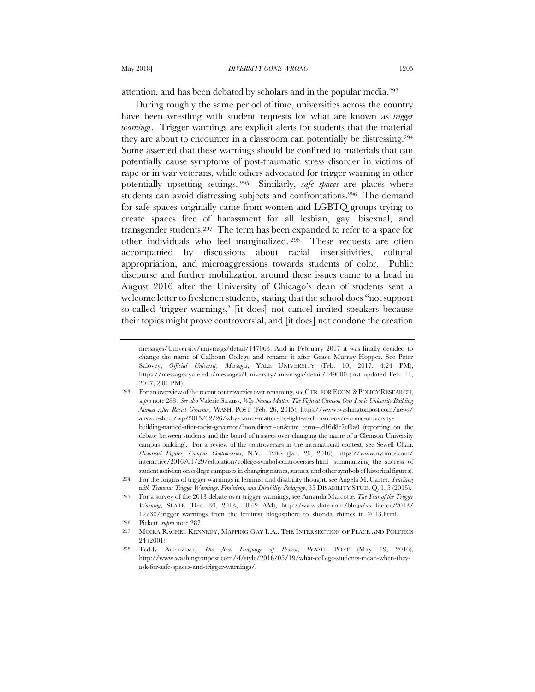attention, and has been debated by scholars and in the popular media.293

During roughly the same period of time, universities across the country have been wrestling with student requests for what are known as *trigger warnings*. Trigger warnings are explicit alerts for students that the material they are about to encounter in a classroom can potentially be distressing.294 Some asserted that these warnings should be confined to materials that can potentially cause symptoms of post-traumatic stress disorder in victims of rape or in war veterans, while others advocated for trigger warning in other potentially upsetting settings. 295 Similarly, *safe spaces* are places where students can avoid distressing subjects and confrontations.296 The demand for safe spaces originally came from women and LGBTQ groups trying to create spaces free of harassment for all lesbian, gay, bisexual, and transgender students.297 The term has been expanded to refer to a space for other individuals who feel marginalized. <sup>298</sup> These requests are often accompanied by discussions about racial insensitivities, cultural appropriation, and microaggressions towards students of color. Public discourse and further mobilization around these issues came to a head in August 2016 after the University of Chicago's dean of students sent a welcome letter to freshmen students, stating that the school does "not support so-called 'trigger warnings,' [it does] not cancel invited speakers because their topics might prove controversial, and [it does] not condone the creation

messages/University/univmsgs/detail/147063. And in February 2017 it was finally decided to change the name of Calhoun College and rename it after Grace Murray Hopper. See Peter Salovey, *Official University Messages*, YALE UNIVERSITY (Feb. 10, 2017, 4:24 PM), https://messages.yale.edu/messages/University/univmsgs/detail/149000 (last updated Feb. 11, 2017, 2:01 PM).

<sup>293</sup> For an overview of the recent controversies over renaming, seeCTR. FOR ECON.&POLICY RESEARCH, *supra* note 288. *See also* Valerie Strauss, *Why Names Matter: The Fight at Clemson Over Iconic University Building Named After Racist Governor*, WASH. POST (Feb. 26, 2015), https://www.washingtonpost.com/news/ answer-sheet/wp/2015/02/26/why-names-matter-the-fight-at-clemson-over-iconic-universitybuilding-named-after-racist-governor/?noredirect=on&utm\_term=.d16d8e7ef9a0 (reporting on the debate between students and the board of trustees over changing the name of a Clemson University campus building). For a review of the controversies in the international context, see Sewell Chan, *Historical Figures, Campus Controversies*, N.Y. TIMES (Jan. 26, 2016), https://www.nytimes.com/ interactive/2016/01/29/education/college-symbol-controversies.html (summarizing the success of student activism on college campuses in changing names, statues, and other symbols of historical figures).

<sup>294</sup> For the origins of trigger warnings in feminist and disability thought, see Angela M. Carter, *Teaching with Trauma: Trigger Warnings, Feminism, and Disability Pedagogy*, 35 DISABILITY STUD. Q. 1, 5 (2015).

<sup>295</sup> For a survey of the 2013 debate over trigger warnings, see Amanda Marcotte, *The Year of the Trigger Warning*, SLATE (Dec. 30, 2013, 10:42 AM), http://www.slate.com/blogs/xx\_factor/2013/ 12/30/trigger\_warnings\_from\_the\_feminist\_blogosphere\_to\_shonda\_rhimes\_in\_2013.html.

<sup>296</sup> Pickett, *supra* note 287.

<sup>297</sup> MOIRA RACHEL KENNEDY, MAPPING GAY L.A.: THE INTERSECTION OF PLACE AND POLITICS 24 (2001).

<sup>298</sup> Teddy Amenabar, *The New Language of Protest*, WASH. POST (May 19, 2016), http://www.washingtonpost.com/sf/style/2016/05/19/what-college-students-mean-when-theyask-for-safe-spaces-and-trigger-warnings/.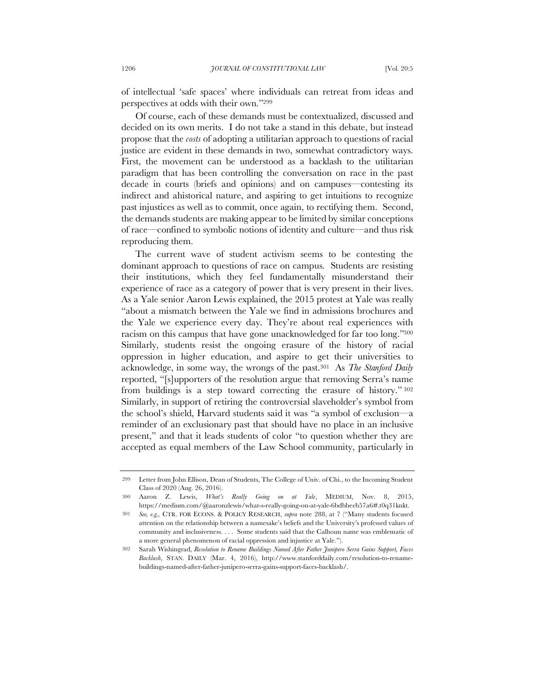of intellectual 'safe spaces' where individuals can retreat from ideas and perspectives at odds with their own."299

Of course, each of these demands must be contextualized, discussed and decided on its own merits. I do not take a stand in this debate, but instead propose that the *costs* of adopting a utilitarian approach to questions of racial justice are evident in these demands in two, somewhat contradictory ways. First, the movement can be understood as a backlash to the utilitarian paradigm that has been controlling the conversation on race in the past decade in courts (briefs and opinions) and on campuses—contesting its indirect and ahistorical nature, and aspiring to get intuitions to recognize past injustices as well as to commit, once again, to rectifying them. Second, the demands students are making appear to be limited by similar conceptions of race—confined to symbolic notions of identity and culture—and thus risk reproducing them.

The current wave of student activism seems to be contesting the dominant approach to questions of race on campus. Students are resisting their institutions, which they feel fundamentally misunderstand their experience of race as a category of power that is very present in their lives. As a Yale senior Aaron Lewis explained, the 2015 protest at Yale was really "about a mismatch between the Yale we find in admissions brochures and the Yale we experience every day. They're about real experiences with racism on this campus that have gone unacknowledged for far too long."300 Similarly, students resist the ongoing erasure of the history of racial oppression in higher education, and aspire to get their universities to acknowledge, in some way, the wrongs of the past.301 As *The Stanford Daily* reported, "[s]upporters of the resolution argue that removing Serra's name from buildings is a step toward correcting the erasure of history." <sup>302</sup> Similarly, in support of retiring the controversial slaveholder's symbol from the school's shield, Harvard students said it was "a symbol of exclusion—a reminder of an exclusionary past that should have no place in an inclusive present," and that it leads students of color "to question whether they are accepted as equal members of the Law School community, particularly in

<sup>299</sup> Letter from John Ellison, Dean of Students, The College of Univ. of Chi., to the Incoming Student Class of 2020 (Aug. 26, 2016).

<sup>300</sup> Aaron Z. Lewis, *What's Really Going on at Yale*, MEDIUM, Nov. 8, 2015, https://medium.com/@aaronzlewis/what-s-really-going-on-at-yale-6bdbbeeb57a6#.t0q31knkt.

<sup>301</sup> *See, e.g.,* CTR. FOR ECONS. & POLICY RESEARCH, *supra* note 288, at 7 ("Many students focused attention on the relationship between a namesake's beliefs and the University's professed values of community and inclusiveness. . . . Some students said that the Calhoun name was emblematic of a more general phenomenon of racial oppression and injustice at Yale.").

<sup>302</sup> Sarah Wishingrad, *Resolution to Rename Buildings Named After Father Junipero Serra Gains Support, Faces Backlash*, STAN. DAILY (Mar. 4, 2016), http://www.stanforddaily.com/resolution-to-renamebuildings-named-after-father-junipero-serra-gains-support-faces-backlash/.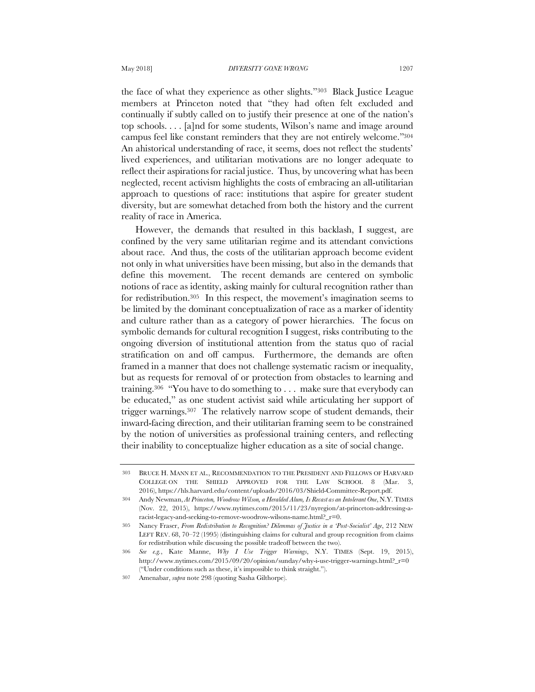reality of race in America.

the face of what they experience as other slights."303 Black Justice League members at Princeton noted that "they had often felt excluded and continually if subtly called on to justify their presence at one of the nation's top schools. . . . [a]nd for some students, Wilson's name and image around campus feel like constant reminders that they are not entirely welcome."304 An ahistorical understanding of race, it seems, does not reflect the students' lived experiences, and utilitarian motivations are no longer adequate to reflect their aspirations for racial justice. Thus, by uncovering what has been neglected, recent activism highlights the costs of embracing an all-utilitarian approach to questions of race: institutions that aspire for greater student

diversity, but are somewhat detached from both the history and the current

However, the demands that resulted in this backlash, I suggest, are confined by the very same utilitarian regime and its attendant convictions about race. And thus, the costs of the utilitarian approach become evident not only in what universities have been missing, but also in the demands that define this movement. The recent demands are centered on symbolic notions of race as identity, asking mainly for cultural recognition rather than for redistribution.305 In this respect, the movement's imagination seems to be limited by the dominant conceptualization of race as a marker of identity and culture rather than as a category of power hierarchies. The focus on symbolic demands for cultural recognition I suggest, risks contributing to the ongoing diversion of institutional attention from the status quo of racial stratification on and off campus. Furthermore, the demands are often framed in a manner that does not challenge systematic racism or inequality, but as requests for removal of or protection from obstacles to learning and training.306 "You have to do something to . . . make sure that everybody can be educated," as one student activist said while articulating her support of trigger warnings.307 The relatively narrow scope of student demands, their inward-facing direction, and their utilitarian framing seem to be constrained by the notion of universities as professional training centers, and reflecting their inability to conceptualize higher education as a site of social change.

<sup>303</sup> BRUCE H. MANN ET AL., RECOMMENDATION TO THE PRESIDENT AND FELLOWS OF HARVARD COLLEGE ON THE SHIELD APPROVED FOR THE LAW SCHOOL 8 (Mar. 3, 2016), https://hls.harvard.edu/content/uploads/2016/03/Shield-Committee-Report.pdf.

<sup>304</sup> Andy Newman, *At Princeton, Woodrow Wilson, a Heralded Alum, Is Recast as an Intolerant One*, N.Y.TIMES (Nov. 22, 2015), https://www.nytimes.com/2015/11/23/nyregion/at-princeton-addressing-aracist-legacy-and-seeking-to-remove-woodrow-wilsons-name.html?\_r=0.

<sup>305</sup> Nancy Fraser, *From Redistribution to Recognition? Dilemmas of Justice in a 'Post-Socialist' Age*, 212 NEW LEFT REV. 68, 70–72 (1995) (distinguishing claims for cultural and group recognition from claims for redistribution while discussing the possible tradeoff between the two).

<sup>306</sup> *See e.g.*, Kate Manne, *Why I Use Trigger Warnings*, N.Y. TIMES (Sept. 19, 2015), http://www.nytimes.com/2015/09/20/opinion/sunday/why-i-use-trigger-warnings.html?\_r=0 ("Under conditions such as these, it's impossible to think straight.").

<sup>307</sup> Amenabar, *supra* note 298 (quoting Sasha Gilthorpe).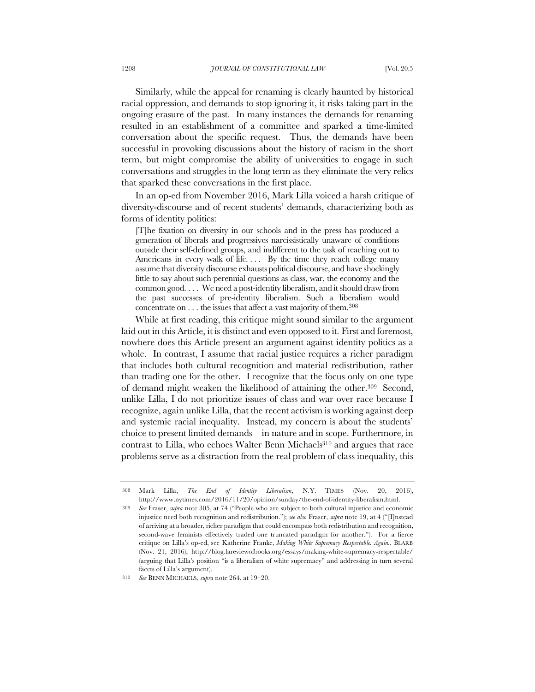Similarly, while the appeal for renaming is clearly haunted by historical racial oppression, and demands to stop ignoring it, it risks taking part in the ongoing erasure of the past. In many instances the demands for renaming resulted in an establishment of a committee and sparked a time-limited conversation about the specific request. Thus, the demands have been successful in provoking discussions about the history of racism in the short term, but might compromise the ability of universities to engage in such conversations and struggles in the long term as they eliminate the very relics that sparked these conversations in the first place.

In an op-ed from November 2016, Mark Lilla voiced a harsh critique of diversity-discourse and of recent students' demands, characterizing both as forms of identity politics:

[T]he fixation on diversity in our schools and in the press has produced a generation of liberals and progressives narcissistically unaware of conditions outside their self-defined groups, and indifferent to the task of reaching out to Americans in every walk of life.... By the time they reach college many assume that diversity discourse exhausts political discourse, and have shockingly little to say about such perennial questions as class, war, the economy and the common good. . . . We need a post-identity liberalism, and it should draw from the past successes of preidentity liberalism. Such a liberalism would concentrate on . . . the issues that affect a vast majority of them.308

While at first reading, this critique might sound similar to the argument laid out in this Article, it is distinct and even opposed to it. First and foremost, nowhere does this Article present an argument against identity politics as a whole. In contrast, I assume that racial justice requires a richer paradigm that includes both cultural recognition and material redistribution, rather than trading one for the other. I recognize that the focus only on one type of demand might weaken the likelihood of attaining the other.309 Second, unlike Lilla, I do not prioritize issues of class and war over race because I recognize, again unlike Lilla, that the recent activism is working against deep and systemic racial inequality. Instead, my concern is about the students' choice to present limited demands—in nature and in scope. Furthermore, in contrast to Lilla, who echoes Walter Benn Michaels<sup>310</sup> and argues that race problems serve as a distraction from the real problem of class inequality, this

<sup>308</sup> Mark Lilla, *The End of Identity Liberalism*, N.Y. TIMES (Nov. 20, 2016), http://www.nytimes.com/2016/11/20/opinion/sunday/the-end-of-identity-liberalism.html.

<sup>309</sup> *See* Fraser, *supra* note 305, at 74 ("People who are subject to both cultural injustice and economic injustice need both recognition and redistribution."); *see also* Fraser, *supra* note 19, at 4 ("[I]nstead of arriving at a broader, richer paradigm that could encompass both redistribution and recognition, second-wave feminists effectively traded one truncated paradigm for another."). For a fierce critique on Lilla's op-ed, see Katherine Franke, *Making White Supremacy Respectable. Again.*, BLARB (Nov. 21, 2016), http://blog.lareviewofbooks.org/essays/making-white-supremacy-respectable/ (arguing that Lilla's position "is a liberalism of white supremacy" and addressing in turn several facets of Lilla's argument).

<sup>310</sup> *See* BENN MICHAELS, *supra* note 264, at 19–20.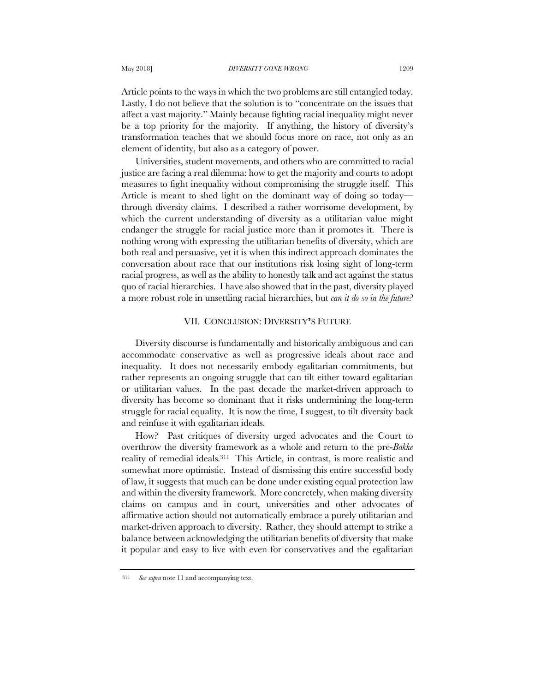Article points to the ways in which the two problems are still entangled today. Lastly, I do not believe that the solution is to "concentrate on the issues that affect a vast majority." Mainly because fighting racial inequality might never be a top priority for the majority. If anything, the history of diversity's transformation teaches that we should focus more on race, not only as an element of identity, but also as a category of power.

Universities, student movements, and others who are committed to racial justice are facing a real dilemma: how to get the majority and courts to adopt measures to fight inequality without compromising the struggle itself. This Article is meant to shed light on the dominant way of doing so today through diversity claims. I described a rather worrisome development, by which the current understanding of diversity as a utilitarian value might endanger the struggle for racial justice more than it promotes it. There is nothing wrong with expressing the utilitarian benefits of diversity, which are both real and persuasive, yet it is when this indirect approach dominates the conversation about race that our institutions risk losing sight of long-term racial progress, as well as the ability to honestly talk and act against the status quo of racial hierarchies. I have also showed that in the past, diversity played a more robust role in unsettling racial hierarchies, but *can it do so in the future?*

### VII. CONCLUSION: DIVERSITY**'**S FUTURE

Diversity discourse is fundamentally and historically ambiguous and can accommodate conservative as well as progressive ideals about race and inequality. It does not necessarily embody egalitarian commitments, but rather represents an ongoing struggle that can tilt either toward egalitarian or utilitarian values. In the past decade the market-driven approach to diversity has become so dominant that it risks undermining the long-term struggle for racial equality. It is now the time, I suggest, to tilt diversity back and reinfuse it with egalitarian ideals.

How? Past critiques of diversity urged advocates and the Court to overthrow the diversity framework as a whole and return to the pre-*Bakke* reality of remedial ideals.311 This Article, in contrast, is more realistic and somewhat more optimistic. Instead of dismissing this entire successful body of law, it suggests that much can be done under existing equal protection law and within the diversity framework. More concretely, when making diversity claims on campus and in court, universities and other advocates of affirmative action should not automatically embrace a purely utilitarian and market-driven approach to diversity. Rather, they should attempt to strike a balance between acknowledging the utilitarian benefits of diversity that make it popular and easy to live with even for conservatives and the egalitarian

<sup>311</sup> *See supra* note 11 and accompanying text.